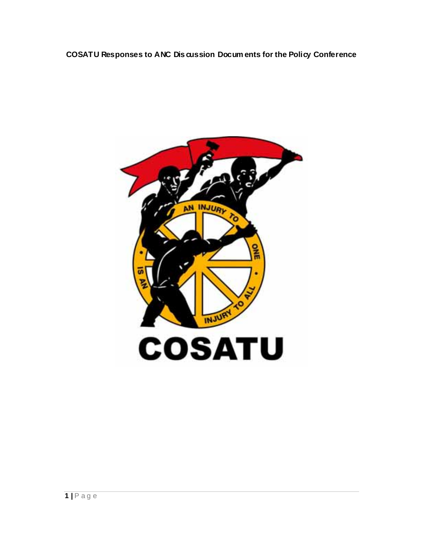**COSATU Responses to ANC Dis cussion Docum ents for the Policy Conference** 

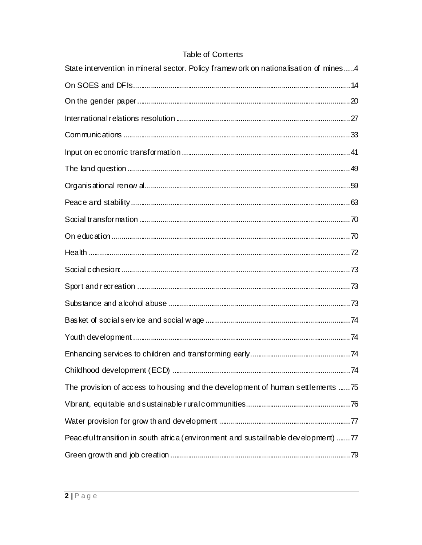# Table of Contents

| State intervention in mineral sector. Policy framew ork on nationalisation of mines4 |  |
|--------------------------------------------------------------------------------------|--|
|                                                                                      |  |
|                                                                                      |  |
|                                                                                      |  |
|                                                                                      |  |
|                                                                                      |  |
|                                                                                      |  |
|                                                                                      |  |
|                                                                                      |  |
|                                                                                      |  |
|                                                                                      |  |
|                                                                                      |  |
|                                                                                      |  |
|                                                                                      |  |
|                                                                                      |  |
|                                                                                      |  |
|                                                                                      |  |
|                                                                                      |  |
|                                                                                      |  |
| The provision of access to housing and the development of human settlements  75      |  |
|                                                                                      |  |
|                                                                                      |  |
| Peacefultransition in south africa (environment and sustailnable development) 77     |  |
|                                                                                      |  |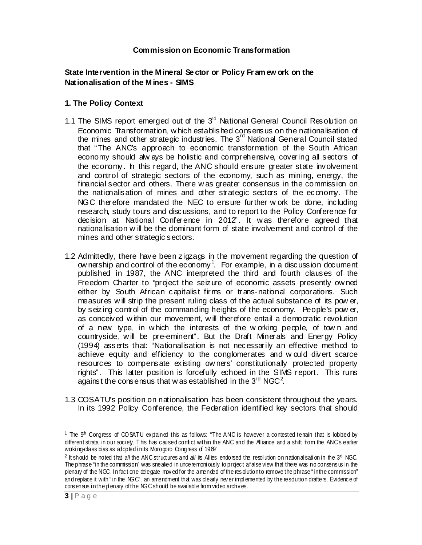#### **Commission on Economic Tr ansformation**

#### **State Intervention in the Mineral Se ctor or Policy Fr am ew ork on the Nationalisation of the Mines - SIMS**

#### **1. The Policy Context**

- 1.1 The SIMS report emerged out of the  $3<sup>d</sup>$  National General Council Resolution on Economic Transformation, w hich established consensus on the nationalisation of the mines and other strategic industries. The  $3<sup>rd</sup>$  National General Council stated that "The ANC's approach to economic transformation of the South African economy should alw ays be holistic and comprehensive, covering all sectors of the economy. h this regard, the ANC should ensure greater state involvement and control of strategic sectors of the economy, such as mining, energy, the financial sector and others. There w as greater consensus in the commission on the nationalisation of mines and other strategic sectors of the economy. The NGC therefore mandated the NEC to ensure further w ork be done, including research, study tours and discussions, and to report to the Policy Conference for decision at National Conference in 2012". It w as therefore agreed that nationalisation w ill be the dominant form of state involvement and control of the mines and other strategic sectors.
- 1.2 Admittedly, there have been zigzags in the movement regarding the question of ow nership and control of the economy<sup>1</sup>. For example, in a discussion document published in 1987, the ANC interpreted the third and fourth clauses of the Freedom Charter to "project the seizure of economic assets presently ow ned either by South African capitalist firms or trans-national corporations. Such measures w ill strip the present ruling class of the actual substance of its pow er, by seizing control of the commanding heights of the economy. People's pow er, as conceived w ithin our movement, w ill therefore entail a democratic revolution of a new type, in w hich the interests of the w orking people, of tow n and countryside, w ill be pre-eminent". But the Draft Minerals and Energy Policy (1994) asserts that: "Nationalisation is not necessarily an effective method to achieve equity and efficiency to the conglomerates and w ould divert scarce resources to compensate existing ow ners' constitutionally protected property rights". This latter position is forcefully echoed in the SIMS report. This runs against the consensus that w as established in the  $3^{\text{rd}}$  NGC<sup>2</sup>.
- 1.3 COSATU's position on nationalisation has been consistent throughout the years. In its 1992 Policy Conference, the Federation identified key sectors that should

<sup>&</sup>lt;sup>1</sup> The  $9<sup>h</sup>$  Congress of COSATU explained this as follows: "The ANC is however a contested terrain that is lobbied by different strata in our society. This has caused conflict within the ANC and the Alliance and a shift from the ANC's earlier working-class bias as adopted in its Morogoro Congress of 1969".

<sup>&</sup>lt;sup>2</sup> It should be noted that *all* the ANC structures and *all* its Allies endorsed the resolution on nationalisation in the 3<sup>rd</sup> NGC. The phrase "in the commission" was sneaked in unceremoniously to project a false view that there was no consens us in the plenary of the NGC. In fact one delegate moved for the amended of the resolution to remove the phrase " in the commission" and replace it with " in the NGC", an amendment that was clearly never implemented by the resdution drafters. Evidence of cons ensus i n the pl enary of the NGC should be availabl e from video archiv es.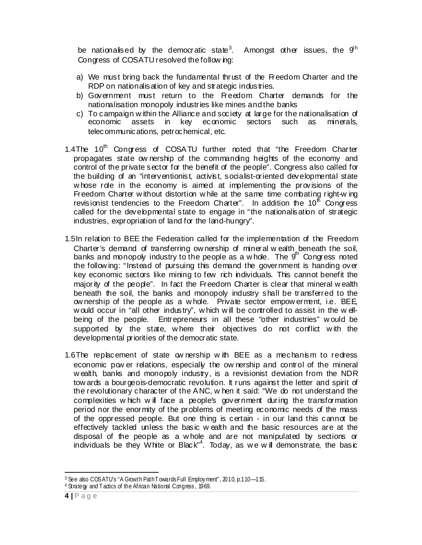be nationalised by the democratic state<sup>3</sup>. Amongst other issues, the  $9<sup>th</sup>$ Congress of COSATU resolved the follow ing:

- a) We must bring back the fundamental thrust of the Freedom Charter and the RDP on nationalisation of key and strategic industries.
- b) Government must return to the Freedom Charter demands for the nationalisation monopoly industries like mines and the banks
- c) To campaign within the Alliance and society at large for the nationalisation of economic assets in key economic sectors such as minerals, telecommunications, petrochemical, etc.
- 1.4The  $10<sup>th</sup>$  Congress of COSATU further noted that "the Freedom Charter propagates state ow nership of the commanding heights of the economy and control of the private sector for the benefit of the people". Congress also called for the building of an "interventionist, activist, socialist-oriented developmental state w hose role in the economy is aimed at implementing the provisions of the Freedom Charter w ithout distortion w hile at the same time combating right-w ing revisionist tendencies to the Freedom Charter". In addition the  $10<sup>h</sup>$  Congress called for the developmental state to engage in "the nationalisation of strategic industries, expropriation of land for the land-hungry".
- 1.5In relation to BEE the Federation called for the implementation of the Freedom Charter's demand of transferring ow nership of mineral w ealth beneath the soil, banks and monopoly industry to the people as a w hole. The  $9<sup>th</sup>$  Congress noted the follow ing: "Instead of pursuing this demand the government is handing over key economic sectors like mining to few rich individuals. This cannot benefit the majority of the people". In fact the Freedom Charter is clear that mineral w ealth beneath the soil, the banks and monopoly industry shall be transferred to the ow nership of the people as a w hole. Private sector empow erment, i.e. BEE, w ould occur in "all other industry", w hich w ill be controlled to assist in the w ellbeing of the people. Entrepreneurs in all these "other industries" w ould be supported by the state, where their objectives do not conflict with the developmental priorities of the democratic state.
- 1.6The replacement of state ow nership w ith BEE as a mechanism to redress economic pow er relations, especially the ow nership and control of the mineral w ealth, banks and monopoly industry, is a revisionist deviation from the NDR tow ards a bourgeois-democratic revolution. It runs against the letter and spirit of the revolutionary character of the ANC, w hen it said: "We do not understand the complexities w hich w ill face a people's government during the transformation period nor the enormity of the problems of meeting economic needs of the mass of the oppressed people. But one thing is certain - in our land this cannot be effectively tackled unless the basic w ealth and the basic resources are at the disposal of the people as a w hole and are not manipulated by sections or individuals be they White or Black"<sup>4</sup>. Today, as we will demonstrate, the basic

-

<sup>&</sup>lt;sup>3</sup> See also COSATU's "A Growth Path Towards Full Employment", 2010, p.110-115.

<sup>&</sup>lt;sup>4</sup> Strategy and T actics of the African National Congress, 1969.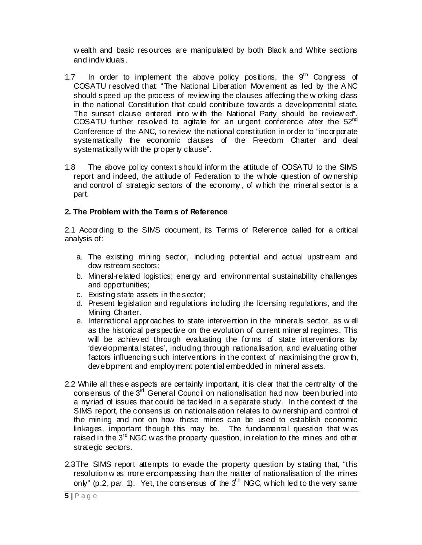w ealth and basic resources are manipulated by both Black and White sections and individuals.

- 1.7 In order to implement the above policy positions, the  $9<sup>th</sup>$  Congress of COSATU resolved that: "The National Liberation Movement as led by the ANC should speed up the process of review ing the clauses affecting the w orking class in the national Constitution that could contribute tow ards a developmental state. The sunset clause entered into w ith the National Party should be review ed'. COSATU further resolved to agitate for an urgent conference after the  $52<sup>nd</sup>$ Conference of the ANC, to review the national constitution in order to "incorporate systematically the economic clauses of the Freedom Charter and deal systematically with the property clause".
- 1.8 The above policy context should inform the attitude of COSATU to the SIMS report and indeed, the attitude of Federation to the w hole question of ow nership and control of strategic sectors of the economy, of w hich the mineral sector is a part.

## **2. The Problem with the Term s of Reference**

2.1 According to the SIMS document, its Terms of Reference called for a critical analysis of:

- a. The existing mining sector, including potential and actual upstream and dow nstream sectors;
- b. Mineral-related logistics; energy and environmental sustainability challenges and opportunities;
- c. Existing state assets in the sector;
- d. Present legislation and regulations including the licensing regulations, and the Mining Charter.
- e. International approaches to state intervention in the minerals sector, as w ell as the historical perspective on the evolution of current mineral regimes. This will be achieved through evaluating the forms of state interventions by 'developmental states', including through nationalisation, and evaluating other factors influencing such interventions in the context of maximising the grow th, development and employment potential embedded in mineral assets.
- 2.2 While all these aspects are certainly important, it is clear that the centrality of the consensus of the  $3<sup>rd</sup>$  General Council on nationalisation had now been buried into a myriad of issues that could be tackled in a separate study. In the context of the SIMS report, the consensus on nationalisation relates to ow nership and control of the mining and not on how these mines can be used to establish economic linkages, important though this may be. The fundamental question that w as raised in the 3<sup>rd</sup> NGC w as the property question, in relation to the mines and other strategic sectors.
- 2.3The SIMS report attempts to evade the property question by stating that, "this resolution w as more encompassing than the matter of nationalisation of the mines only" (p.2, par. 1). Yet, the consensus of the  $3<sup>d</sup>$  NGC, w hich led to the very same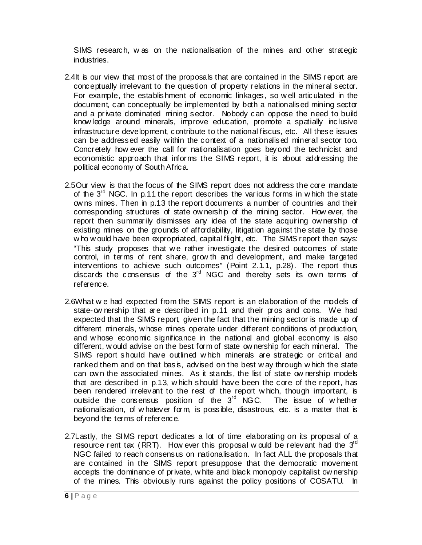SIMS research, w as on the nationalisation of the mines and other strategic industries.

- 2.4It is our view that most of the proposals that are contained in the SIMS report are conceptually irrelevant to the question of property relations in the mineral sector. For example, the establishment of economic linkages, so w ell articulated in the document, can conceptually be implemented by both a nationalised mining sector and a private dominated mining sector. Nobody can oppose the need to build know ledge around minerals, improve education, promote a spatially inclusive infrastructure development, contribute to the national fiscus, etc. All these issues can be addressed easily w ithin the context of a nationalised mineral sector too. Concretely how ever the call for nationalisation goes beyond the technicist and economistic approach that informs the SIMS report, it is about addressing the political economy of South Africa.
- 2.5Our view is that the focus of the SIMS report does not address the core mandate of the  $3<sup>rd</sup>$  NGC. In p.11 the report describes the various forms in w hich the state ow ns mines. Then in p.13 the report documents a number of countries and their corresponding structures of state ow nership of the mining sector. How ever, the report then summarily dismisses any idea of the state acquiring ow nership of existing mines on the grounds of affordability, litigation against the state by those w ho w ould have been expropriated, capital flight, etc. The SIMS report then says: "This study proposes that w e rather investigate the desired outcomes of state control, in terms of rent share, grow th and development, and make targeted interventions to achieve such outcomes" (Point 2.1.1, p.28). The report thus discards the consensus of the  $3<sup>rd</sup>$  NGC and thereby sets its own terms of reference.
- 2.6What w e had expected from the SIMS report is an elaboration of the models of state-ow nership that are described in p.11 and their pros and cons. We had expected that the SIMS report, given the fact that the mining sector is made up of different minerals, w hose mines operate under different conditions of production, and w hose economic significance in the national and global economy is also different, w ould advise on the best form of state ow nership for each mineral. The SIMS report should have outlined w hich minerals are strategic or critical and ranked them and on that basis, advised on the best w ay through w hich the state can ow n the associated mines. As it stands, the list of state ow nership models that are described in p.13, w hich should have been the core of the report, has been rendered irrelevant to the rest of the report which, though important, is outside the consensus position of the 3<sup>rd</sup> NGC. The issue of w hether nationalisation, of w hatever form, is possible, disastrous, etc. is a matter that is beyond the terms of reference.
- 2.7Lastly, the SIMS report dedicates a lot of time elaborating on its proposal of a resource rent tax (RRT). How ever this proposal w ould be relevant had the  $3<sup>rd</sup>$ NGC failed to reach consensus on nationalisation. In fact ALL the proposals that are contained in the SIMS report presuppose that the democratic movement accepts the dominance of private, w hite and black monopoly capitalist ow nership of the mines. This obviously runs against the policy positions of COSATU. In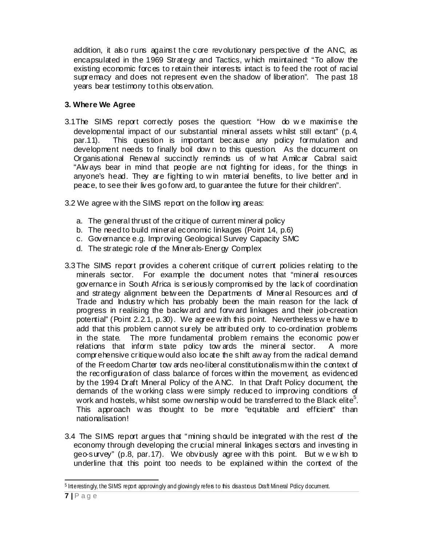addition, it also runs against the core revolutionary perspective of the ANC, as encapsulated in the 1969 Strategy and Tactics, w hich maintained: "To allow the existing economic forces to retain their interests intact is to feed the root of racial supremacy and does not represent even the shadow of liberation". The past 18 years bear testimony to this observation.

# **3. Where We Agree**

- 3.1The SIMS report correctly poses the question: "How do w e maximise the developmental impact of our substantial mineral assets w hilst still extant" (p.4, par.11). This question is important because any policy formulation and development needs to finally boil dow n to this question. As the document on Organisational Renew al succinctly reminds us of w hat Amilcar Cabral said: "Alw ays bear in mind that people are not fighting for ideas, for the things in anyone's head. They are fighting to w in material benefits, to live better and in peace, to see their lives go forw ard, to guarantee the future for their children".
- 3.2 We agree w ith the SIMS report on the follow ing areas:
	- a. The general thrust of the critique of current mineral policy
	- b. The need to build mineral economic linkages (Point 14, p.6)
	- c. Governance e.g. Improving Geological Survey Capacity SMC
	- d. The strategic role of the Minerals-Energy Complex
- 3.3 The SIMS report provides a coherent critique of current policies relating to the minerals sector. For example the document notes that "mineral resources governance in South Africa is seriously compromised by the lack of coordination and strategy alignment betw een the Departments of Mineral Resources and of Trade and Industry w hich has probably been the main reason for the lack of progress in realising the backw ard and forw ard linkages and their job-creation potential" (Point 2.2.1, p.30). We agree w ith this point. Nevertheless w e have to add that this problem cannot surely be attributed only to co-ordination problems<br>in the state. The more fundamental problem remains the economic power The more fundamental problem remains the economic pow er relations that inform state policy tow ards the mineral sector. A more comprehensive critique w ould also locate the shift aw ay from the radical demand of the Freedom Charter tow ards neo-liberal constitutionalism w ithin the context of the reconfiguration of class balance of forces w ithin the movement, as evidenced by the 1994 Draft Mineral Policy of the ANC. In that Draft Policy document, the demands of the w orking class w ere simply reduced to improving conditions of work and hostels, w hilst some ow nership would be transferred to the Black elite<sup>5</sup>. This approach w as thought to be more "equitable and efficient" than nationalisation!
- 3.4 The SIMS report argues that "mining should be integrated w ith the rest of the economy through developing the crucial mineral linkages sectors and investing in geo-survey" (p.8, par.17). We obviously agree w ith this point. But w e w ish to underline that this point too needs to be explained w ithin the context of the

<sup>-</sup><sup>5</sup> Interestingly, the SIMS report approvingly and glowingly refers to this disastrous Draft Mineral Pdicy document.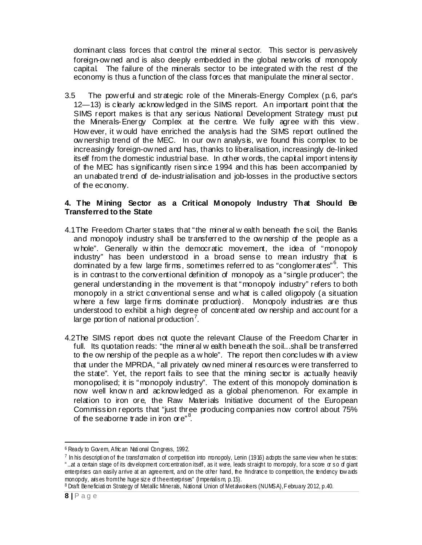dominant class forces that control the mineral sector. This sector is pervasively foreign-ow ned and is also deeply embedded in the global netw orks of monopoly capital. The failure of the minerals sector to be integrated w ith the rest of the economy is thus a function of the class forces that manipulate the mineral sector.

3.5 The pow erful and strategic role of the Minerals-Energy Complex (p.6, par's 12—13) is clearly acknow ledged in the SIMS report. An important point that the SIMS report makes is that any serious National Development Strategy must put the Minerals-Energy Complex at the centre. We fully agree w ith this view . How ever, it w ould have enriched the analysis had the SIMS report outlined the ow nership trend of the MEC. In our ow n analysis, w e found this complex to be increasingly foreign-ow ned and has, thanks to liberalisation, increasingly de-linked itself from the domestic industrial base. In other w ords, the capital import intensity of the MEC has significantly risen since 1994 and this has been accompanied by an unabated trend of de-industrialisation and job-losses in the productive sectors of the economy.

#### **4. The Mining Sector as a Critical Monopoly Industry That Should Be Transferred to the State**

- 4.1The Freedom Charter states that "the mineral w ealth beneath the soil, the Banks and monopoly industry shall be transferred to the ow nership of the people as a whole". Generally within the democratic movement, the idea of "monopoly" industry" has been understood in a broad sense to mean industry that is dominated by a few large firms, sometimes referred to as "conglomerates"<sup>6</sup>. This is in contrast to the conventional definition of monopoly as a "single producer"; the general understanding in the movement is that "monopoly industry" refers to both monopoly in a strict conventional sense and w hat is called oligopoly (a situation where a few large firms dominate production). Monopoly industries are thus understood to exhibit a high degree of concentrated ow nership and account for a large portion of national production<sup>7</sup>.
- 4.2The SIMS report does not quote the relevant Clause of the Freedom Charter in full. Its quotation reads: "the mineral w ealth beneath the soil...shall be transferred to the ow nership of the people as a w hole". The report then concludes w ith a view that under the MPRDA, "all privately ow ned mineral resources w ere transferred to the state". Yet, the report fails to see that the mining sector is actually heavily monopolised; it is "monopoly industry". The extent of this monopoly domination is now well know n and acknow ledged as a global phenomenon. For example in relation to iron ore, the Raw Materials Initiative document of the European Commission reports that "just three producing companies now control about 75% of the seaborne trade in iron ore"<sup>8</sup>.

-

<sup>6</sup> Ready to Gov ern, Afric an Nati onal Congress, 1992.

<sup>&</sup>lt;sup>7</sup> In his description of the transformation of competition into monopoly, Lenin (1916) adopts the same view when he states: " ...at a certain stage of its dev elopment conc entration itself, as it were, leads straight to monopoly, for a score or s o of giant enterprises can easily arrive at an agreement, and on the other hand, the hindrance to competition, the tendency tow ards monopdy, aris es from the huge size of the enterprises" (Imperialism, p. 15).<br><sup>8</sup> Draft Beneficiati on Strategy of Metallic Minerals, National Union of Metalworkers (NUMSA), F ebruary 2012, p.40.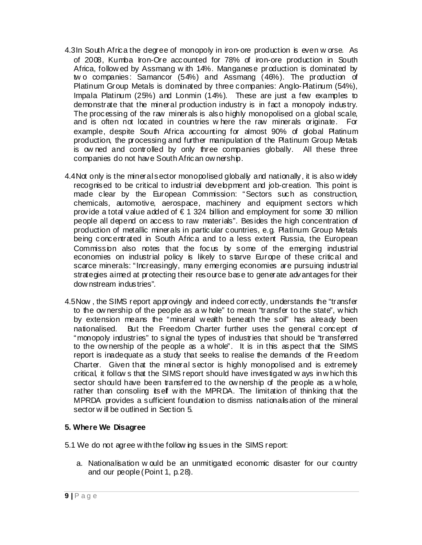- 4.3In South Africa the degree of monopoly in iron-ore production is even w orse. As of 2008, Kumba Iron-Ore accounted for 78% of iron-ore production in South Africa, follow ed by Assmang w ith 14%. Manganese production is dominated by tw o companies: Samancor (54%) and Assmang (46%). The production of Platinum Group Metals is dominated by three companies: Anglo-Platinum (54%), Impala Platinum (25%) and Lonmin (14%). These are just a few examples to demonstrate that the mineral production industry is in fact a monopoly industry. The processing of the raw minerals is also highly monopolised on a global scale, and is often not located in countries w here the raw minerals originate. For example, despite South Africa accounting for almost 90% of global Platinum production, the processing and further manipulation of the Platinum Group Metals is ow ned and controlled by only three companies globally. All these three companies do not have South African ow nership.
- 4.4Not only is the mineral sector monopolised globally and nationally, it is also w idely recognised to be critical to industrial development and job-creation. This point is made clear by the European Commission: "Sectors such as construction, chemicals, automotive, aerospace, machinery and equipment sectors w hich provide a total value added of  $\epsilon$  1 324 billion and employment for some 30 million people all depend on access to raw materials". Besides the high concentration of production of metallic minerals in particular countries, e.g. Platinum Group Metals being concentrated in South Africa and to a less extent Russia, the European Commission also notes that the focus by some of the emerging industrial economies on industrial policy is likely to starve Europe of these critical and scarce minerals: "Increasingly, many emerging economies are pursuing industrial strategies aimed at protecting their resource base to generate advantages for their dow nstream industries".
- 4.5Now , the SIMS report approvingly and indeed correctly, understands the "transfer to the ow nership of the people as a w hole" to mean "transfer to the state", w hich by extension means the "mineral w ealth beneath the soil" has already been nationalised. But the Freedom Charter further uses the general concept of "monopoly industries" to signal the types of industries that should be "transferred to the ow nership of the people as a w hole". It is in this aspect that the SIMS report is inadequate as a study that seeks to realise the demands of the Freedom Charter. Given that the mineral sector is highly monopolised and is extremely critical, it follow s that the SIMS report should have investigated w ays in w hich this sector should have been transferred to the ownership of the people as a whole, rather than consoling itself with the MPRDA. The limitation of thinking that the MPRDA provides a sufficient foundation to dismiss nationalisation of the mineral sector w ill be outlined in Section 5.

## **5. Where We Disagree**

5.1 We do not agree w ith the follow ing issues in the SIMS report:

a. Nationalisation w ould be an unmitigated economic disaster for our country and our people (Point 1, p.28).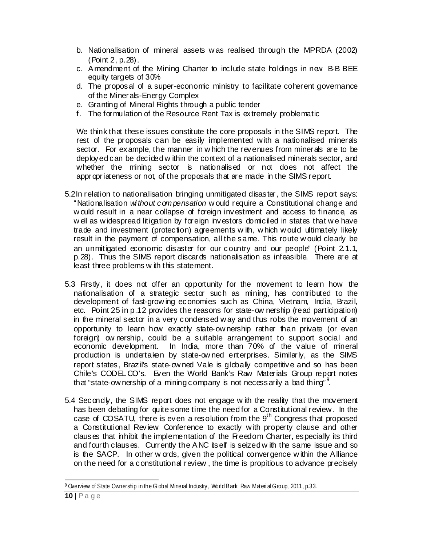- b. Nationalisation of mineral assets w as realised through the MPRDA (2002) (Point 2, p.28).
- c. Amendment of the Mining Charter to include state holdings in new B-B BEE equity targets of 30%
- d. The proposal of a super-economic ministry to facilitate coherent governance of the Minerals-Energy Complex
- e. Granting of Mineral Rights through a public tender
- f. The formulation of the Resource Rent Tax is extremely problematic

We think that these issues constitute the core proposals in the SIMS report. The rest of the proposals can be easily implemented w ith a nationalised minerals sector. For example, the manner in w hich the revenues from minerals are to be deployed can be decided w ithin the context of a nationalised minerals sector, and whether the mining sector is nationalised or not does not affect the appropriateness or not, of the proposals that are made in the SIMS report.

- 5.2In relation to nationalisation bringing unmitigated disaster, the SIMS report says: "Nationalisation *without compensation* w ould require a Constitutional change and w ould result in a near collapse of foreign investment and access to finance, as w ell as w idespread litigation by foreign investors domiciled in states that w e have trade and investment (protection) agreements w ith, w hich w ould ultimately likely result in the payment of compensation, all the same. This route w ould clearly be an unmitigated economic disaster for our country and our people" (Point 2.1.1, p.28). Thus the SIMS report discards nationalisation as infeasible. There are at least three problems w ith this statement.
- 5.3 Firstly, it does not offer an opportunity for the movement to learn how the nationalisation of a strategic sector such as mining, has contributed to the development of fast-grow ing economies such as China, Vietnam, India, Brazil, etc. Point 25 in p.12 provides the reasons for state-ow nership (read participation) in the mineral sector in a very condensed w ay and thus robs the movement of an opportunity to learn how exactly state-ow nership rather than private (or even foreign) ow nership, could be a suitable arrangement to support social and economic development. In India, more than 70% of the value of mineral production is undertaken by state-ow ned enterprises. Similarly, as the SIMS report states, Brazil's state-ow ned Vale is globally competitive and so has been Chile's CODEL CO's. Even the World Bank's Raw Materials Group report notes that "state-ow nership of a mining company is not necessarily a bad thing<sup>", 9</sup>.
- 5.4 Secondly, the SIMS report does not engage w ith the reality that the movement has been debating for quite some time the need for a Constitutional review . In the case of  $COSATU$ , there is even a resolution from the  $9<sup>th</sup>$  Congress that proposed a Constitutional Review Conference to exactly w ith property clause and other clauses that inhibit the implementation of the Freedom Charter, especially its third and fourth clauses. Currently the ANC itself is seized w ith the same issue and so is the SACP. In other w ords, given the political convergence w ithin the Alliance on the need for a constitutional review , the time is propitious to advance precisely

<sup>-</sup>9 Overview of State Ownership in the Global Mineral Industry, World Bark Raw Material Group, 2011, p.33.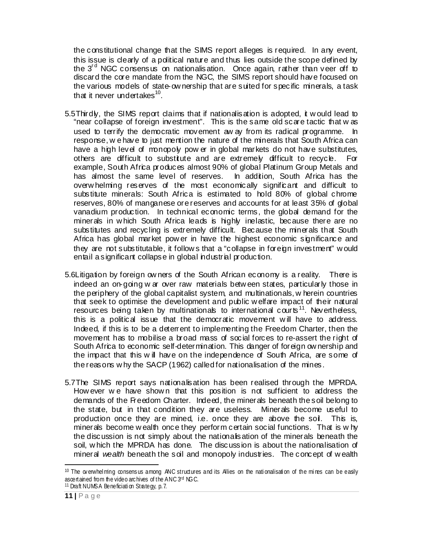the constitutional change that the SIMS report alleges is required. In any event, this issue is clearly of a political nature and thus lies outside the scope defined by the  $3<sup>rd</sup>$  NGC consensus on nationalisation. Once again, rather than veer off to discard the core mandate from the NGC, the SIMS report should have focused on the various models of state-ow nership that are suited for specific minerals, a task that it never undertakes $^{10}$ .

- 5.5Thirdly, the SIMS report claims that if nationalisation is adopted, it w ould lead to "near collapse of foreign investment". This is the same old scare tactic that w as used to terrify the democratic movement aw ay from its radical programme. In response, w e have to just mention the nature of the minerals that South Africa can have a high level of monopoly pow er in global markets do not have substitutes, others are difficult to substitute and are extremely difficult to recycle. For example, South Africa produces almost 90% of global Platinum Group Metals and has almost the same level of reserves. In addition, South Africa has the overw helming reserves of the most economically significant and difficult to substitute minerals: South Africa is estimated to hold 80% of global chrome reserves, 80% of manganese ore reserves and accounts for at least 35% of global vanadium production. In technical economic terms, the global demand for the minerals in w hich South Africa leads is highly inelastic, because there are no substitutes and recycling is extremely difficult. Because the minerals that South Africa has global market pow er in have the highest economic significance and they are not substitutable, it follow s that a "collapse in foreign investment" w ould entail a significant collapse in global industrial production.
- 5.6Litigation by foreign ow ners of the South African economy is a reality. There is indeed an on-going w ar over raw materials betw een states, particularly those in the periphery of the global capitalist system, and multinationals, w herein countries that seek to optimise the development and public w elfare impact of their natural resources being taken by multinationals to international courts<sup>11</sup>. Nevertheless, this is a political issue that the democratic movement w ill have to address. Indeed, if this is to be a deterrent to implementing the Freedom Charter, then the movement has to mobilise a broad mass of social forces to re-assert the right of South Africa to economic self-determination. This danger of foreign ow nership and the impact that this w ill have on the independence of South Africa, are some of the reasons w hy the SACP (1962) called for nationalisation of the mines.
- 5.7The SIMS report says nationalisation has been realised through the MPRDA. How ever we have shown that this position is not sufficient to address the demands of the Freedom Charter. Indeed, the minerals beneath the soil belong to the state, but in that condition they are useless. Minerals become useful to production once they are mined, i.e. once they are above the soil. This is, minerals become w ealth once they perform certain social functions. That is w hy the discussion is not simply about the nationalisation of the minerals beneath the soil, w hich the MPRDA has done. The discussion is about the nationalisation of mineral *wealth* beneath the soil and monopoly industries. The concept of w ealth

-

 $10$  The overwhelming consensus among ANC structures and its Allies on the nationalisation of the mines can be easily ascertained from the video arc hives of the ANC 3rd NGC.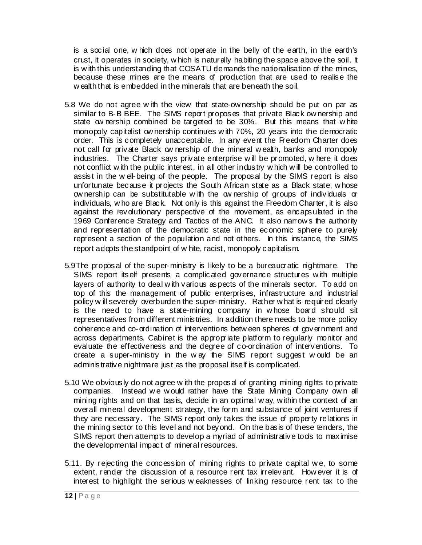is a social one, w hich does not operate in the belly of the earth, in the earth's crust, it operates in society, w hich is naturally habiting the space above the soil. It is with this understanding that COSATU demands the nationalisation of the mines, because these mines are the means of production that are used to realise the w ealth that is embedded in the minerals that are beneath the soil.

- 5.8 We do not agree w ith the view that state-ow nership should be put on par as similar to B-B BEE. The SIMS report proposes that private Black ow nership and state ow nership combined be targeted to be 30%. But this means that w hite monopoly capitalist ow nership continues w ith 70%, 20 years into the democratic order. This is completely unacceptable. In any event the Freedom Charter does not call for private Black ow nership of the mineral w ealth, banks and monopoly industries. The Charter says private enterprise will be promoted, where it does not conflict w ith the public interest, in all other industry w hich w ill be controlled to assist in the w ell-being of the people. The proposal by the SIMS report is also unfortunate because it projects the South African state as a Black state, w hose ow nership can be substitutable w ith the ow nership of groups of individuals or individuals, w ho are Black. Not only is this against the Freedom Charter, it is also against the revolutionary perspective of the movement, as encapsulated in the 1969 Conference Strategy and Tactics of the ANC. It also narrow s the authority and representation of the democratic state in the economic sphere to purely represent a section of the population and not others. In this instance, the SIMS report adopts the standpoint of w hite, racist, monopoly capitalism.
- 5.9The proposal of the super-ministry is likely to be a bureaucratic nightmare. The SIMS report itself presents a complicated governance structures w ith multiple layers of authority to deal w ith various aspects of the minerals sector. To add on top of this the management of public enterprises, infrastructure and industrial policy w ill severely overburden the super-ministry. Rather w hat is required clearly is the need to have a state-mining company in w hose board should sit representatives from different ministries. In addition there needs to be more policy coherence and co-ordination of interventions betw een spheres of government and across departments. Cabinet is the appropriate platform to regularly monitor and evaluate the effectiveness and the degree of co-ordination of interventions. To create a super-ministry in the w ay the SIMS report suggest w ould be an administrative nightmare just as the proposal itself is complicated.
- 5.10 We obviously do not agree w ith the proposal of granting mining rights to private companies. Instead w e w ould rather have the State Mining Company ow n all mining rights and on that basis, decide in an optimal w ay, w ithin the context of an overall mineral development strategy, the form and substance of joint ventures if they are necessary. The SIMS report only takes the issue of property relations in the mining sector to this level and not beyond. On the basis of these tenders, the SIMS report then attempts to develop a myriad of administrative tools to maximise the developmental impact of mineral resources.
- 5.11. By rejecting the concession of mining rights to private capital w e, to some extent, render the discussion of a resource rent tax irrelevant. How ever it is of interest to highlight the serious w eaknesses of linking resource rent tax to the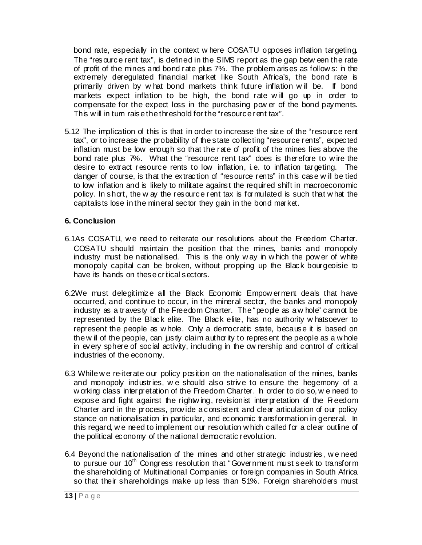bond rate, especially in the context w here COSATU opposes inflation targeting. The "resource rent tax", is defined in the SIMS report as the gap betw een the rate of profit of the mines and bond rate plus 7%. The problem arises as follow s: in the extremely deregulated financial market like South Africa's, the bond rate is primarily driven by w hat bond markets think future inflation w ill be. If bond markets expect inflation to be high, the bond rate w ill go up in order to compensate for the expect loss in the purchasing pow er of the bond payments. This will in turn raise the threshold for the "resource rent tax".

5.12 The implication of this is that in order to increase the size of the "resource rent tax", or to increase the probability of the state collecting "resource rents", expected inflation must be low enough so that the rate of profit of the mines lies above the bond rate plus 7%. What the "resource rent tax" does is therefore to w ire the desire to extract resource rents to low inflation, i.e. to inflation targeting. The danger of course, is that the extraction of "resource rents" in this case w ill be tied to low inflation and is likely to militate against the required shift in macroeconomic policy. In short, the w ay the resource rent tax is formulated is such that w hat the capitalists lose in the mineral sector they gain in the bond market.

#### **6. Conclusion**

- 6.1As COSATU, w e need to reiterate our resolutions about the Freedom Charter. COSATU should maintain the position that the mines, banks and monopoly industry must be nationalised. This is the only way in which the power of white monopoly capital can be broken, w ithout propping up the Black bourgeoisie to have its hands on these critical sectors.
- 6.2We must delegitimize all the Black Economic Empow erment deals that have occurred, and continue to occur, in the mineral sector, the banks and monopoly industry as a travesty of the Freedom Charter. The "people as a w hole" cannot be represented by the Black elite. The Black elite, has no authority w hatsoever to represent the people as w hole. Only a democratic state, because it is based on the w ill of the people, can justly claim authority to represent the people as a w hole in every sphere of social activity, including in the ow nership and control of critical industries of the economy.
- 6.3 While we re-iterate our policy position on the nationalisation of the mines, banks and monopoly industries, w e should also strive to ensure the hegemony of a w orking class interpretation of the Freedom Charter. In order to do so, w e need to expose and fight against the rightw ing, revisionist interpretation of the Freedom Charter and in the process, provide a consistent and clear articulation of our policy stance on nationalisation in particular, and economic transformation in general. In this regard, w e need to implement our resolution w hich called for a clear outline of the political economy of the national democratic revolution.
- 6.4 Beyond the nationalisation of the mines and other strategic industries, w e need to pursue our 10<sup>th</sup> Congress resolution that "Government must seek to transform the shareholding of Multinational Companies or foreign companies in South Africa so that their shareholdings make up less than 51%. Foreign shareholders must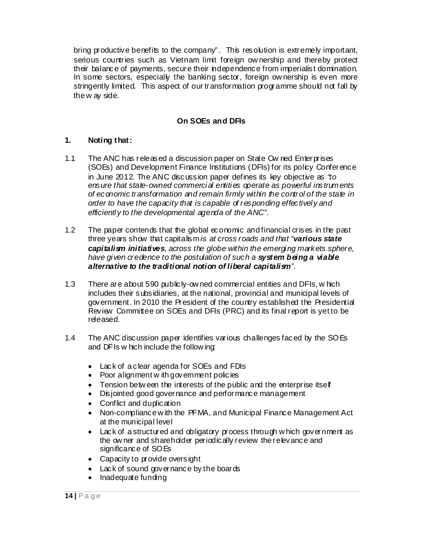bring productive benefits to the company". This resolution is extremely important, serious countries such as Vietnam limit foreign ow nership and thereby protect their balance of payments, secure their independence from imperialist domination. In some sectors, especially the banking sector, foreign ow nership is even more stringently limited. This aspect of our transformation programme should not fall by the w ay side.

## **On SOEs and DFIs**

## **1. Noting that:**

- 1.1 The ANC has released a discussion paper on State Ow ned Enterprises (SOEs) and Development Finance Institutions (DFIs) for its policy Conference in June 2012. The ANC discussion paper defines its key objective as *"to ensure that state-owned commercial entities operate as powerful instruments of economic transformation and remain firmly within the control of the state in order to have the capacity that is capable of responding effectively and efficiently to the developmental agenda of the ANC"*.
- 1.2 The paper contends that the global economic and financial crises in the past three years show that capitalism *is at cross roads and that "various state capitalism initiatives, across the globe within the emerging markets sphere, have given credence to the postulation of such a system being a viable alternative to the traditional notion of liberal capitalism*".
- 1.3 There are about 590 publicly-ow ned commercial entities and DFIs, w hich includes their subsidiaries, at the national, provincial and municipal levels of government. In 2010 the President of the country established the Presidential Review Committee on SOEs and DFIs (PRC) and its final report is yet to be released.
- 1.4 The ANC discussion paper identifies various challenges faced by the SOEs and DFIs w hich include the follow ing:
	- Lack of a clear agenda for SOEs and FDIs
	- Poor alignment w ith government policies
	- Tension betw een the interests of the public and the enterprise itself
	- Disjointed good governance and performance management
	- Conflict and duplication
	- Non-compliance w ith the PFMA, and Municipal Finance Management Act at the municipal level
	- Lack of a structured and obligatory process through w hich government as the owner and shareholder periodically review the relevance and significance of SOEs
	- Capacity to provide oversight
	- Lack of sound governance by the boards
	- Inadequate funding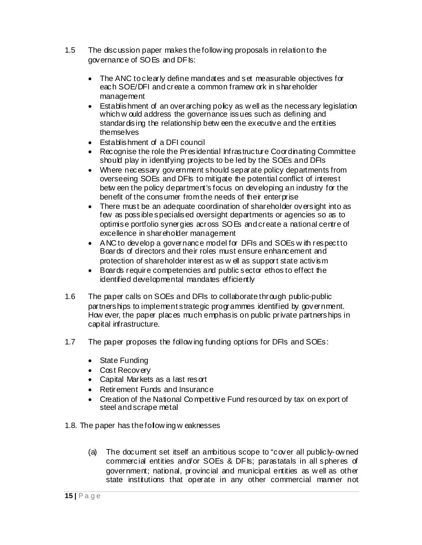- 1.5 The discussion paper makes the follow ing proposals in relation to the governance of SOEs and DFIs:
	- The ANC to clearly define mandates and set measurable objectives for each SOE/DFI and create a common framew ork in shareholder management
	- Establishment of an overarching policy as well as the necessary legislation which w ould address the governance issues such as defining and standardising the relationship betw een the executive and the entities themselves
	- Establishment of a DFI council
	- Recognise the role the Presidential Infrastructure Coordinating Committee should play in identifying projects to be led by the SOEs and DFIs
	- Where necessary government should separate policy departments from overseeing SOEs and DFIs to mitigate the potential conflict of interest betw een the policy department's focus on developing an industry for the benefit of the consumer from the needs of their enterprise
	- There must be an adequate coordination of shareholder oversight into as few as possible specialised oversight departments or agencies so as to optimise portfolio synergies across SOEs and create a national centre of excellence in shareholder management
	- ANC to develop a governance model for DFIs and SOEs with respect to Boards of directors and their roles must ensure enhancement and protection of shareholder interest as w ell as support state activism
	- Boards require competencies and public sector ethos to effect the identified developmental mandates efficiently
- 1.6 The paper calls on SOEs and DFIs to collaborate through public-public partnerships to implement strategic programmes identified by government. How ever, the paper places much emphasis on public private partnerships in capital infrastructure.
- 1.7 The paper proposes the follow ing funding options for DFIs and SOEs:
	- State Funding
	- Cost Recovery
	- Capital Markets as a last resort
	- Retirement Funds and Insurance
	- Creation of the National Competitive Fund resourced by tax on export of steel and scrape metal
- 1.8. The paper has the follow ing w eaknesses
	- (a) The document set itself an ambitious scope to "cover all publicly-ow ned commercial entities and/or SOEs & DFIs; parastatals in all spheres of government; national, provincial and municipal entities as w ell as other state institutions that operate in any other commercial manner not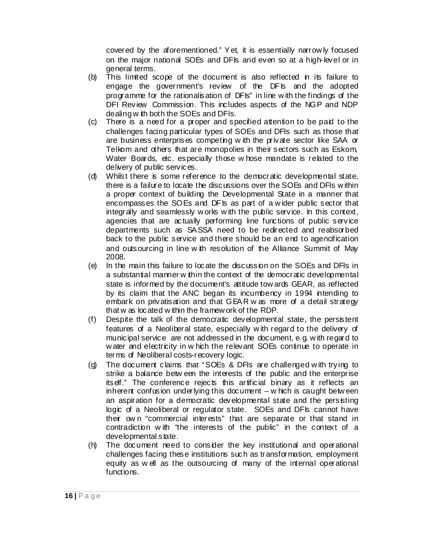covered by the aforementioned." Yet, it is essentially narrow ly focused on the major national SOEs and DFIs and even so at a high-level or in general terms.

- (b) This limited scope of the document is also reflected in its failure to engage the government's review of the DFIs and the adopted programme for the rationalisation of DFIs" in line w ith the findings of the DFI Review Commission. This includes aspects of the NGP and NDP dealing w ith both the SOEs and DFIs.
- (c) There is a need for a proper and specified attention to be paid to the challenges facing particular types of SOEs and DFIs such as those that are business enterprises competing w ith the private sector like SAA or Telkom and others that are monopolies in their sectors such as Eskom, Water Boards, etc. especially those w hose mandate is related to the delivery of public services.
- (d) Whilst there is some reference to the democratic developmental state, there is a failure to locate the discussions over the SOEs and DFIs w ithin a proper context of building the Developmental State in a manner that encompasses the SOEs and DFIs as part of a wider public sector that integrally and seamlessly w orks w ith the public service. In this context, agencies that are actually performing line functions of public service departments such as SASSA need to be redirected and reabsorbed back to the public service and there should be an end to agencification and outsourcing in line w ith resolution of the Alliance Summit of May 2008.
- (e) In the main this failure to locate the discussion on the SOEs and DFIs in a substantial manner w ithin the context of the democratic developmental state is informed by the document's attitude tow ards GEAR, as reflected by its claim that the ANC began its incumbency in 1994 intending to embark on privatisation and that GEAR was more of a detail strategy that w as located w ithin the framew ork of the RDP.
- (f) Despite the talk of the democratic developmental state, the persistent features of a Neoliberal state, especially w ith regard to the delivery of municipal service are not addressed in the document, e.g. with regard to water and electricity in w hich the relevant SOEs continue to operate in terms of Neoliberal costs-recovery logic.
- (g) The document claims that "SOEs & DFIs are challenged w ith trying to strike a balance betw een the interests of the public and the enterprise itself." The conference rejects this artificial binary as it reflects an inherent confusion underlying this document  $-w$  hich is caught between an aspiration for a democratic developmental state and the persisting logic of a Neoliberal or regulator state. SOEs and DFIs cannot have their ow n "commercial interests" that are separate or that stand in contradiction with "the interests of the public" in the context of a developmental state.
- (h) The document need to consider the key institutional and operational challenges facing these institutions such as transformation, employment equity as w ell as the outsourcing of many of the internal operational functions.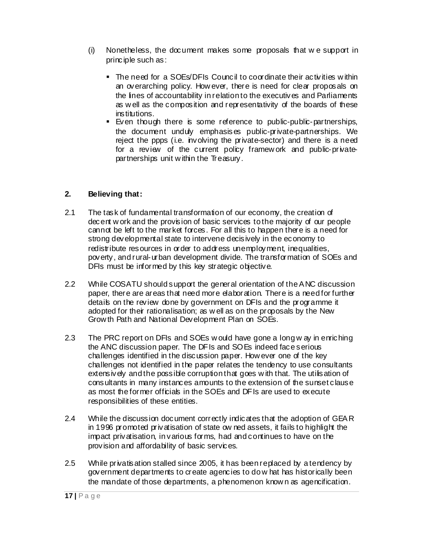- (i) Nonetheless, the document makes some proposals that w e support in principle such as:
	- The need for a SOEs/DFIs Council to coordinate their activities w ithin an overarching policy. How ever, there is need for clear proposals on the lines of accountability in relation to the executives and Parliaments as w ell as the composition and representativity of the boards of these institutions.
	- Even though there is some reference to public-public-partnerships, the document unduly emphasises public-private-partnerships. We reject the ppps (i.e. involving the private-sector) and there is a need for a review of the current policy framew ork and public-privatepartnerships unit w ithin the Treasury.

## **2. Believing that:**

- 2.1 The task of fundamental transformation of our economy, the creation of decent w ork and the provision of basic services to the majority of our people cannot be left to the market forces. For all this to happen there is a need for strong developmental state to intervene decisively in the economy to redistribute resources in order to address unemployment, inequalities, poverty, and rural-urban development divide. The transformation of SOEs and DFIs must be informed by this key strategic objective.
- 2.2 While COSATU should support the general orientation of the ANC discussion paper, there are areas that need more elaboration. There is a need for further details on the review done by government on DFIs and the programme it adopted for their rationalisation; as w ell as on the proposals by the New Grow th Path and National Development Plan on SOEs.
- 2.3 The PRC report on DFIs and SOEs would have gone a long w ay in enriching the ANC discussion paper. The DFIs and SOEs indeed face serious challenges identified in the discussion paper. How ever one of the key challenges not identified in the paper relates the tendency to use consultants extensively and the possible corruption that goes with that. The utilisation of consultants in many instances amounts to the extension of the sunset clause as most the former officials in the SOEs and DFIs are used to execute responsibilities of these entities.
- 2.4 While the discussion document correctly indicates that the adoption of GEAR in 1996 promoted privatisation of state ow ned assets, it fails to highlight the impact privatisation, in various forms, had and continues to have on the provision and affordability of basic services.
- 2.5 While privatisation stalled since 2005, it has been replaced by a tendency by government departments to create agencies to do w hat has historically been the mandate of those departments, a phenomenon know n as agencification.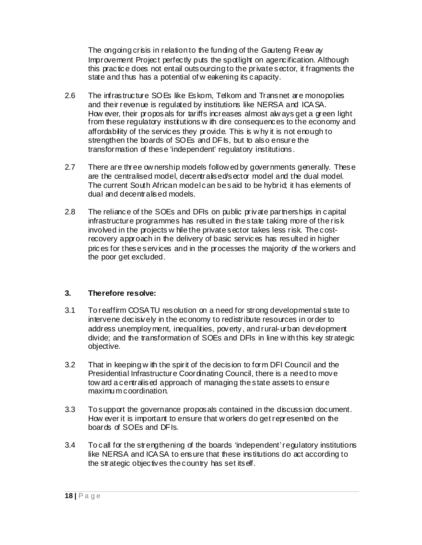The ongoing crisis in relation to the funding of the Gauteng Freew ay Improvement Project perfectly puts the spotlight on agencification. Although this practice does not entail outsourcing to the private sector, it fragments the state and thus has a potential of w eakening its capacity.

- 2.6 The infrastructure SOEs like Eskom, Telkom and Transnet are monopolies and their revenue is regulated by institutions like NERSA and ICASA. How ever, their proposals for tariffs increases almost alw ays get a green light from these regulatory institutions w ith dire consequences to the economy and affordability of the services they provide. This is w hy it is not enough to strengthen the boards of SOEs and DFIs, but to also ensure the transformation of these 'independent' regulatory institutions.
- 2.7 There are three ow nership models follow ed by governments generally. These are the centralised model, decentralised/sector model and the dual model. The current South African model can be said to be hybrid; it has elements of dual and decentralised models.
- 2.8 The reliance of the SOEs and DFIs on public private partnerships in capital infrastructure programmes has resulted in the state taking more of the risk involved in the projects w hile the private sector takes less risk. The costrecovery approach in the delivery of basic services has resulted in higher prices for these services and in the processes the majority of the w orkers and the poor get excluded.

## **3. Therefore resolve:**

- 3.1 To reaffirm COSATU resolution on a need for strong developmental state to intervene decisively in the economy to redistribute resources in order to address unemployment, inequalities, poverty, and rural-urban development divide; and the transformation of SOEs and DFIs in line w ith this key strategic objective.
- 3.2 That in keeping w ith the spirit of the decision to form DFI Council and the Presidential Infrastructure Coordinating Council, there is a need to move tow ard a centralised approach of managing the state assets to ensure maximu m coordination.
- 3.3 To support the governance proposals contained in the discussion document. How ever it is important to ensure that w orkers do get represented on the boards of SOEs and DFIs.
- 3.4 To call for the strengthening of the boards 'independent' regulatory institutions like NERSA and ICASA to ensure that these institutions do act according to the strategic objectives the country has set itself.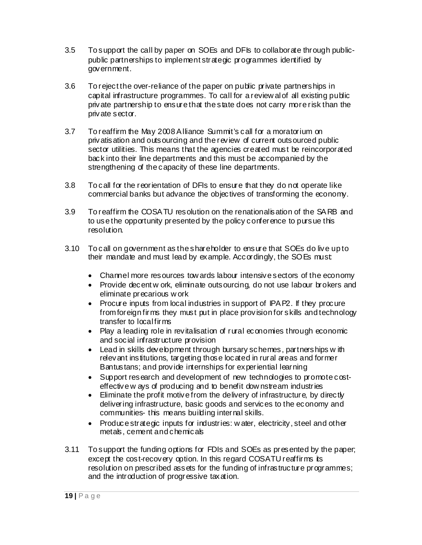- 3.5 To support the call by paper on SOEs and DFIs to collaborate through publicpublic partnerships to implement strategic programmes identified by government.
- 3.6 To reject the over-reliance of the paper on public private partnerships in capital infrastructure programmes. To call for a review al of all existing public private partnership to ensure that the state does not carry more risk than the private sector.
- 3.7 To reaffirm the May 2008 Alliance Summit's call for a moratorium on privatisation and outsourcing and the review of current outsourced public sector utilities. This means that the agencies created must be reincorporated back into their line departments and this must be accompanied by the strengthening of the capacity of these line departments.
- 3.8 To call for the reorientation of DFIs to ensure that they do not operate like commercial banks but advance the objectives of transforming the economy.
- 3.9 To reaffirm the COSATU resolution on the renationalisation of the SARB and to use the opportunity presented by the policy conference to pursue this resolution.
- 3.10 To call on government as the shareholder to ensure that SOEs do live up to their mandate and must lead by example. Accordingly, the SOEs must:
	- Channel more resources tow ards labour intensive sectors of the economy
	- Provide decent w ork, eliminate outsourcing, do not use labour brokers and eliminate precarious w ork
	- Procure inputs from local industries in support of IPAP2. If they procure from foreign firms they must put in place provision for skills and technology transfer to local firms
	- Play a leading role in revitalisation of rural economies through economic and social infrastructure provision
	- Lead in skills development through bursary schemes, partnerships with relevant institutions, targeting those located in rural areas and former Bantustans; and provide internships for experiential learning
	- Support research and development of new technologies to promote costeffective w ays of producing and to benefit dow nstream industries
	- Eliminate the profit motive from the delivery of infrastructure, by directly delivering infrastructure, basic goods and services to the economy and communities- this means building internal skills.
	- Produce strategic inputs for industries: water, electricity, steel and other metals, cement and chemicals
- 3.11 To support the funding options for FDIs and SOEs as presented by the paper; except the cost-recovery option. In this regard COSATU reaffirms its resolution on prescribed assets for the funding of infrastructure programmes; and the introduction of progressive taxation.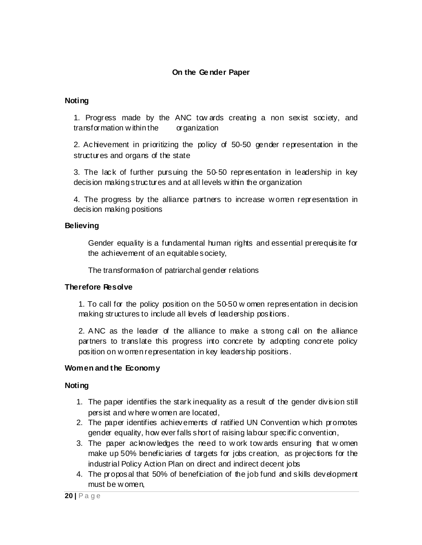## **On the Ge nder Paper**

#### **Noting**

1. Progress made by the ANC tow ards creating a non sexist society, and transformation w ithin the organization

2. Achievement in prioritizing the policy of 50-50 gender representation in the structures and organs of the state

3. The lack of further pursuing the 50-50 representation in leadership in key decision making structures and at all levels w ithin the organization

4. The progress by the alliance partners to increase w omen representation in decision making positions

#### **Believing**

Gender equality is a fundamental human rights and essential prerequisite for the achievement of an equitable society,

The transformation of patriarchal gender relations

#### **Therefore Resolve**

1. To call for the policy position on the 50-50 w omen representation in decision making structures to include all levels of leadership positions.

2. ANC as the leader of the alliance to make a strong call on the alliance partners to translate this progress into concrete by adopting concrete policy position on w omen representation in key leadership positions.

## **Women and the Economy**

- 1. The paper identifies the stark inequality as a result of the gender division still persist and w here w omen are located,
- 2. The paper identifies achievements of ratified UN Convention w hich promotes gender equality, how ever falls short of raising labour specific convention,
- 3. The paper acknow ledges the need to w ork tow ards ensuring that w omen make up 50% beneficiaries of targets for jobs creation, as projections for the industrial Policy Action Plan on direct and indirect decent jobs
- 4. The proposal that 50% of beneficiation of the job fund and skills development must be w omen,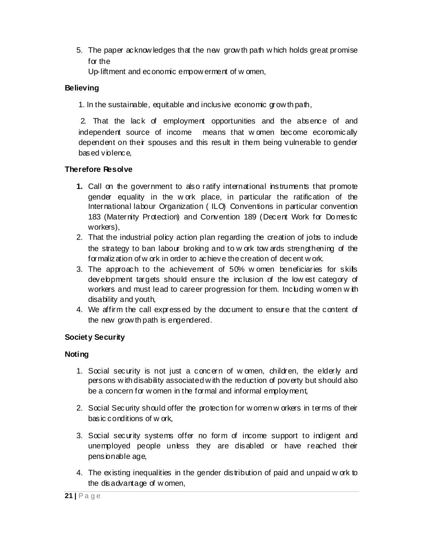5. The paper acknow ledges that the new grow th path w hich holds great promise for the

Up-liftment and economic empow erment of w omen,

# **Believing**

1. In the sustainable, equitable and inclusive economic grow th path,

 2. That the lack of employment opportunities and the absence of and independent source of income means that w omen become economically dependent on their spouses and this result in them being vulnerable to gender based violence,

# **Therefore Resolve**

- **1.** Call on the government to also ratify international instruments that promote gender equality in the w ork place, in particular the ratification of the International labour Organization ( ILO) Conventions in particular convention 183 (Maternity Protection) and Convention 189 (Decent Work for Do mestic workers),
- 2. That the industrial policy action plan regarding the creation of jobs to include the strategy to ban labour broking and to w ork tow ards strengthening of the formalization of w ork in order to achieve the creation of decent w ork.
- 3. The approach to the achievement of 50% w omen beneficiaries for skills development targets should ensure the inclusion of the low est category of workers and must lead to career progression for them. Including w omen w ith disability and youth,
- 4. We affirm the call expressed by the document to ensure that the content of the new grow th path is engendered.

# **Society Security**

- 1. Social security is not just a concern of w omen, children, the elderly and persons w ith disability associated w ith the reduction of poverty but should also be a concern for w omen in the formal and informal employment,
- 2. Social Security should offer the protection for w omen w orkers in terms of their basic conditions of w ork,
- 3. Social security systems offer no form of income support to indigent and unemployed people unless they are disabled or have reached their pensionable age,
- 4. The existing inequalities in the gender distribution of paid and unpaid w ork to the disadvantage of w omen,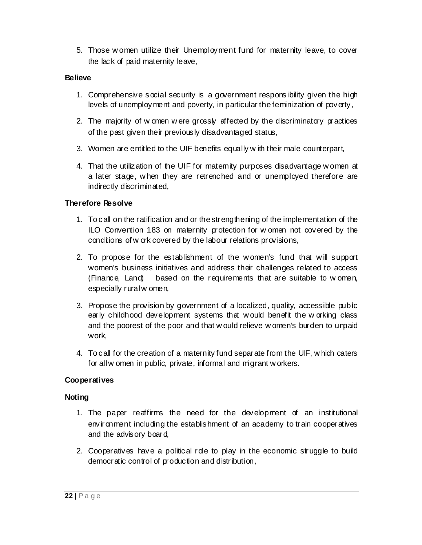5. Those w omen utilize their Unemployment fund for maternity leave, to cover the lack of paid maternity leave,

## **Believe**

- 1. Comprehensive social security is a government responsibility given the high levels of unemployment and poverty, in particular the feminization of poverty,
- 2. The majority of w omen w ere grossly affected by the discriminatory practices of the past given their previously disadvantaged status,
- 3. Women are entitled to the UIF benefits equally w ith their male counterpart,
- 4. That the utilization of the UIF for maternity purposes disadvantage w omen at a later stage, w hen they are retrenched and or unemployed therefore are indirectly discriminated,

# **Therefore Resolve**

- 1. To call on the ratification and or the strengthening of the implementation of the ILO Convention 183 on maternity protection for w omen not covered by the conditions of w ork covered by the labour relations provisions,
- 2. To propose for the establishment of the w omen's fund that w ill support women's business initiatives and address their challenges related to access (Finance, Land) based on the requirements that are suitable to w omen, especially rural w omen,
- 3. Propose the provision by government of a localized, quality, accessible public early childhood development systems that w ould benefit the w orking class and the poorest of the poor and that w ould relieve w omen's burden to unpaid work,
- 4. To call for the creation of a maternity fund separate from the UIF, w hich caters for all w omen in public, private, informal and migrant w orkers.

## **Cooperatives**

- 1. The paper reaffirms the need for the development of an institutional environment including the establishment of an academy to train cooperatives and the advisory board,
- 2. Cooperatives have a political role to play in the economic struggle to build democratic control of production and distribution,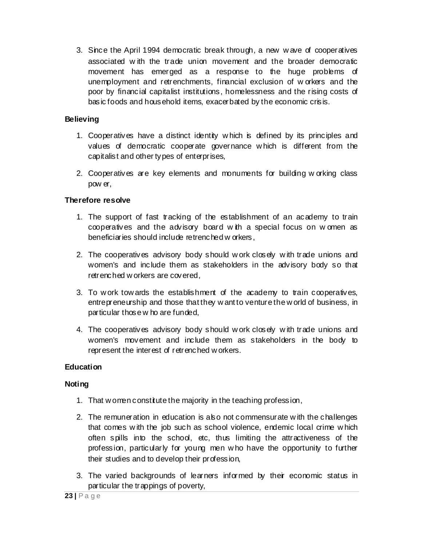3. Since the April 1994 democratic break through, a new w ave of cooperatives associated w ith the trade union movement and the broader democratic movement has emerged as a response to the huge problems of unemployment and retrenchments, financial exclusion of w orkers and the poor by financial capitalist institutions, homelessness and the rising costs of basic foods and household items, exacerbated by the economic crisis.

## **Believing**

- 1. Cooperatives have a distinct identity w hich is defined by its principles and values of democratic cooperate governance w hich is different from the capitalist and other types of enterprises,
- 2. Cooperatives are key elements and monuments for building w orking class pow er,

# **Therefore resolve**

- 1. The support of fast tracking of the establishment of an academy to train cooperatives and the advisory board w ith a special focus on w omen as beneficiaries should include retrenched w orkers,
- 2. The cooperatives advisory body should w ork closely w ith trade unions and women's and include them as stakeholders in the advisory body so that retrenched w orkers are covered,
- 3. To w ork tow ards the establishment of the academy to train cooperatives, entrepreneurship and those that they w ant to venture the w orld of business, in particular those w ho are funded,
- 4. The cooperatives advisory body should w ork closely w ith trade unions and women's movement and include them as stakeholders in the body to represent the interest of retrenched w orkers.

## **Education**

- 1. That w omen constitute the majority in the teaching profession,
- 2. The remuneration in education is also not commensurate w ith the challenges that comes w ith the job such as school violence, endemic local crime w hich often spills into the school, etc, thus limiting the attractiveness of the profession, particularly for young men w ho have the opportunity to further their studies and to develop their profession,
- 3. The varied backgrounds of learners informed by their economic status in particular the trappings of poverty,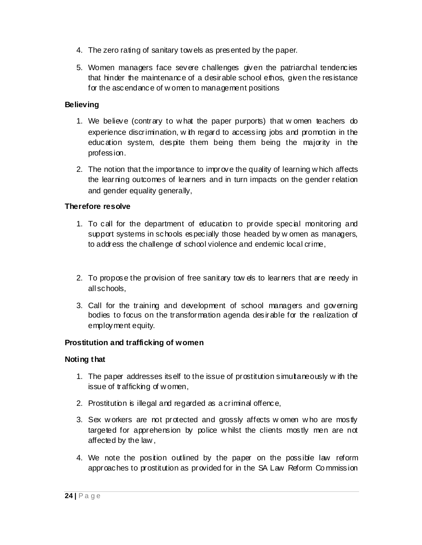- 4. The zero rating of sanitary tow els as presented by the paper.
- 5. Women managers face severe challenges given the patriarchal tendencies that hinder the maintenance of a desirable school ethos, given the resistance for the ascendance of w omen to management positions

# **Believing**

- 1. We believe (contrary to w hat the paper purports) that w omen teachers do experience discrimination, w ith regard to accessing jobs and promotion in the education system, despite them being them being the majority in the profession.
- 2. The notion that the importance to improve the quality of learning w hich affects the learning outcomes of learners and in turn impacts on the gender relation and gender equality generally,

# **Therefore resolve**

- 1. To call for the department of education to provide special monitoring and support systems in schools especially those headed by w omen as managers, to address the challenge of school violence and endemic local crime,
- 2. To propose the provision of free sanitary tow els to learners that are needy in all schools,
- 3. Call for the training and development of school managers and governing bodies to focus on the transformation agenda desirable for the realization of employment equity.

# **Prostitution and trafficking of women**

## **Noting that**

- 1. The paper addresses itself to the issue of prostitution simultaneously w ith the issue of trafficking of w omen,
- 2. Prostitution is illegal and regarded as a criminal offence,
- 3. Sex w orkers are not protected and grossly affects w omen w ho are mostly targeted for apprehension by police w hilst the clients mostly men are not affected by the law ,
- 4. We note the position outlined by the paper on the possible law reform approaches to prostitution as provided for in the SA Law Reform Co mmission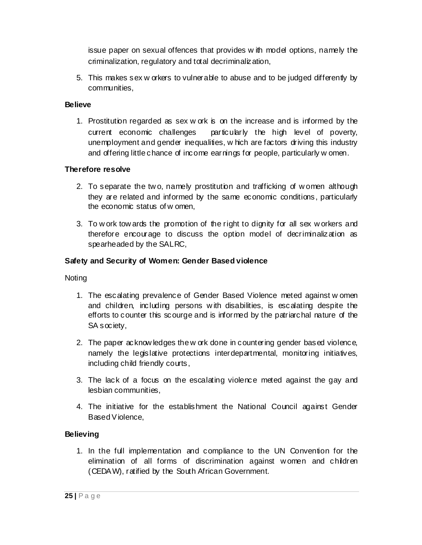issue paper on sexual offences that provides w ith model options, namely the criminalization, regulatory and total decriminalization,

5. This makes sex w orkers to vulnerable to abuse and to be judged differently by communities,

## **Believe**

1. Prostitution regarded as sex w ork is on the increase and is informed by the current economic challenges particularly the high level of poverty, unemployment and gender inequalities, w hich are factors driving this industry and offering little chance of income earnings for people, particularly w omen.

# **Therefore resolve**

- 2. To separate the tw o, namely prostitution and trafficking of w omen although they are related and informed by the same economic conditions, particularly the economic status of w omen,
- 3. To w ork tow ards the promotion of the right to dignity for all sex w orkers and therefore encourage to discuss the option model of decriminalization as spearheaded by the SALRC,

# **Safety and Security of Women: Gender Based violence**

Noting

- 1. The escalating prevalence of Gender Based Violence meted against w omen and children, including persons w ith disabilities, is escalating despite the efforts to counter this scourge and is informed by the patriarchal nature of the SA society,
- 2. The paper acknow ledges the w ork done in countering gender based violence, namely the legislative protections interdepartmental, monitoring initiatives, including child friendly courts,
- 3. The lack of a focus on the escalating violence meted against the gay and lesbian communities,
- 4. The initiative for the establishment the National Council against Gender Based Violence,

# **Believing**

1. In the full implementation and compliance to the UN Convention for the elimination of all forms of discrimination against w omen and children (CEDAW), ratified by the South African Government.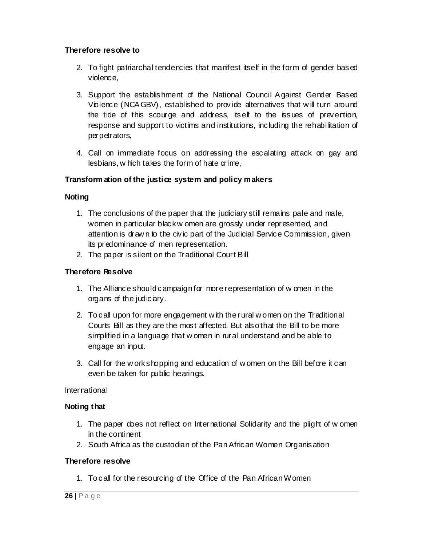## **Therefore resolve to**

- 2. To fight patriarchal tendencies that manifest itself in the form of gender based violence,
- 3. Support the establishment of the National Council Against Gender Based Violence (NCAGBV), established to provide alternatives that w ill turn around the tide of this scourge and address, itself to the issues of prevention, response and support to victims and institutions, including the rehabilitation of perpetrators,
- 4. Call on immediate focus on addressing the escalating attack on gay and lesbians, w hich takes the form of hate crime,

## **Transform ation of the justice system and policy makers**

#### **Noting**

- 1. The conclusions of the paper that the judiciary still remains pale and male, women in particular black w omen are grossly under represented, and attention is draw n to the civic part of the Judicial Service Commission, given its predominance of men representation.
- 2. The paper is silent on the Traditional Court Bill

#### **Therefore Resolve**

- 1. The Alliance should campaign for more representation of w omen in the organs of the judiciary.
- 2. To call upon for more engagement w ith the rural w omen on the Traditional Courts Bill as they are the most affected. But also that the Bill to be more simplified in a language that w omen in rural understand and be able to engage an input.
- 3. Call for the w ork shopping and education of w omen on the Bill before it can even be taken for public hearings.

#### **International**

#### **Noting that**

- 1. The paper does not reflect on International Solidarity and the plight of w omen in the continent
- 2. South Africa as the custodian of the Pan African Women Organisation

#### **Therefore resolve**

1. To call for the resourcing of the Office of the Pan African Women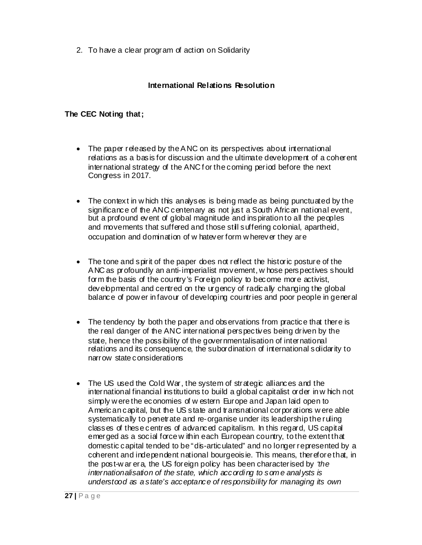2. To have a clear program of action on Solidarity

## **International Relations Resolution**

#### **The CEC Noting that;**

- The paper released by the ANC on its perspectives about international relations as a basis for discussion and the ultimate development of a coherent international strategy of the ANC for the coming period before the next Congress in 2017.
- The context in w hich this analyses is being made as being punctuated by the significance of the ANC centenary as not just a South African national event, but a profound event of global magnitude and inspiration to all the peoples and movements that suffered and those still suffering colonial, apartheid, occupation and domination of w hatever form w herever they are
- The tone and spirit of the paper does not reflect the historic posture of the ANC as profoundly an anti-imperialist movement, w hose perspectives should form the basis of the country's Foreign policy to become more activist, developmental and centred on the urgency of radically changing the global balance of pow er in favour of developing countries and poor people in general
- The tendency by both the paper and observations from practice that there is the real danger of the ANC international perspectives being driven by the state, hence the possibility of the governmentalisation of international relations and its consequence, the subordination of international solidarity to narrow state considerations
- The US used the Cold War, the system of strategic alliances and the international financial institutions to build a global capitalist order in w hich not simply w ere the economies of w estern Europe and Japan laid open to American capital, but the US state and transnational corporations w ere able systematically to penetrate and re-organise under its leadership the ruling classes of these centres of advanced capitalism. In this regard, US capital emerged as a social force w ithin each European country, to the extent that domestic capital tended to be "dis-articulated" and no longer represented by a coherent and independent national bourgeoisie. This means, therefore that, in the post-w ar era, the US foreign policy has been characterised by *'the internationalisation of the state, which according to some analysts is understood as a state's acceptance of responsibility for managing its own*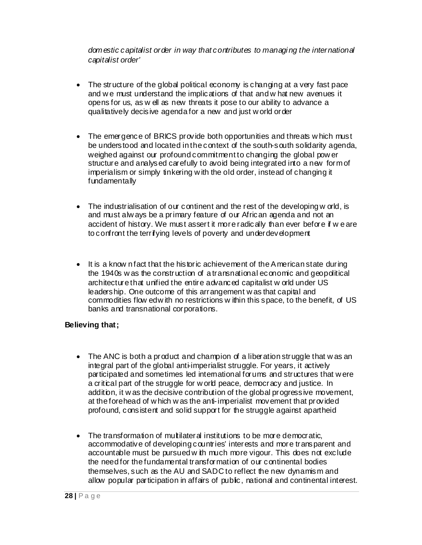*domestic capitalist order in way that contributes to managing the international capitalist order'* 

- The structure of the global political economy is changing at a very fast pace and w e must understand the implications of that and w hat new avenues it opens for us, as w ell as new threats it pose to our ability to advance a qualitatively decisive agenda for a new and just w orld order
- The emergence of BRICS provide both opportunities and threats w hich must be understood and located in the context of the south-south solidarity agenda, weighed against our profound commitment to changing the global pow er structure and analysed carefully to avoid being integrated into a new form of imperialism or simply tinkering w ith the old order, instead of changing it fundamentally
- The industrialisation of our continent and the rest of the developing w orld, is and must alw ays be a primary feature of our African agenda and not an accident of history. We must assert it more radically than ever before if we are to confront the terrifying levels of poverty and underdevelopment
- It is a know n fact that the historic achievement of the American state during the 1940s w as the construction of a transnational economic and geopolitical architecture that unified the entire advanced capitalist w orld under US leadership. One outcome of this arrangement w as that capital and commodities flow ed w ith no restrictions w ithin this space, to the benefit, of US banks and transnational corporations.

## **Believing that;**

- The ANC is both a product and champion of a liberation struggle that w as an integral part of the global anti-imperialist struggle. For years, it actively participated and sometimes led international forums and structures that w ere a critical part of the struggle for w orld peace, democracy and justice. In addition, it w as the decisive contribution of the global progressive movement, at the forehead of w hich w as the anti-imperialist movement that provided profound, consistent and solid support for the struggle against apartheid
- The transformation of multilateral institutions to be more democratic, accommodative of developing countries' interests and more transparent and accountable must be pursued w ith much more vigour. This does not exclude the need for the fundamental transformation of our continental bodies themselves, such as the AU and SADC to reflect the new dynamism and allow popular participation in affairs of public, national and continental interest.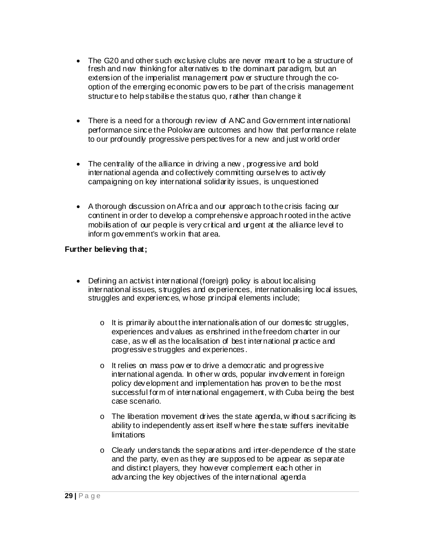- The G20 and other such exclusive clubs are never meant to be a structure of fresh and new thinking for alternatives to the dominant paradigm, but an extension of the imperialist management pow er structure through the cooption of the emerging economic pow ers to be part of the crisis management structure to help stabilise the status quo, rather than change it
- There is a need for a thorough review of ANC and Government international performance since the Polokw ane outcomes and how that performance relate to our profoundly progressive perspectives for a new and just w orld order
- The centrality of the alliance in driving a new, progressive and bold international agenda and collectively committing ourselves to actively campaigning on key international solidarity issues, is unquestioned
- A thorough discussion on Africa and our approach to the crisis facing our continent in order to develop a comprehensive approach rooted in the active mobilisation of our people is very critical and urgent at the alliance level to inform govemment's w orkin that area.

#### **Further believing that;**

- Defining an activist international (foreign) policy is about localising international issues, struggles and experiences, internationalising local issues, struggles and experiences, w hose principal elements include;
	- $\circ$  It is primarily about the internationalisation of our domestic struggles, experiences and values as enshrined in the freedom charter in our case, as w ell as the localisation of best international practice and progressive struggles and experiences.
	- o It relies on mass pow er to drive a democratic and progressive international agenda. In other w ords, popular involvement in foreign policy development and implementation has proven to be the most successful form of international engagement, w ith Cuba being the best case scenario.
	- o The liberation movement drives the state agenda, w ithout sacrificing its ability to independently assert itself w here the state suffers inevitable limitations
	- o Clearly understands the separations and inter-dependence of the state and the party, even as they are supposed to be appear as separate and distinct players, they how ever complement each other in advancing the key objectives of the international agenda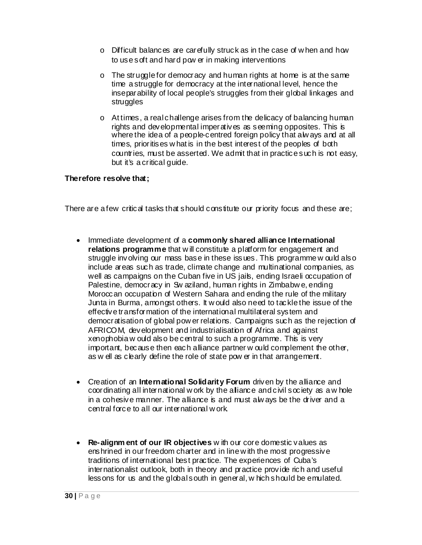- $\circ$  Difficult balances are carefully struck as in the case of w hen and how to use soft and hard pow er in making interventions
- o The struggle for democracy and human rights at home is at the same time a struggle for democracy at the international level, hence the inseparability of local people's struggles from their global linkages and struggles
- o At times, a real challenge arises from the delicacy of balancing human rights and developmental imperatives as seeming opposites. This is where the idea of a people-centred foreign policy that always and at all times, prioritises w hat is in the best interest of the peoples of both countries, must be asserted. We admit that in practice such is not easy, but it's a critical guide.

#### **Therefore resolve that;**

There are a few critical tasks that should constitute our priority focus and these are;

- Immediate development of a **commonly shared alliance International relations programme** that w ill constitute a platform for engagement and struggle involving our mass base in these issues. This programme w ould also include areas such as trade, climate change and multinational companies, as well as campaigns on the Cuban five in US jails, ending Israeli occupation of Palestine, democracy in Sw aziland, human rights in Zimbabw e, ending Moroccan occupation of Western Sahara and ending the rule of the military Junta in Burma, amongst others. It w ould also need to tackle the issue of the effective transformation of the international multilateral system and democratisation of global pow er relations. Campaigns such as the rejection of AFRICOM, development and industrialisation of Africa and against xenophobia w ould also be central to such a programme. This is very important, because then each alliance partner w ould complement the other, as w ell as clearly define the role of state pow er in that arrangement.
- Creation of an **International Solidarity Forum** driven by the alliance and coordinating all international w ork by the alliance and civil society as a w hole in a cohesive manner. The alliance is and must alw ays be the driver and a central force to all our international w ork.
- **Re-alignm ent of our IR objectives** w ith our core domestic values as enshrined in our freedom charter and in line w ith the most progressive traditions of international best practice. The experiences of Cuba's internationalist outlook, both in theory and practice provide rich and useful lessons for us and the global south in general, w hich should be emulated.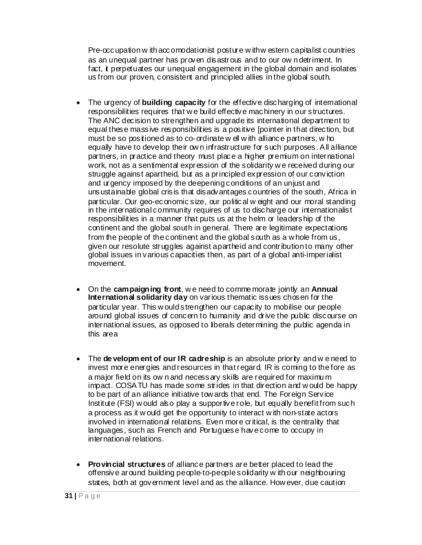Pre-occupation w ith accomodationist posture w ith w estern capitalist countries as an unequal partner has proven disastrous and to our ow n detriment. In fact, it perpetuates our unequal engagement in the global domain and isolates us from our proven, consistent and principled allies in the global south.

- The urgency of **building capacity** for the effective discharging of international responsibilities requires that w e build effective machinery in our structures. The ANC decision to strengthen and upgrade its international department to equal these massive responsibilities is a positive [pointer in that direction, but must be so positioned as to co-ordinate w ell w ith alliance partners, w ho equally have to develop their ow n infrastructure for such purposes. All alliance partners, in practice and theory must place a higher premium on international work, not as a sentimental expression of the solidarity w e received during our struggle against apartheid, but as a principled expression of our conviction and urgency imposed by the deepening conditions of an unjust and unsustainable global crisis that disadvantages countries of the south, Africa in particular. Our geo-economic size, our political w eight and our moral standing in the international community requires of us to discharge our internationalist responsibilities in a manner that puts us at the helm or leadership of the continent and the global south in general. There are legitimate expectations from the people of the continent and the global south as a w hole from us, given our resolute struggles against apartheid and contribution to many other global issues in various capacities then, as part of a global anti-imperialist movement.
- On the **campaigning front**, w e need to comme morate jointly an **Annual Internation al solidarity day** on various thematic issues chosen for the particular year. This w ould strengthen our capacity to mobilise our people around global issues of concern to humanity and drive the public discourse on international issues, as opposed to liberals determining the public agenda in this area
- The **de velopm ent of our IR cadreship** is an absolute priority and w e need to invest more energies and resources in that regard. IR is coming to the fore as a major field on its ow n and necessary skills are required for maximu m impact. COSATU has made some strides in that direction and w ould be happy to be part of an alliance initiative tow ards that end. The Foreign Service Institute (FSI) w ould also play a supportive role, but equally benefit from such a process as it w ould get the opportunity to interact w ith non-state actors involved in international relations. Even more critical, is the centrality that languages, such as French and Portuguese have come to occupy in international relations.
- **Provincial structures** of alliance partners are better placed to lead the offensive around building people-to-people solidarity w ith our neighbouring states, both at government level and as the alliance. How ever, due caution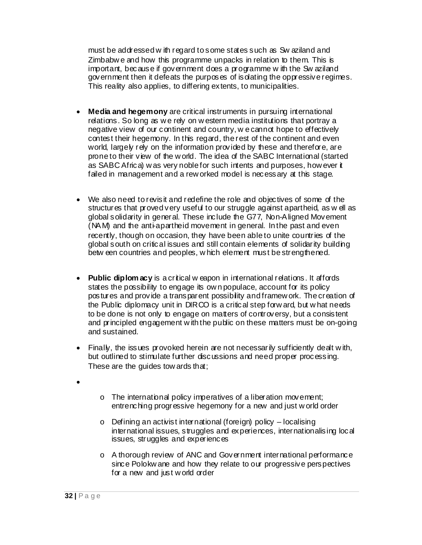must be addressed w ith regard to some states such as Sw aziland and Zimbabw e and how this programme unpacks in relation to them. This is important, because if government does a programme w ith the Sw aziland government then it defeats the purposes of isolating the oppressive regimes. This reality also applies, to differing extents, to municipalities.

- **Media and hegemony** are critical instruments in pursuing international relations. So long as w e rely on w estern media institutions that portray a negative view of our continent and country, w e cannot hope to effectively contest their hegemony. In this regard, the rest of the continent and even world, largely rely on the information provided by these and therefore, are prone to their view of the w orld. The idea of the SABC International (started as SABC Africa) w as very noble for such intents and purposes, how ever it failed in management and a rew orked model is necessary at this stage.
- We also need to revisit and redefine the role and objectives of some of the structures that proved very useful to our struggle against apartheid, as w ell as global solidarity in general. These include the G77, Non-Aligned Movement (NAM) and the anti-apartheid movement in general. In the past and even recently, though on occasion, they have been able to unite countries of the global south on critical issues and still contain elements of solidarity building betw een countries and peoples, w hich element must be strengthened.
- **Public diplom acy** is a critical w eapon in international relations. It affords states the possibility to engage its ow n populace, account for its policy postures and provide a transparent possibility and framew ork. The creation of the Public diplomacy unit in DIRCO is a critical step forw ard, but w hat needs to be done is not only to engage on matters of controversy, but a consistent and principled engagement w ith the public on these matters must be on-going and sustained.
- Finally, the issues provoked herein are not necessarily sufficiently dealt w ith, but outlined to stimulate further discussions and need proper processing. These are the guides tow ards that;
- •
- o The international policy imperatives of a liberation movement; entrenching progressive hegemony for a new and just w orld order
- o Defining an activist international (foreign) policy localising international issues, struggles and experiences, internationalising local issues, struggles and experiences
- o A thorough review of ANC and Government international performance since Polokw ane and how they relate to our progressive perspectives for a new and just w orld order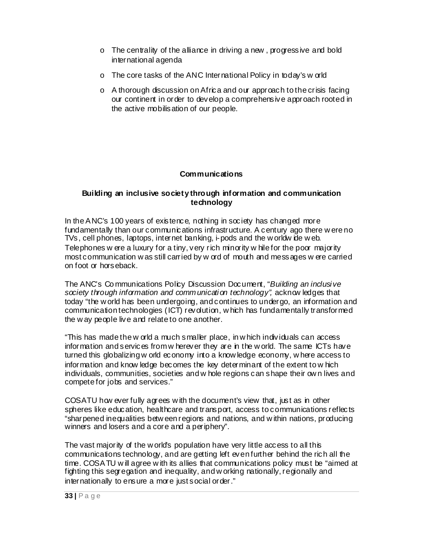- o The centrality of the alliance in driving a new , progressive and bold international agenda
- o The core tasks of the ANC International Policy in today's w orld
- o A thorough discussion on Africa and our approach to the crisis facing our continent in order to develop a comprehensive approach rooted in the active mobilisation of our people.

#### **Communications**

#### **Building an inclusive society through information and communication technology**

In the ANC's 100 years of existence, nothing in society has changed more fundamentally than our communications infrastructure. A century ago there w ere no TVs, cell phones, laptops, internet banking, i-pods and the w orldw ide w eb. Telephones w ere a luxury for a tiny, very rich minority w hile for the poor majority most communication w as still carried by w ord of mouth and messages w ere carried on foot or horseback.

The ANC's Co mmunications Policy Discussion Document, "*Building an inclusive society through information and communication technology",* acknow ledges that today "the w orld has been undergoing, and continues to undergo, an information and communication technologies (ICT) revolution, w hich has fundamentally transformed the w ay people live and relate to one another.

"This has made the w orld a much smaller place, in w hich individuals can access information and services from w herever they are in the w orld. The same ICTs have turned this globalizing w orld economy into a know ledge economy, w here access to information and know ledge becomes the key determinant of the extent to w hich individuals, communities, societies and w hole regions can shape their ow n lives and compete for jobs and services."

COSATU how ever fully agrees w ith the document's view that, just as in other spheres like education, healthcare and transport, access to communications reflects "sharpened inequalities betw een regions and nations, and w ithin nations, producing winners and losers and a core and a periphery".

The vast majority of the w orld's population have very little access to all this communications technology, and are getting left even further behind the rich all the time. COSATU w ill agree w ith its allies that communications policy must be "aimed at fighting this segregation and inequality, and w orking nationally, regionally and internationally to ensure a more just social order."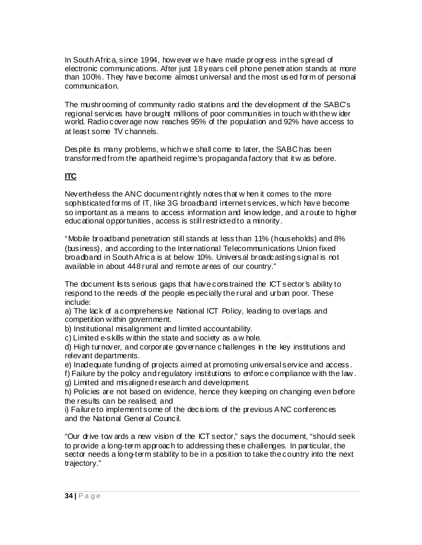In South Africa, since 1994, how ever w e have made progress in the spread of electronic communications. After just 18 years cell phone penetration stands at more than 100%. They have become almost universal and the most used form of personal communication.

The mushrooming of community radio stations and the development of the SABC's regional services have brought millions of poor communities in touch w ith the w ider world. Radio coverage now reaches 95% of the population and 92% have access to at least some TV channels.

Despite its many problems, w hich w e shall come to later, the SABC has been transformed from the apartheid regime's propaganda factory that it w as before.

# **ITC**

Nevertheless the ANC document rightly notes that w hen it comes to the more sophisticated forms of IT, like 3G broadband internet services, w hich have become so important as a means to access information and know ledge, and a route to higher educational opportunities, access is still restricted to a minority.

"Mobile broadband penetration still stands at less than 11% (households) and 8% (business), and according to the International Telecommunications Union fixed broadband in South Africa is at below 10%. Universal broadcasting signal is not available in about 448 rural and remote areas of our country."

The document lists serious gaps that have constrained the ICT sector's ability to respond to the needs of the people especially the rural and urban poor. These include:

a) The lack of a comprehensive National ICT Policy, leading to overlaps and competition w ithin government.

b) Institutional misalignment and limited accountability.

c) Limited e-skills w ithin the state and society as a w hole.

d) High turnover, and corporate governance challenges in the key institutions and relevant departments.

e) Inadequate funding of projects aimed at promoting universal service and access.

f) Failure by the policy and regulatory institutions to enforce compliance w ith the law . g) Limited and misaligned research and development.

h) Policies are not based on evidence, hence they keeping on changing even before the results can be realised; and

i) Failure to implement some of the decisions of the previous ANC conferences and the National General Council.

"Our drive tow ards a new vision of the ICT sector," says the document, "should seek to provide a long-term approach to addressing these challenges. In particular, the sector needs a long-term stability to be in a position to take the country into the next trajectory."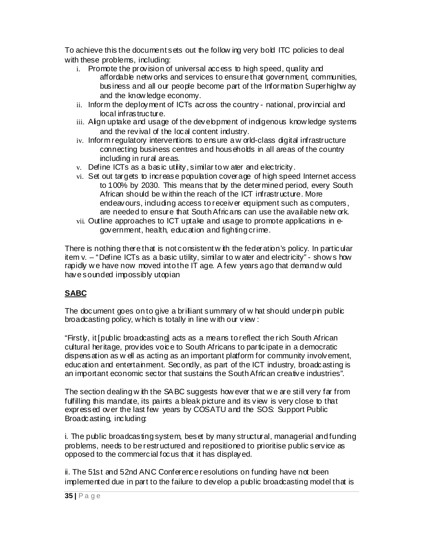To achieve this the document sets out the follow ing very bold ITC policies to deal with these problems, including:

- i. Promote the provision of universal access to high speed, quality and affordable netw orks and services to ensure that government, communities, business and all our people become part of the Information Superhighw ay and the know ledge economy.
- ii. Inform the deployment of ICTs across the country national, provincial and local infrastructure.
- iii. Align uptake and usage of the development of indigenous know ledge systems and the revival of the local content industry.
- iv. Inform regulatory interventions to ensure a w orld-class digital infrastructure connecting business centres and households in all areas of the country including in rural areas.
- v. Define ICTs as a basic utility, similar to w ater and electricity.
- vi. Set out targets to increase population coverage of high speed Internet access to 100% by 2030. This means that by the determined period, every South African should be w ithin the reach of the ICT infrastructure. More endeavours, including access to receiver equipment such as computers, are needed to ensure that South Africans can use the available netw ork.
- vii. Outline approaches to ICT uptake and usage to promote applications in  $e$ government, health, education and fighting crime.

There is nothing there that is not consistent w ith the federation's policy. In particular item v. – "Define ICTs as a basic utility, similar to w ater and electricity" - show s how rapidly we have now moved into the IT age. A few years ago that demand w ould have sounded impossibly utopian

# **SABC**

The document goes on to give a brilliant summary of w hat should underpin public broadcasting policy, w hich is totally in line w ith our view :

"Firstly, it [public broadcasting] acts as a means to reflect the rich South African cultural heritage, provides voice to South Africans to participate in a democratic dispensation as w ell as acting as an important platform for community involvement, education and entertainment. Secondly, as part of the ICT industry, broadcasting is an important economic sector that sustains the South African creative industries".

The section dealing w ith the SABC suggests how ever that we are still very far from fulfilling this mandate, its paints a bleak picture and its view is very close to that expressed over the last few years by COSATU and the SOS: Support Public Broadcasting, including:

i. The public broadcasting system, beset by many structural, managerial and funding problems, needs to be restructured and repositioned to prioritise public service as opposed to the commercial focus that it has displayed.

ii. The 51st and 52nd ANC Conference resolutions on funding have not been implemented due in part to the failure to develop a public broadcasting model that is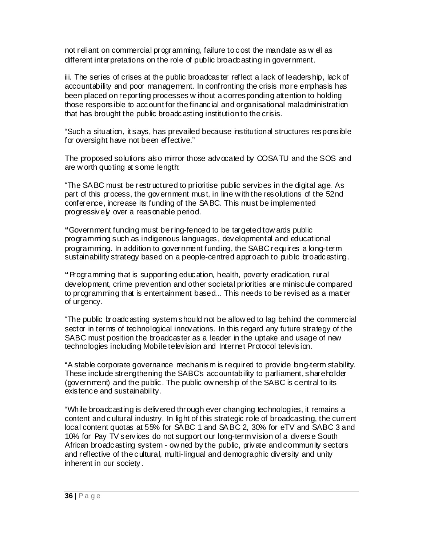not reliant on commercial programming, failure to cost the mandate as w ell as different interpretations on the role of public broadcasting in government.

iii. The series of crises at the public broadcaster reflect a lack of leadership, lack of accountability and poor management. In confronting the crisis more emphasis has been placed on reporting processes w ithout a corresponding attention to holding those responsible to account for the financial and organisational maladministration that has brought the public broadcasting institution to the crisis.

"Such a situation, it says, has prevailed because institutional structures responsible for oversight have not been effective."

The proposed solutions also mirror those advocated by COSATU and the SOS and are w orth quoting at some length:

"The SABC must be restructured to prioritise public services in the digital age. As part of this process, the government must, in line w ith the resolutions of the 52nd conference, increase its funding of the SABC. This must be implemented progressively over a reasonable period.

**"**Government funding must be ring-fenced to be targeted tow ards public programming such as indigenous languages, developmental and educational programming. In addition to government funding, the SABC requires a long-term sustainability strategy based on a people-centred approach to public broadcasting.

**"**Programming that is supporting education, health, poverty eradication, rural development, crime prevention and other societal priorities are miniscule compared to programming that is entertainment based... This needs to be revised as a matter of urgency.

"The public broadcasting system should not be allow ed to lag behind the commercial sector in terms of technological innovations. In this regard any future strategy of the SABC must position the broadcaster as a leader in the uptake and usage of new technologies including Mobile television and Internet Protocol television.

"A stable corporate governance mechanism is required to provide long-term stability. These include strengthening the SABC's accountability to parliament, shareholder (government) and the public. The public ow nership of the SABC is central to its existence and sustainability.

"While broadcasting is delivered through ever changing technologies, it remains a content and cultural industry. In light of this strategic role of broadcasting, the current local content quotas at 55% for SABC 1 and SABC 2, 30% for eTV and SABC 3 and 10% for Pay TV services do not support our long-term vision of a diverse South African broadcasting system - ow ned by the public, private and community sectors and reflective of the cultural, multi-lingual and demographic diversity and unity inherent in our society.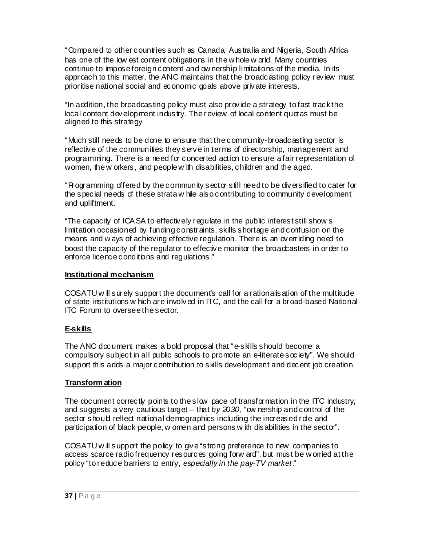"Compared to other countries such as Canada, Australia and Nigeria, South Africa has one of the low est content obligations in the w hole w orld. Many countries continue to impose foreign content and ow nership limitations of the media. In its approach to this matter, the ANC maintains that the broadcasting policy review must prioritise national social and economic goals above private interests.

"In addition, the broadcasting policy must also provide a strategy to fast track the local content development industry. The review of local content quotas must be aligned to this strategy.

"Much still needs to be done to ensure that the community-broadcasting sector is reflective of the communities they serve in terms of directorship, management and programming. There is a need for concerted action to ensure a fair representation of women, the w orkers, and people w ith disabilities, children and the aged.

"Programming offered by the community sector still need to be diversified to cater for the special needs of these strata w hile also contributing to community development and upliftment.

"The capacity of ICASA to effectively regulate in the public interest still show s limitation occasioned by funding constraints, skills shortage and confusion on the means and w ays of achieving effective regulation. There is an overriding need to boost the capacity of the regulator to effective monitor the broadcasters in order to enforce licence conditions and regulations."

#### **Institutional mechanism**

COSATU w ill surely support the document's call for a rationalisation of the multitude of state institutions w hich are involved in ITC, and the call for a broad-based National ITC Forum to oversee the sector.

#### **E-skills**

The ANC document makes a bold proposal that "e-skills should become a compulsory subject in all public schools to promote an e-literate society". We should support this adds a major contribution to skills development and decent job creation.

#### **Transform ation**

The document correctly points to the slow pace of transformation in the ITC industry, and suggests a very cautious target – that *by 2030*, "ow nership and control of the sector should reflect national demographics including the increased role and participation of black people, w omen and persons w ith disabilities in the sector".

COSATU w ill support the policy to give "strong preference to new companies to access scarce radio frequency resources going forw ard", but must be w orried at the policy "to reduce barriers to entry, *especially in the pay-TV market*."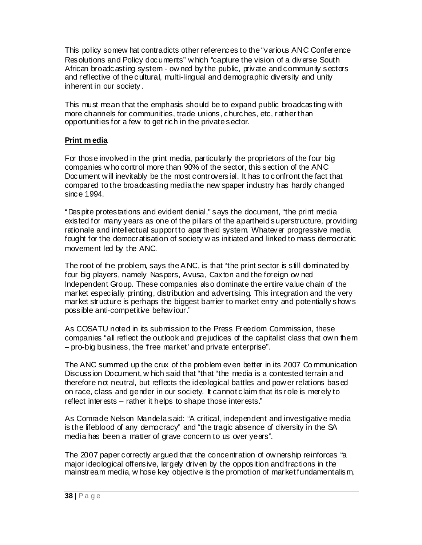This policy somew hat contradicts other references to the "various ANC Conference Resolutions and Policy documents" w hich "capture the vision of a diverse South African broadcasting system - ow ned by the public, private and community sectors and reflective of the cultural, multi-lingual and demographic diversity and unity inherent in our society.

This must mean that the emphasis should be to expand public broadcasting w ith more channels for communities, trade unions, churches, etc, rather than opportunities for a few to get rich in the private sector.

### **Print m edia**

For those involved in the print media, particularly the proprietors of the four big companies w ho control more than 90% of the sector, this section of the ANC Document will inevitably be the most controversial. It has to confront the fact that compared to the broadcasting media the new spaper industry has hardly changed since 1994.

"Despite protestations and evident denial," says the document, "the print media existed for many years as one of the pillars of the apartheid superstructure, providing rationale and intellectual support to apartheid system. Whatever progressive media fought for the democratisation of society w as initiated and linked to mass democratic movement led by the ANC.

The root of the problem, says the ANC, is that "the print sector is still dominated by four big players, namely Naspers, Avusa, Caxton and the foreign ow ned Independent Group. These companies also dominate the entire value chain of the market especially printing, distribution and advertising. This integration and the very market structure is perhaps the biggest barrier to market entry and potentially show s possible anti-competitive behaviour."

As COSATU noted in its submission to the Press Freedom Commission, these companies "all reflect the outlook and prejudices of the capitalist class that ow n them – pro-big business, the 'free market' and private enterprise".

The ANC summed up the crux of the problem even better in its 2007 Co mmunication Discussion Document, w hich said that "that "the media is a contested terrain and therefore not neutral, but reflects the ideological battles and pow er relations based on race, class and gender in our society. It cannot claim that its role is merely to reflect interests – rather it helps to shape those interests."

As Comrade Nelson Mandela said: "A critical, independent and investigative media is the lifeblood of any democracy" and "the tragic absence of diversity in the SA media has been a matter of grave concern to us over years".

The 2007 paper correctly argued that the concentration of ow nership reinforces "a major ideological offensive, largely driven by the opposition and fractions in the mainstream media, w hose key objective is the promotion of market fundamentalism,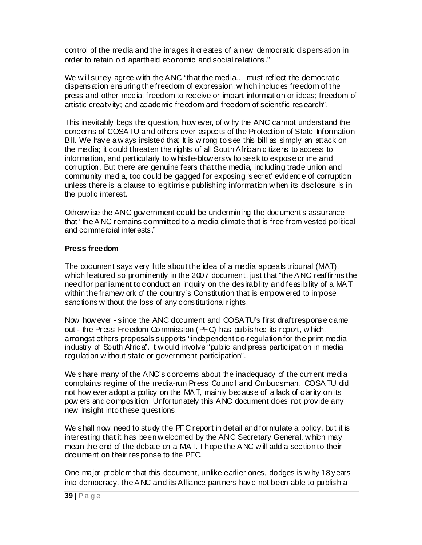control of the media and the images it creates of a new democratic dispensation in order to retain old apartheid economic and social relations."

We will surely agree with the ANC "that the media... must reflect the democratic dispensation ensuring the freedom of expression, w hich includes freedom of the press and other media; freedom to receive or impart information or ideas; freedom of artistic creativity; and academic freedom and freedom of scientific research".

This inevitably begs the question, how ever, of w hy the ANC cannot understand the concerns of COSATU and others over aspects of the Protection of State Information Bill. We have alw ays insisted that It is w rong to see this bill as simply an attack on the media; it could threaten the rights of all South African citizens to access to information, and particularly to w histle-blow ers w ho seek to expose crime and corruption. But there are genuine fears that the media, including trade union and community media, too could be gagged for exposing 'secret' evidence of corruption unless there is a clause to legitimise publishing information w hen its disclosure is in the public interest.

Otherw ise the ANC government could be undermining the document's assurance that "the ANC remains committed to a media climate that is free from vested political and commercial interests."

#### **Press freedom**

The document says very little about the idea of a media appeals tribunal (MAT), which featured so prominently in the 2007 document, just that "the ANC reaffirms the need for parliament to conduct an inquiry on the desirability and feasibility of a MAT within the framew ork of the country's Constitution that is empow ered to impose sanctions without the loss of any constitutional rights.

Now how ever - since the ANC document and COSATU's first draft response came out - the Press Freedom Co mmission (PFC) has published its report, w hich, amongst others proposals supports "independent co-regulation for the print media industry of South Africa". It w ould involve "public and press participation in media regulation w ithout state or government participation".

We share many of the ANC's concerns about the inadequacy of the current media complaints regime of the media-run Press Council and Ombudsman, COSATU did not how ever adopt a policy on the MAT, mainly because of a lack of clarity on its pow ers and composition. Unfortunately this ANC document does not provide any new insight into these questions.

We shall now need to study the PFC report in detail and formulate a policy, but it is interesting that it has been w elcomed by the ANC Secretary General, w hich may mean the end of the debate on a MAT. I hope the ANC w ill add a section to their document on their response to the PFC.

One major problem that this document, unlike earlier ones, dodges is w hy 18 years into democracy, the ANC and its Alliance partners have not been able to publish a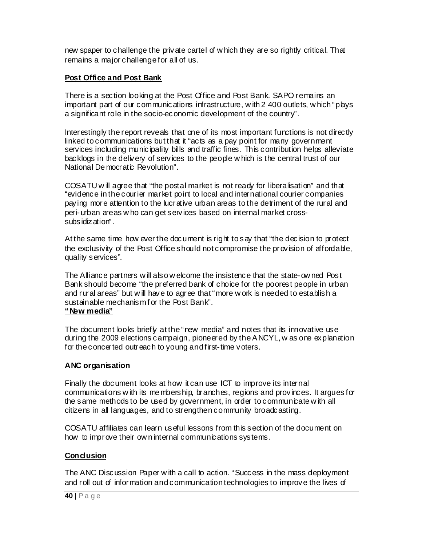new spaper to challenge the private cartel of w hich they are so rightly critical. That remains a major challenge for all of us.

### **Post Office and Post Bank**

There is a section looking at the Post Office and Post Bank. SAPO remains an important part of our communications infrastructure, w ith 2 400 outlets, w hich "plays" a significant role in the socio-economic development of the country".

Interestingly the report reveals that one of its most important functions is not directly linked to communications but that it "acts as a pay point for many government services including municipality bills and traffic fines. This contribution helps alleviate backlogs in the delivery of services to the people w hich is the central trust of our National De mocratic Revolution".

COSATU w ill agree that "the postal market is not ready for liberalisation" and that "evidence in the courier market point to local and international courier companies paying more attention to the lucrative urban areas to the detriment of the rural and peri-urban areas w ho can get services based on internal market crosssubsidization".

At the same time how ever the document is right to say that "the decision to protect the exclusivity of the Post Office should not compromise the provision of affordable, quality services".

The Alliance partners w ill also w elcome the insistence that the state-ow ned Post Bank should become "the preferred bank of choice for the poorest people in urban and rural areas" but w ill have to agree that "more w ork is needed to establish a sustainable mechanism f or the Post Bank". **"New media"**

The document boks briefly at the "new media" and notes that its innovative use during the 2009 elections campaign, pioneered by the ANCYL, w as one explanation for the concerted outreach to young and first-time voters.

### **ANC organisation**

Finally the document looks at how it can use ICT to improve its internal communications w ith its me mbership, branches, regions and provinces. It argues for the same methods to be used by government, in order to communicate with all citizens in all languages, and to strengthen community broadcasting.

COSATU affiliates can learn useful lessons from this section of the document on how to improve their ow n internal communications systems.

### **Conclusion**

The ANC Discussion Paper w ith a call to action. "Success in the mass deployment and roll out of information and communication technologies to improve the lives of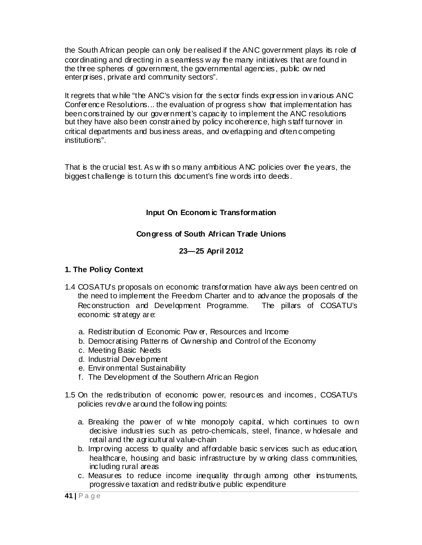the South African people can only be realised if the ANC government plays its role of coordinating and directing in a seamless w ay the many initiatives that are found in the three spheres of government, the governmental agencies, public ow ned enterprises, private and community sectors".

It regrets that w hile "the ANC's vision for the sector finds expression in various ANC Conference Resolutions... the evaluation of progress show that implementation has been constrained by our government's capacity to implement the ANC resolutions but they have also been constrained by policy incoherence, high staff turnover in critical departments and business areas, and overlapping and often competing institutions".

That is the crucial test. As w ith so many ambitious ANC policies over the years, the biggest challenge is to turn this document's fine w ords into deeds.

### **Input On Econom ic Transformation**

### **Congress of South African Trade Unions**

### **23—25 April 2012**

### **1. The Policy Context**

- 1.4 COSATU's proposals on economic transformation have alw ays been centred on the need to implement the Freedom Charter and to advance the proposals of the Reconstruction and Development Programme. The pillars of COSATU's economic strategy are:
	- a. Redistribution of Economic Pow er, Resources and Income
	- b. Democratising Patterns of Ow nership and Control of the Economy
	- c. Meeting Basic Needs
	- d. Industrial Development
	- e. Environmental Sustainability
	- f. The Development of the Southern African Region
- 1.5 On the redistribution of economic pow er, resources and incomes, COSATU's policies revolve around the following points:
	- a. Breaking the pow er of w hite monopoly capital, w hich continues to ow n decisive industries such as petro-chemicals, steel, finance, w holesale and retail and the agricultural value-chain
	- b. Improving access to quality and affordable basic services such as education, healthcare, housing and basic infrastructure by w orking class communities, including rural areas
	- c. Measures to reduce income inequality through among other instruments, progressive taxation and redistributive public expenditure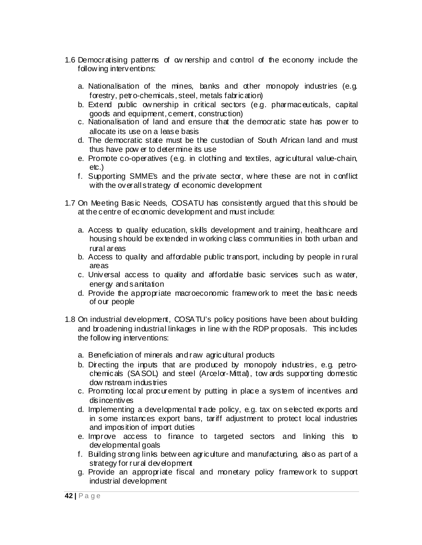- 1.6 Democratising patterns of ow nership and control of the economy include the follow ing interventions:
	- a. Nationalisation of the mines, banks and other monopoly industries (e.g. forestry, petro-chemicals, steel, metals fabrication)
	- b. Extend public ow nership in critical sectors (e.g. pharmaceuticals, capital goods and equipment, cement, construction)
	- c. Nationalisation of land and ensure that the democratic state has pow er to allocate its use on a lease basis
	- d. The democratic state must be the custodian of South African land and must thus have pow er to determine its use
	- e. Promote co-operatives (e.g. in clothing and textiles, agricultural value-chain, etc.)
	- f. Supporting SMME's and the private sector, w here these are not in conflict with the overall strategy of economic development
- 1.7 On Meeting Basic Needs, COSATU has consistently argued that this should be at the centre of economic development and must include:
	- a. Access to quality education, skills development and training, healthcare and housing should be extended in w orking class communities in both urban and rural areas
	- b. Access to quality and affordable public transport, including by people in rural areas
	- c. Universal access to quality and affordable basic services such as w ater, energy and sanitation
	- d. Provide the appropriate macroeconomic framew ork to meet the basic needs of our people
- 1.8 On industrial development, COSATU's policy positions have been about building and broadening industrial linkages in line w ith the RDP proposals. This includes the follow ing interventions:
	- a. Beneficiation of minerals and raw agricultural products
	- b. Directing the inputs that are produced by monopoly industries, e.g. petrochemicals (SASOL) and steel (Arcelor-Mittal), tow ards supporting domestic dow nstream industries
	- c. Promoting local procurement by putting in place a system of incentives and disincentives
	- d. Implementing a developmental trade policy, e.g. tax on selected exports and in some instances export bans, tariff adjustment to protect local industries and imposition of import duties
	- e. Improve access to finance to targeted sectors and linking this to developmental goals
	- f. Building strong links betw een agriculture and manufacturing, also as part of a strategy for rural development
	- g. Provide an appropriate fiscal and monetary policy framew ork to support industrial development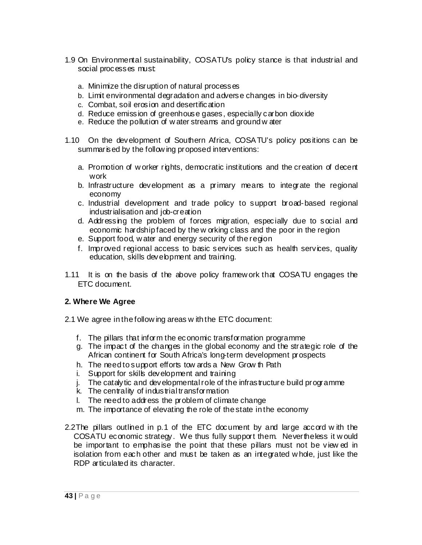- 1.9 On Environmental sustainability, COSATU's policy stance is that industrial and social processes must:
	- a. Minimize the disruption of natural processes
	- b. Limit environmental degradation and adverse changes in bio-diversity
	- c. Combat, soil erosion and desertification
	- d. Reduce emission of greenhouse gases, especially carbon dioxide
	- e. Reduce the pollution of w ater streams and ground w ater
- 1.10 On the development of Southern Africa, COSATU's policy positions can be summar is ed by the following proposed interventions:
	- a. Promotion of w orker rights, democratic institutions and the creation of decent work
	- b. Infrastructure development as a primary means to integrate the regional economy
	- c. Industrial development and trade policy to support broad-based regional industrialisation and job-creation
	- d. Addressing the problem of forces migration, especially due to social and economic hardship faced by the w orking class and the poor in the region
	- e. Support food, w ater and energy security of the region
	- f. Improved regional access to basic services such as health services, quality education, skills development and training.
- 1.11 It is on the basis of the above policy framew ork that COSATU engages the ETC document.

### **2. Where We Agree**

- 2.1 We agree in the follow ing areas w ith the ETC document:
	- f. The pillars that inform the economic transformation programme
	- g. The impact of the changes in the global economy and the strategic role of the African continent for South Africa's long-term development prospects
	- h. The need to support efforts tow ards a New Grow th Path
	- i. Support for skills development and training
	- j. The catalytic and developmental role of the infrastructure build programme
	- k. The centrality of industrial transformation
	- l. The need to address the problem of climate change
	- m. The importance of elevating the role of the state in the economy
- 2.2The pillars outlined in p.1 of the ETC document by and large accord w ith the COSATU economic strategy. We thus fully support them. Nevertheless it w ould be important to emphasise the point that these pillars must not be view ed in isolation from each other and must be taken as an integrated w hole, just like the RDP articulated its character.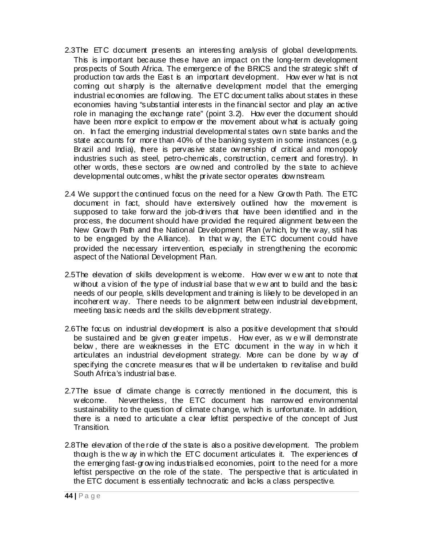- 2.3The ETC document presents an interesting analysis of global developments. This is important because these have an impact on the long-term development prospects of South Africa. The emergence of the BRICS and the strategic shift of production tow ards the East is an important development. How ever w hat is not coming out sharply is the alternative development model that the emerging industrial economies are follow ing. The ETC document talks about states in these economies having "substantial interests in the financial sector and play an active role in managing the exchange rate" (point 3.2). How ever the document should have been more explicit to empow er the movement about w hat is actually going on. In fact the emerging industrial developmental states ow n state banks and the state accounts for more than 40% of the banking system in some instances (e.g. Brazil and India), there is pervasive state ow nership of critical and monopoly industries such as steel, petro-chemicals, construction, cement and forestry). In other w ords, these sectors are ow ned and controlled by the state to achieve developmental outcomes, w hilst the private sector operates dow nstream.
- 2.4 We support the continued focus on the need for a New Grow th Path. The ETC document in fact, should have extensively outlined how the movement is supposed to take forw ard the job-drivers that have been identified and in the process, the document should have provided the required alignment betw een the New Grow th Path and the National Development Plan (w hich, by the w ay, still has to be engaged by the Alliance). In that w ay, the ETC document could have provided the necessary intervention, especially in strengthening the economic aspect of the National Development Plan.
- 2.5The elevation of skills development is w elcome. How ever w e w ant to note that without a vision of the type of industrial base that we w ant to build and the basic needs of our people, skills development and training is likely to be developed in an incoherent way. There needs to be alignment between industrial development, meeting basic needs and the skills development strategy.
- 2.6The focus on industrial development is also a positive development that should be sustained and be given greater impetus. How ever, as w e w ill demonstrate below, there are weaknesses in the ETC document in the way in which it articulates an industrial development strategy. More can be done by w ay of specifying the concrete measures that w ill be undertaken to revitalise and build South Africa's industrial base.
- 2.7The issue of climate change is correctly mentioned in the document, this is w elcome. Nevertheless, the ETC document has narrow ed environmental sustainability to the question of climate change, which is unfortunate. In addition, there is a need to articulate a clear leftist perspective of the concept of Just Transition.
- 2.8The elevation of the role of the state is also a positive development. The problem though is the w ay in w hich the ETC document articulates it. The experiences of the emerging fast-grow ing industrialised economies, point to the need for a more leftist perspective on the role of the state. The perspective that is articulated in the ETC document is essentially technocratic and lacks a class perspective.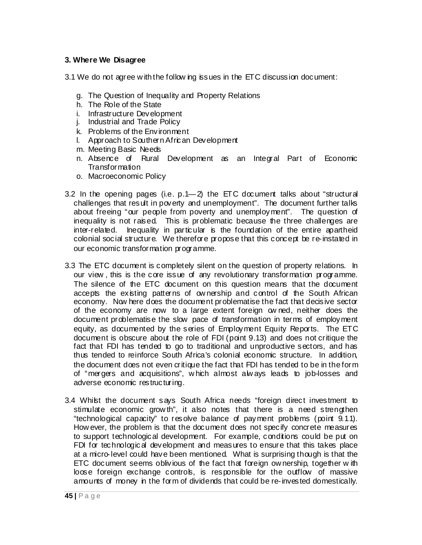#### **3. Where We Disagree**

3.1 We do not agree w ith the follow ing issues in the ETC discussion document:

- g. The Question of Inequality and Property Relations
- h. The Role of the State
- i. Infrastructure Development
- j. Industrial and Trade Policy
- k. Problems of the Environment
- l. Approach to Southern African Development
- m. Meeting Basic Needs
- n. Absence of Rural Development as an Integral Part of Economic **Transformation**
- o. Macroeconomic Policy
- 3.2 In the opening pages (i.e.  $p.1$ –2) the ETC document talks about "structural challenges that result in poverty and unemployment". The document further talks about freeing "our people from poverty and unemployment". The question of inequality is not raised. This is problematic because the three challenges are inter-related. Inequality in particular is the foundation of the entire apartheid colonial social structure. We therefore propose that this concept be re-instated in our economic transformation programme.
- 3.3 The ETC document is completely silent on the question of property relations. In our view , this is the core issue of any revolutionary transformation programme. The silence of the ETC document on this question means that the document accepts the existing patterns of ownership and control of the South African economy. Now here does the document problematise the fact that decisive sector of the economy are now to a large extent foreign ow ned, neither does the document problematise the slow pace of transformation in terms of employment equity, as documented by the series of Employment Equity Reports. The ETC document is obscure about the role of FDI (point 9.13) and does not critique the fact that FDI has tended to go to traditional and unproductive sectors, and has thus tended to reinforce South Africa's colonial economic structure. In addition, the document does not even critique the fact that FDI has tended to be in the form of "mergers and acquisitions", w hich almost alw ays leads to job-losses and adverse economic restructuring.
- 3.4 Whilst the document says South Africa needs "foreign direct investment to stimulate economic grow th", it also notes that there is a need strengthen "technological capacity" to resolve balance of payment problems (point 9.11). How ever, the problem is that the document does not specify concrete measures to support technological development. For example, conditions could be put on FDI for technological development and measures to ensure that this takes place at a micro-level could have been mentioned. What is surprising though is that the ETC document seems oblivious of the fact that foreign ow nership, together w ith loose foreign exchange controls, is responsible for the outflow of massive amounts of money in the form of dividends that could be re-invested domestically.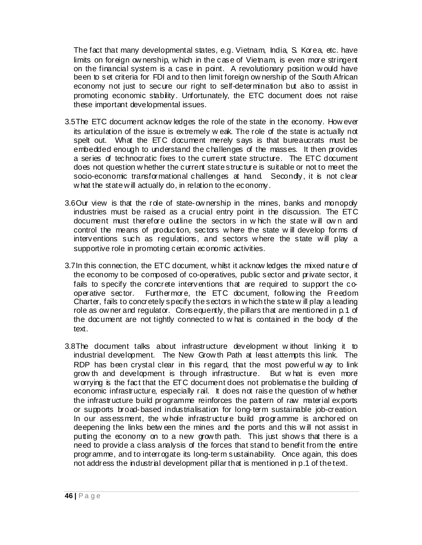The fact that many developmental states, e.g. Vietnam, India, S. Korea, etc. have limits on foreign ow nership, w hich in the case of Vietnam, is even more stringent on the financial system is a case in point. A revolutionary position w ould have been to set criteria for FDI and to then limit foreign ow nership of the South African economy not just to secure our right to self-determination but also to assist in promoting economic stability. Unfortunately, the ETC document does not raise these important developmental issues.

- 3.5The ETC document acknow ledges the role of the state in the economy. How ever its articulation of the issue is extremely w eak. The role of the state is actually not spelt out. What the ETC document merely says is that bureaucrats must be embedded enough to understand the challenges of the masses. It then provides a series of technocratic fixes to the current state structure. The ETC document does not question w hether the current state structure is suitable or not to meet the socio-economic transformational challenges at hand. Secondy, it is not clear w hat the state w ill actually do, in relation to the economy.
- 3.6Our view is that the role of state-ow nership in the mines, banks and monopoly industries must be raised as a crucial entry point in the discussion. The ETC document must therefore outline the sectors in w hich the state w ill ow n and control the means of production, sectors w here the state w ill develop forms of interventions such as regulations, and sectors w here the state w ill play a supportive role in promoting certain economic activities.
- 3.7In this connection, the ETC document, w hilst it acknow ledges the mixed nature of the economy to be composed of co-operatives, public sector and private sector, it fails to specify the concrete interventions that are required to support the cooperative sector. Furthermore, the ETC document, follow ing the Freedom Charter, fails to concretely specify the sectors in w hich the state w ill play a leading role as ow ner and regulator. Consequently, the pillars that are mentioned in p.1 of the document are not tightly connected to w hat is contained in the body of the text.
- 3.8The document talks about infrastructure development w ithout linking it to industrial development. The New Grow th Path at least attempts this link. The RDP has been crystal clear in this regard, that the most pow erful w ay to link grow th and development is through infrastructure. But w hat is even more w orrying is the fact that the ETC document does not problematise the building of economic infrastructure, especially rail. It does not raise the question of w hether the infrastructure build programme reinforces the pattern of raw material exports or supports broad-based industrialisation for long-term sustainable job-creation. In our assessment, the w hole infrastructure build programme is anchored on deepening the links betw een the mines and the ports and this w ill not assist in putting the economy on to a new grow th path. This just show s that there is a need to provide a class analysis of the forces that stand to benefit from the entire programme, and to interrogate its long-term sustainability. Once again, this does not address the industrial development pillar that is mentioned in p.1 of the text.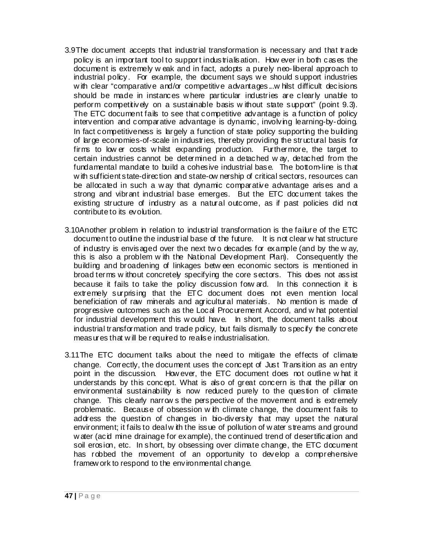- 3.9The document accepts that industrial transformation is necessary and that trade policy is an important tool to support industrialisation. How ever in both cases the document is extremely w eak and in fact, adopts a purely neo-liberal approach to industrial policy. For example, the document says we should support industries with clear "comparative and/or competitive advantages...w hilst difficult decisions should be made in instances w here particular industries are clearly unable to perform competitively on a sustainable basis w ithout state support" (point 9.3). The ETC document fails to see that competitive advantage is a function of policy intervention and comparative advantage is dynamic, involving learning-by-doing. In fact competitiveness is largely a function of state policy supporting the building of large economies-of-scale in industries, thereby providing the structural basis for firms to low er costs w hilst expanding production. Furthermore, the target to certain industries cannot be determined in a detached w ay, detached from the fundamental mandate to build a cohesive industrial base. The bottom-line is that w ith sufficient state-direction and state-ow nership of critical sectors, resources can be allocated in such a way that dynamic comparative advantage arises and a strong and vibrant industrial base emerges. But the ETC document takes the existing structure of industry as a natural outcome, as if past policies did not contribute to its evolution.
- 3.10Another problem in relation to industrial transformation is the failure of the ETC document to outline the industrial base of the future. It is not clear w hat structure of industry is envisaged over the next tw o decades for example (and by the w ay, this is also a problem w ith the National Development Plan). Consequently the building and broadening of linkages betw een economic sectors is mentioned in broad terms w ithout concretely specifying the core sectors. This does not assist because it fails to take the policy discussion forw ard. In this connection it is extremely surprising that the ETC document does not even mention local beneficiation of raw minerals and agricultural materials. No mention is made of progressive outcomes such as the Local Procurement Accord, and w hat potential for industrial development this w ould have. In short, the document talks about industrial transformation and trade policy, but fails dismally to specify the concrete measures that w ill be required to realise industrialisation.
- 3.11The ETC document talks about the need to mitigate the effects of climate change. Correctly, the document uses the concept of Just Transition as an entry point in the discussion. How ever, the ETC document does not outline w hat it understands by this concept. What is also of great concern is that the pillar on environmental sustainability is now reduced purely to the question of climate change. This clearly narrow s the perspective of the movement and is extremely problematic. Because of obsession w ith climate change, the document fails to address the question of changes in bio-diversity that may upset the natural environment; it fails to deal w ith the issue of pollution of water streams and ground w ater (acid mine drainage for example), the continued trend of desertification and soil erosion, etc. In short, by obsessing over climate change, the ETC document has robbed the movement of an opportunity to develop a comprehensive framew ork to respond to the environmental change.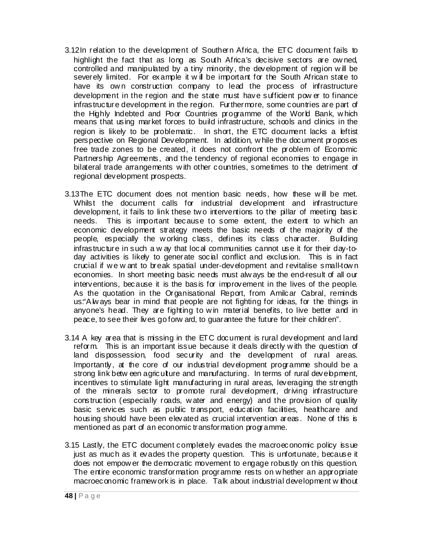- 3.12In relation to the development of Southern Africa, the ETC document fails to highlight the fact that as long as South Africa's decisive sectors are ow ned, controlled and manipulated by a tiny minority, the development of region w ill be severely limited. For example it will be important for the South African state to have its own construction company to lead the process of infrastructure development in the region and the state must have sufficient pow er to finance infrastructure development in the region. Furthermore, some countries are part of the Highly Indebted and Poor Countries programme of the World Bank, which means that using market forces to build infrastructure, schools and clinics in the region is likely to be problematic. In short, the ETC document lacks a leftist perspective on Regional Development. In addition, w hile the document proposes free trade zones to be created, it does not confront the problem of Economic Partnership Agreements, and the tendency of regional economies to engage in bilateral trade arrangements w ith other countries, sometimes to the detriment of regional development prospects.
- 3.13The ETC document does not mention basic needs, how these w ill be met. Whilst the document calls for industrial development and infrastructure development, it fails to link these tw o interventions to the pillar of meeting basic needs. This is important because to some extent, the extent to w hich an economic development strategy meets the basic needs of the majority of the people, especially the w orking class, defines its class character. Building infrastructure in such a w ay that local communities cannot use it for their day-today activities is likely to generate social conflict and exclusion. This is in fact crucial if w e w ant to break spatial under-development and revitalise small-tow n economies. In short meeting basic needs must alw ays be the end-result of all our interventions, because it is the basis for improvement in the lives of the people. As the quotation in the Organisational Report, from Amilcar Cabral, reminds us:"Alw ays bear in mind that people are not fighting for ideas, for the things in anyone's head. They are fighting to w in material benefits, to live better and in peace, to see their lives go forw ard, to guarantee the future for their children".
- 3.14 A key area that is missing in the ETC document is rural development and land reform. This is an important issue because it deals directly w ith the question of land dispossession, food security and the development of rural areas. Importantly, at the core of our industrial development programme should be a strong link betw een agriculture and manufacturing. In terms of rural development, incentives to stimulate light manufacturing in rural areas, leveraging the strength of the minerals sector to promote rural development, driving infrastructure construction (especially roads, w ater and energy) and the provision of quality basic services such as public transport, education facilities, healthcare and housing should have been elevated as crucial intervention areas. None of this is mentioned as part of an economic transformation programme.
- 3.15 Lastly, the ETC document completely evades the macroeconomic policy issue just as much as it evades the property question. This is unfortunate, because it does not empow er the democratic movement to engage robustly on this question. The entire economic transformation programme rests on w hether an appropriate macroeconomic framew ork is in place. Talk about industrial development w ithout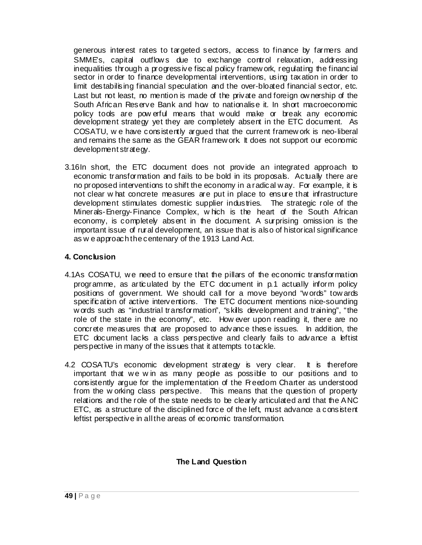generous interest rates to targeted sectors, access to finance by farmers and SMME's, capital outflows due to exchange control relaxation, addressing inequalities through a progressive fiscal policy framew ork, regulating the financial sector in order to finance developmental interventions, using taxation in order to limit destabilising financial speculation and the over-bloated financial sector, etc. Last but not least, no mention is made of the private and foreign ow nership of the South African Reserve Bank and how to nationalise it. In short macroeconomic policy tools are pow erful means that w ould make or break any economic development strategy yet they are completely absent in the ETC document. As COSATU, w e have consistently argued that the current framew ork is neo-liberal and remains the same as the GEAR framew ork. It does not support our economic development strategy.

3.16In short, the ETC document does not provide an integrated approach to economic transformation and fails to be bold in its proposals. Actually there are no proposed interventions to shift the economy in a radical w ay. For example, it is not clear w hat concrete measures are put in place to ensure that infrastructure development stimulates domestic supplier industries. The strategic role of the Minerals-Energy-Finance Complex, w hich is the heart of the South African economy, is completely absent in the document. A surprising omission is the important issue of rural development, an issue that is also of historical significance as w e approach the centenary of the 1913 Land Act.

### **4. Conclusion**

- 4.1As COSATU, w e need to ensure that the pillars of the economic transformation programme, as articulated by the ETC document in p.1 actually inform policy positions of government. We should call for a move beyond "w ords" tow ards specification of active interventions. The ETC document mentions nice-sounding w ords such as "industrial transformation", "skills development and training", "the role of the state in the economy", etc. How ever upon reading it, there are no concrete measures that are proposed to advance these issues. In addition, the ETC document lacks a class perspective and clearly fails to advance a leftist perspective in many of the issues that it attempts to tackle.
- 4.2 COSATU's economic development strategy is very clear. It is therefore important that we win as many people as possible to our positions and to consistently argue for the implementation of the Freedom Charter as understood from the w orking class perspective. This means that the question of property relations and the role of the state needs to be clearly articulated and that the ANC ETC, as a structure of the disciplined force of the left, must advance a consistent leftist perspective in all the areas of economic transformation.

### **The Land Question**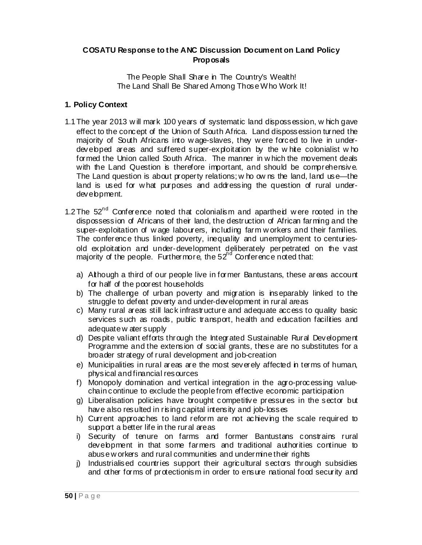#### **COSATU Response to the ANC Discussion Document on Land Policy Proposals**

The People Shall Share in The Country's Wealth! The Land Shall Be Shared Among Those Who Work It!

### **1. Policy Context**

- 1.1 The year 2013 w ill mark 100 years of systematic land dispossession, w hich gave effect to the concept of the Union of South Africa. Land dispossession turned the majority of South Africans into w age-slaves, they w ere forced to live in underdeveloped areas and suffered super-exploitation by the w hite colonialist w ho formed the Union called South Africa. The manner in w hich the movement deals with the Land Question is therefore important, and should be comprehensive. The Land question is about property relations; w ho ow ns the land, land use—the land is used for w hat purposes and addressing the question of rural underdevelopment.
- 1.2 The  $52<sup>nd</sup>$  Conference noted that colonialism and apartheid were rooted in the dispossession of Africans of their land, the destruction of African farming and the super-exploitation of w age labourers, including farm w orkers and their families. The conference thus linked poverty, inequality and unemployment to centuriesold exploitation and under-development deliberately perpetrated on the vast majority of the people. Furthermore, the  $52<sup>nd</sup>$  Conference noted that:
	- a) Although a third of our people live in former Bantustans, these areas account for half of the poorest households
	- b) The challenge of urban poverty and migration is inseparably linked to the struggle to defeat poverty and under-development in rural areas
	- c) Many rural areas still lack infrastructure and adequate access to quality basic services such as roads, public transport, health and education facilities and adequate w ater supply
	- d) Despite valiant efforts through the Integrated Sustainable Rural Development Programme and the extension of social grants, these are no substitutes for a broader strategy of rural development and job-creation
	- e) Municipalities in rural areas are the most severely affected in terms of human, physical and financial resources
	- f) Monopoly domination and vertical integration in the agro-processing valuechain continue to exclude the people from effective economic participation
	- g) Liberalisation policies have brought competitive pressures in the sector but have also resulted in rising capital intensity and job-losses
	- h) Current approaches to land reform are not achieving the scale required to support a better life in the rural areas
	- i) Security of tenure on farms and former Bantustans constrains rural development in that some farmers and traditional authorities continue to abuse w orkers and rural communities and undermine their rights
	- j) Industrialised countries support their agricultural sectors through subsidies and other forms of protectionism in order to ensure national food security and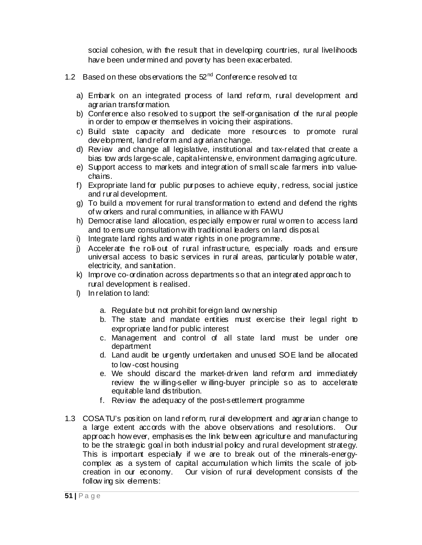social cohesion, with the result that in developing countries, rural livelihoods have been undermined and poverty has been exacerbated.

- 1.2 Based on these observations the 52<sup>nd</sup> Conference resolved to:
	- a) Embark on an integrated process of land reform, rural development and agrarian transformation.
	- b) Conference also resolved to support the self-organisation of the rural people in order to empow er themselves in voicing their aspirations.
	- c) Build state capacity and dedicate more resources to promote rural development, land reform and agrarian change.
	- d) Review and change all legislative, institutional and tax-related that create a bias tow ards large-scale, capital-intensive, environment damaging agriculture.
	- e) Support access to markets and integration of small scale farmers into valuechains.
	- f) Expropriate land for public purposes to achieve equity, redress, social justice and rural development.
	- g) To build a movement for rural transformation to extend and defend the rights of w orkers and rural communities, in alliance w ith FAWU
	- h) Democratise land allocation, especially empow er rural w omen to access land and to ensure consultation with traditional leaders on land disposal.
	- i) Integrate land rights and w ater rights in one programme.
	- j) Accelerate the roll-out of rural infrastructure, especially roads and ensure universal access to basic services in rural areas, particularly potable w ater, electricity, and sanitation.
	- k) Improve co-ordination across departments so that an integrated approach to rural development is realised.
	- l) In relation to land:
		- a. Regulate but not prohibit foreign land ow nership
		- b. The state and mandate entities must exercise their legal right to expropriate land for public interest
		- c. Management and control of all state land must be under one department
		- d. Land audit be urgently undertaken and unused SOE land be allocated to low -cost housing
		- e. We should discard the market-driven land reform and immediately review the w illing-seller w illing-buyer principle so as to accelerate equitable land distribution.
		- f. Review the adequacy of the post-settlement programme
- 1.3 COSATU's position on land reform, rural development and agrarian change to a large extent accords w ith the above observations and resolutions. Our approach how ever, emphasises the link betw een agriculture and manufacturing to be the strategic goal in both industrial policy and rural development strategy. This is important especially if we are to break out of the minerals-energycomplex as a system of capital accumulation w hich limits the scale of jobcreation in our economy. Our vision of rural development consists of the follow ing six elements: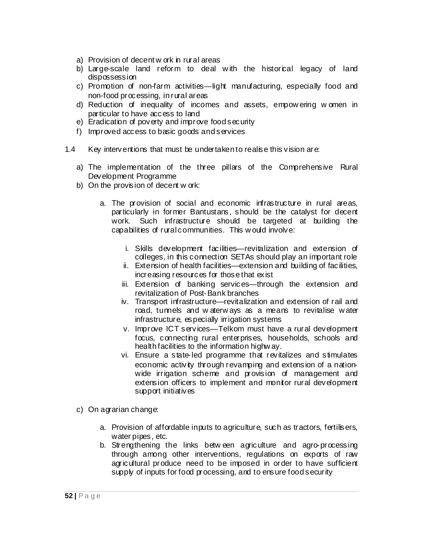- a) Provision of decent w ork in rural areas
- b) Large-scale land reform to deal w ith the historical legacy of land dispossession
- c) Promotion of non-farm activities—light manufacturing, especially food and non-food processing, in rural areas
- d) Reduction of inequality of incomes and assets, empow ering w omen in particular to have access to land
- e) Eradication of poverty and improve food security
- f) Improved access to basic goods and services
- 1.4 Key interventions that must be undertaken to realise this vision are:
	- a) The implementation of the three pillars of the Comprehensive Rural Development Programme
	- b) On the provision of decent w ork:
		- a. The provision of social and economic infrastructure in rural areas, particularly in former Bantustans, should be the catalyst for decent work. Such infrastructure should be targeted at building the capabilities of rural communities. This w ould involve:
			- i. Skills development facilities—revitalization and extension of colleges, in this connection SETAs should play an important role
			- ii. Extension of health facilities—extension and building of facilities, increasing resources for those that exist
			- iii. Extension of banking services—through the extension and revitalization of Post-Bank branches
			- iv. Transport infrastructure—revitalization and extension of rail and road, tunnels and w aterw ays as a means to revitalise w ater infrastructure, especially irrigation systems
			- v. Improve ICT services—Telkom must have a rural development focus, connecting rural enterprises, households, schools and health facilities to the information highw ay.
			- vi. Ensure a state-led programme that revitalizes and stimulates economic activity through revamping and extension of a nationwide irrigation scheme and provision of management and extension officers to implement and monitor rural development support initiatives
	- c) On agrarian change:
		- a. Provision of affordable inputs to agriculture, such as tractors, fertilisers, water pipes, etc.
		- b. Strengthening the links between agriculture and agro-processing through among other interventions, regulations on exports of raw agricultural produce need to be imposed in order to have sufficient supply of inputs for food processing, and to ensure food security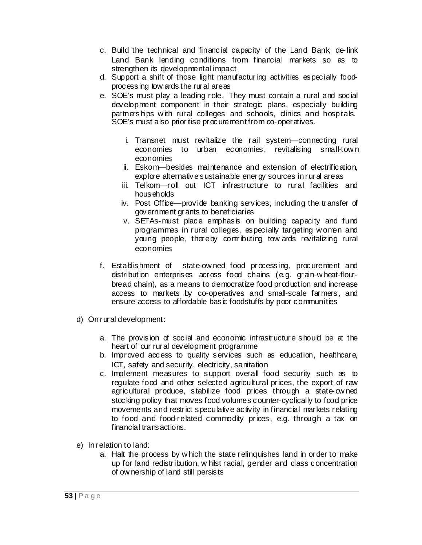- c. Build the technical and financial capacity of the Land Bank, de-link Land Bank lending conditions from financial markets so as to strengthen its developmental impact
- d. Support a shift of those light manufacturing activities especially foodprocessing tow ards the rural areas
- e. SOE's must play a leading role. They must contain a rural and social development component in their strategic plans, especially building partnerships w ith rural colleges and schools, clinics and hospitals. SOE's must also prioritise procurement from co-operatives.
	- i. Transnet must revitalize the rail system—connecting rural economies to urban economies, revitalising small-tow n economies
	- ii. Eskom—besides maintenance and extension of electrification, explore alternative sustainable energy sources in rural areas
	- iii. Telkom—roll out ICT infrastructure to rural facilities and households
	- iv. Post Office—provide banking services, including the transfer of government grants to beneficiaries
	- v. SETAs-must place emphasis on building capacity and fund programmes in rural colleges, especially targeting w omen and young people, thereby contributing tow ards revitalizing rural economies
- f. Establishment of state-ow ned food processing, procurement and distribution enterprises across food chains (e.g. grain-w heat-flourbread chain), as a means to democratize food production and increase access to markets by co-operatives and small-scale farmers, and ensure access to affordable basic foodstuffs by poor communities
- d) On rural development:
	- a. The provision of social and economic infrastructure should be at the heart of our rural development programme
	- b. Improved access to quality services such as education, healthcare, ICT, safety and security, electricity, sanitation
	- c. Implement measures to support overall food security such as to regulate food and other selected agricultural prices, the export of raw agricultural produce, stabilize food prices through a state-ow ned stocking policy that moves food volumes counter-cyclically to food price movements and restrict speculative activity in financial markets relating to food and food-related commodity prices, e.g. through a tax on financial transactions.
- e) In relation to land:
	- a. Halt the process by w hich the state relinquishes land in order to make up for land redistribution, w hilst racial, gender and class concentration of ow nership of land still persists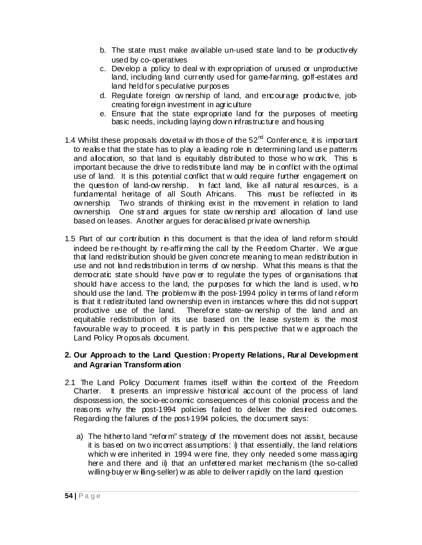- b. The state must make available un-used state land to be productively used by co-operatives
- c. Develop a policy to deal w ith expropriation of unused or unproductive land, including land currently used for game-farming, golf-estates and land held for speculative purposes
- d. Regulate foreign ow nership of land, and encourage productive, jobcreating foreign investment in agriculture
- e. Ensure that the state expropriate land for the purposes of meeting basic needs, including laying dow n infrastructure and housing
- 1.4 Whilst these proposals dovetail w ith those of the  $52<sup>nd</sup>$  Conference, it is important to realise that the state has to play a leading role in determining land use patterns and allocation, so that land is equitably distributed to those w ho w ork. This is important because the drive to redistribute land may be in conflict w ith the optimal use of land. It is this potential conflict that w ould require further engagement on the question of land-ow nership. In fact land, like all natural resources, is a fundamental heritage of all South Africans. This must be reflected in its ow nership. Tw o strands of thinking exist in the movement in relation to land ow nership. One strand argues for state ow nership and allocation of land use based on leases. Another argues for deracialised private ow nership.
- 1.5 Part of our contribution in this document is that the idea of land reform should indeed be re-thought by re-affirming the call by the Freedom Charter. We argue that land redistribution should be given concrete meaning to mean redistribution in use and not land redistribution in terms of ow nership. What this means is that the democratic state should have pow er to regulate the types of organisations that should have access to the land, the purposes for w hich the land is used, w ho should use the land. The problem w ith the post-1994 policy in terms of land reform is that it redistributed land ow nership even in instances w here this did not support productive use of the land. Therefore state-ow nership of the land and an equitable redistribution of its use based on the lease system is the most favourable w ay to proceed. It is partly in this perspective that w e approach the Land Policy Proposals document.

### **2. Our Approach to the Land Question: Property Relations, Rur al Development and Agrarian Transform ation**

- 2.1 The Land Policy Document frames itself w ithin the context of the Freedom Charter. It presents an impressive historical account of the process of land dispossession, the socio-economic consequences of this colonial process and the reasons w hy the post-1994 policies failed to deliver the desired outcomes. Regarding the failures of the post-1994 policies, the document says:
	- a) The hitherto land "reform" strategy of the movement does not assist, because it is based on tw o incorrect assumptions: i) that essentially, the land relations which w ere inherited in 1994 w ere fine, they only needed some massaging here and there and ii) that an unfettered market mechanism (the so-called willing-buyer w illing-seller) w as able to deliver rapidly on the land question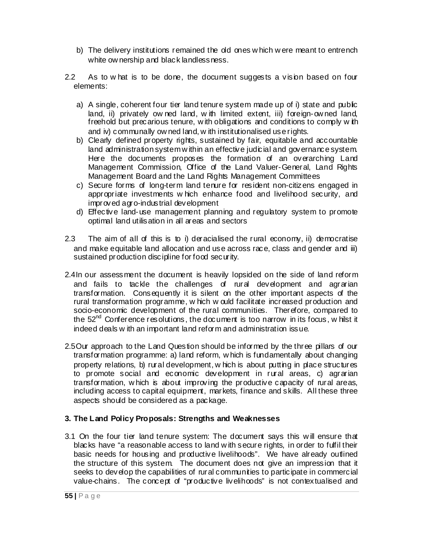- b) The delivery institutions remained the old ones w hich w ere meant to entrench white ow nership and black landlessness.
- 2.2 As to w hat is to be done, the document suggests a vision based on four elements:
	- a) A single, coherent four tier land tenure system made up of i) state and public land, ii) privately ow ned land, w ith limited extent, iii) foreign-ow ned land, freehold but precarious tenure, w ith obligations and conditions to comply w ith and iv) communally ow ned land, w ith institutionalised use rights.
	- b) Clearly defined property rights, sustained by fair, equitable and accountable land administration system w ithin an effective judicial and governance system. Here the documents proposes the formation of an overarching Land Management Commission, Office of the Land Valuer-General, Land Rights Management Board and the Land Rights Management Committees
	- c) Secure forms of long-term land tenure for resident non-citizens engaged in appropriate investments w hich enhance food and livelihood security, and improved agro-industrial development
	- d) Effective land-use management planning and regulatory system to promote optimal land utilisation in all areas and sectors
- 2.3 The aim of all of this is to i) deracialised the rural economy, ii) democratise and make equitable land allocation and use across race, class and gender and iii) sustained production discipline for food security.
- 2.4In our assessment the document is heavily lopsided on the side of land reform and fails to tackle the challenges of rural development and agrarian transformation. Consequently it is silent on the other important aspects of the rural transformation programme, w hich w ould facilitate increased production and socio-economic development of the rural communities. Therefore, compared to the  $52<sup>nd</sup>$  Conference resolutions, the document is too narrow in its focus, w hilst it indeed deals w ith an important land reform and administration issue.
- 2.5Our approach to the Land Question should be informed by the three pillars of our transformation programme: a) land reform, w hich is fundamentally about changing property relations, b) rural development, w hich is about putting in place structures to promote social and economic development in rural areas, c) agrarian transformation, w hich is about improving the productive capacity of rural areas, including access to capital equipment, markets, finance and skills. All these three aspects should be considered as a package.

### **3. The Land Policy Proposals: Strengths and Weaknesses**

3.1 On the four tier land tenure system: The document says this w ill ensure that blacks have "a reasonable access to land w ith secure rights, in order to fulfil their basic needs for housing and productive livelihoods". We have already outlined the structure of this system. The document does not give an impression that it seeks to develop the capabilities of rural communities to participate in commercial value-chains. The concept of "productive livelihoods" is not contextualised and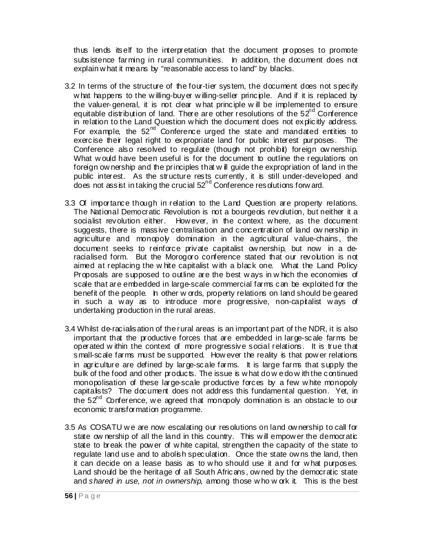thus lends itself to the interpretation that the document proposes to promote subsistence farming in rural communities. In addition, the document does not explain w hat it means by "reasonable access to land" by blacks.

- 3.2 In terms of the structure of the four-tier system, the document does not specify w hat happens to the willing-buyer willing-seller principle. And if it is replaced by the valuer-general, it is not clear w hat principle w ill be implemented to ensure equitable distribution of land. There are other resolutions of the  $52<sup>nd</sup>$  Conference in relation to the Land Question w hich the document does not explicitly address. For example, the  $52<sup>nd</sup>$  Conference urged the state and mandated entities to exercise their legal right to expropriate land for public interest purposes. The Conference also resolved to regulate (though not prohibit) foreign ow nership. What w ould have been useful is for the document to outline the regulations on foreign ow nership and the principles that w ill guide the expropriation of land in the public interest. As the structure rests currently, it is still under-developed and does not assist in taking the crucial  $52<sup>nd</sup>$  Conference resolutions forw ard.
- 3.3 Of importance though in relation to the Land Question are property relations. The National Democratic Revolution is not a bourgeois revolution, but neither it a socialist revolution either. How ever, in the context w here, as the document suggests, there is massive centralisation and concentration of land ow nership in agriculture and monopoly domination in the agricultural value-chains, the document seeks to reinforce private capitalist ow nership, but now in a deracialised form. But the Morogoro conference stated that our revolution is not aimed at replacing the w hite capitalist w ith a black one. What the Land Policy Proposals are supposed to outline are the best w ays in w hich the economies of scale that are embedded in large-scale commercial farms can be exploited for the benefit of the people. In other w ords, property relations on land should be geared in such a w ay as to introduce more progressive, non-capitalist w ays of undertaking production in the rural areas.
- 3.4 Whilst de-racialisation of the rural areas is an important part of the NDR, it is also important that the productive forces that are embedded in large-scale farms be operated w ithin the context of more progressive social relations. It is true that small-scale farms must be supported. How ever the reality is that pow er relations in agriculture are defined by large-scale farms. It is large farms that supply the bulk of the food and other products. The issue is w hat do w e do w ith the continued monopolisation of these large-scale productive forces by a few w hite monopoly capitalists? The document does not address this fundamental question. Yet, in the  $52<sup>nd</sup>$  Conference, we agreed that monopoly domination is an obstacle to our economic transformation programme.
- 3.5 As COSATU w e are now escalating our resolutions on land ow nership to call for state ow nership of all the land in this country. This will empow er the democratic state to break the pow er of w hite capital, strengthen the capacity of the state to regulate land use and to abolish speculation. Once the state ow ns the land, then it can decide on a lease basis as to w ho should use it and for w hat purposes. Land should be the heritage of all South Africans, ow ned by the democratic state and *shared in use, not in ownership*, among those w ho w ork it. This is the best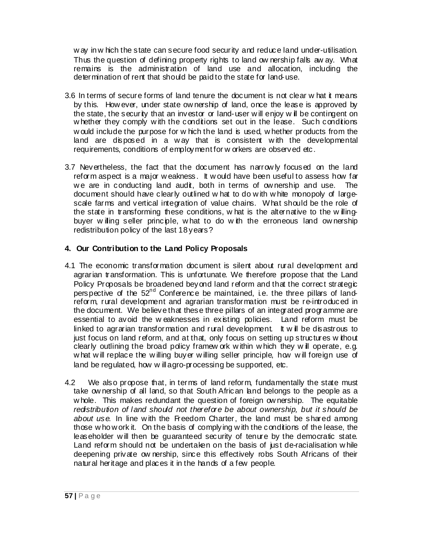w ay in w hich the state can secure food security and reduce land under-utilisation. Thus the question of defining property rights to land ow nership falls aw ay. What remains is the administration of land use and allocation, including the determination of rent that should be paid to the state for land-use.

- 3.6 In terms of secure forms of land tenure the document is not clear w hat it means by this. How ever, under state ow nership of land, once the lease is approved by the state, the security that an investor or land-user w ill enjoy w ill be contingent on w hether they comply with the conditions set out in the lease. Such conditions w ould include the purpose for w hich the land is used, w hether products from the land are disposed in a way that is consistent with the developmental requirements, conditions of employment for w orkers are observed etc.
- 3.7 Nevertheless, the fact that the document has narrow ly focused on the land reform aspect is a major w eakness. It w ould have been useful to assess how far we are in conducting land audit, both in terms of ownership and use. The document should have clearly outlined w hat to do w ith w hite monopoly of largescale farms and vertical integration of value chains. What should be the role of the state in transforming these conditions, w hat is the alternative to the willingbuyer w illing seller principle, w hat to do w ith the erroneous land ow nership redistribution policy of the last 18 years?

### **4. Our Contribution to the Land Policy Proposals**

- 4.1 The economic transformation document is silent about rural development and agrarian transformation. This is unfortunate. We therefore propose that the Land Policy Proposals be broadened beyond land reform and that the correct strategic perspective of the 52<sup>nd</sup> Conference be maintained, i.e. the three pillars of landreform, rural development and agrarian transformation must be re-introduced in the document. We believe that these three pillars of an integrated programme are essential to avoid the w eaknesses in existing policies. Land reform must be linked to agrarian transformation and rural development. It w ill be disastrous to just focus on land reform, and at that, only focus on setting up structures w thout clearly outlining the broad policy framew ork w ithin w hich they w ill operate, e.g. w hat w ill replace the w illing buyer w illing seller principle, how w ill foreign use of land be regulated, how w ill agro-processing be supported, etc.
- 4.2 We also propose that, in terms of land reform, fundamentally the state must take ow nership of all land, so that South African land belongs to the people as a w hole. This makes redundant the question of foreign ow nership. The equitable *redistribution of land should not therefore be about ownership, but it should be about use*. In line w ith the Freedom Charter, the land must be shared among those w ho w ork it. On the basis of complying w ith the conditions of the lease, the leaseholder w ill then be guaranteed security of tenure by the democratic state. Land reform should not be undertaken on the basis of just de-racialisation while deepening private ow nership, since this effectively robs South Africans of their natural heritage and places it in the hands of a few people.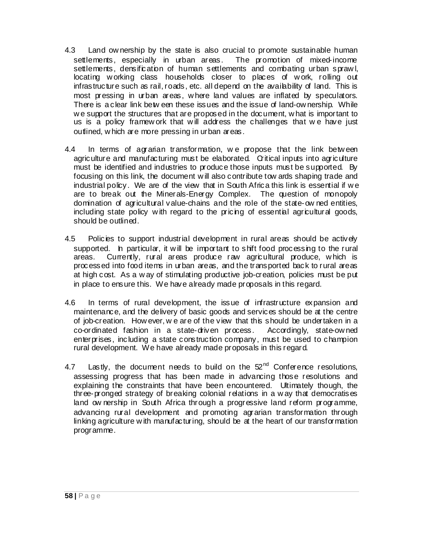- 4.3 Land ow nership by the state is also crucial to promote sustainable human settlements, especially in urban areas. The promotion of mixed-income settlements, densification of human settlements and combating urban sprawl, locating w orking class households closer to places of w ork, rolling out infrastructure such as rail, roads, etc. all depend on the availability of land. This is most pressing in urban areas, w here land values are inflated by speculators. There is a clear link betw een these issues and the issue of land-ow nership. While we support the structures that are proposed in the document, what is important to us is a policy framew ork that w ill address the challenges that w e have just outlined, w hich are more pressing in urban areas.
- 4.4 In terms of agrarian transformation, we propose that the link between agriculture and manufacturing must be elaborated. Critical inputs into agriculture must be identified and industries to produce those inputs must be supported. By focusing on this link, the document w ill also contribute tow ards shaping trade and industrial policy. We are of the view that in South Africa this link is essential if w e are to break out the Minerals-Energy Complex. The question of monopoly domination of agricultural value-chains and the role of the state-ow ned entities, including state policy with regard to the pricing of essential agricultural goods, should be outlined.
- 4.5 Policies to support industrial development in rural areas should be actively supported. In particular, it w ill be important to shift food processing to the rural areas. Currently, rural areas produce raw agricultural produce, which is processed into food items in urban areas, and the transported back to rural areas at high cost. As a w ay of stimulating productive job-creation, policies must be put in place to ensure this. We have already made proposals in this regard.
- 4.6 In terms of rural development, the issue of infrastructure expansion and maintenance, and the delivery of basic goods and services should be at the centre of job-creation. How ever, w e are of the view that this should be undertaken in a co-ordinated fashion in a state-driven process. Accordingly, state-ow ned enterprises, including a state construction company, must be used to champion rural development. We have already made proposals in this regard.
- 4.7 Lastly, the document needs to build on the  $52<sup>nd</sup>$  Conference resolutions, assessing progress that has been made in advancing those resolutions and explaining the constraints that have been encountered. Ultimately though, the three-pronged strategy of breaking colonial relations in a w ay that democratises land ow nership in South Africa through a progressive land reform programme, advancing rural development and promoting agrarian transformation through linking agriculture w ith manufacturing, should be at the heart of our transformation programme.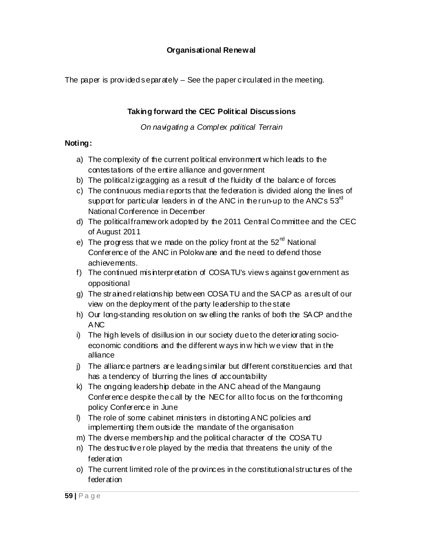# **Organisational Renewal**

The paper is provided separately  $-$  See the paper circulated in the meeting.

# **Taking forward the CEC Political Discussions**

*On navigating a Complex political Terrain* 

### **Noting:**

- a) The complexity of the current political environment w hich leads to the contestations of the entire alliance and government
- b) The political zigzagging as a result of the fluidity of the balance of forces
- c) The continuous media reports that the federation is divided along the lines of support for particular leaders in of the ANC in the run-up to the ANC's  $53^{\circ}$ National Conference in December
- d) The political framew ork adopted by the 2011 Central Co mmittee and the CEC of August 2011
- e) The progress that we made on the policy front at the  $52<sup>nd</sup>$  National Conference of the ANC in Polokw ane and the need to defend those achievements.
- f) The continued misinterpretation of COSATU's view sagainst government as oppositional
- g) The strained relationship betw een COSATU and the SACP as a result of our view on the deployment of the party leadership to the state
- h) Our long-standing resolution on sw elling the ranks of both the SACP and the ANC
- i) The high levels of disillusion in our society due to the deteriorating socioeconomic conditions and the different w ays in w hich w e view that in the alliance
- j) The alliance partners are leading similar but different constituencies and that has a tendency of blurring the lines of accountability
- k) The ongoing leadership debate in the ANC ahead of the Mangaung Conference despite the call by the NEC for all to focus on the forthcoming policy Conference in June
- l) The role of some cabinet ministers in distorting ANC policies and implementing them outside the mandate of the organisation
- m) The diverse membership and the political character of the COSATU
- n) The destructive role played by the media that threatens the unity of the federation
- o) The current limited role of the provinces in the constitutional structures of the federation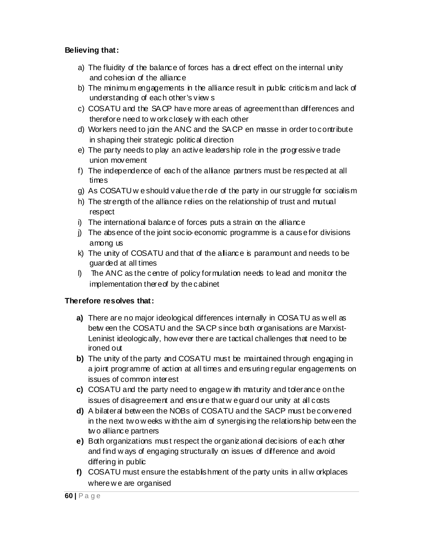## **Believing that:**

- a) The fluidity of the balance of forces has a direct effect on the internal unity and cohesion of the alliance
- b) The minimum engagements in the alliance result in public criticism and lack of understanding of each other's view s
- c) COSATU and the SACP have more areas of agreement than differences and therefore need to w ork closely w ith each other
- d) Workers need to join the ANC and the SACP en masse in order to contribute in shaping their strategic political direction
- e) The party needs to play an active leadership role in the progressive trade union movement
- f) The independence of each of the alliance partners must be respected at all times
- g) As COSATU w e should value the role of the party in our struggle for socialism
- h) The strength of the alliance relies on the relationship of trust and mutual respect
- i) The international balance of forces puts a strain on the alliance
- j) The absence of the joint socio-economic programme is a cause for divisions among us
- k) The unity of COSATU and that of the alliance is paramount and needs to be guarded at all times
- l) The ANC as the centre of policy formulation needs to lead and monitor the implementation thereof by the cabinet

### **Therefore resolves that:**

- **a)** There are no major ideological differences internally in COSATU as w ell as betw een the COSATU and the SACP since both organisations are Marxist-Leninist ideologically, how ever there are tactical challenges that need to be ironed out
- **b)** The unity of the party and COSATU must be maintained through engaging in a joint programme of action at all times and ensuring regular engagements on issues of common interest
- **c)** COSATU and the party need to engage w ith maturity and tolerance on the issues of disagreement and ensure that w e guard our unity at all costs
- **d)** A bilateral betw een the NOBs of COSATU and the SACP must be convened in the next tw o w eeks w ith the aim of synergising the relationship betw een the tw o alliance partners
- **e)** Both organizations must respect the organizational decisions of each other and find w ays of engaging structurally on issues of difference and avoid differing in public
- **f)** COSATU must ensure the establishment of the party units in all w orkplaces where w e are organised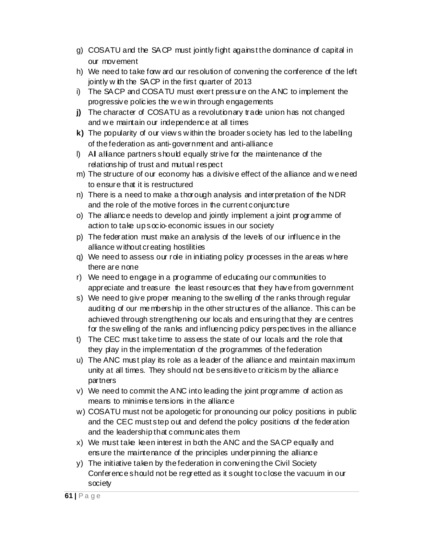- g) COSATU and the SACP must jointly fight against the dominance of capital in our movement
- h) We need to take forw ard our resolution of convening the conference of the left jointly w ith the SACP in the first quarter of 2013
- i) The SACP and COSATU must exert pressure on the ANC to implement the progressive policies the w e w in through engagements
- **j)** The character of COSATU as a revolutionary trade union has not changed and w e maintain our independence at all times
- **k)** The popularity of our view s w ithin the broader society has led to the labelling of the federation as anti-government and anti-alliance
- l) All alliance partners should equally strive for the maintenance of the relationship of trust and mutual respect
- m) The structure of our economy has a divisive effect of the alliance and w e need to ensure that it is restructured
- n) There is a need to make a thorough analysis and interpretation of the NDR and the role of the motive forces in the current conjuncture
- o) The alliance needs to develop and jointly implement a joint programme of action to take up s $\alpha$  io-economic issues in our society
- p) The federation must make an analysis of the levels of our influence in the alliance w ithout creating hostilities
- q) We need to assess our role in initiating policy processes in the areas w here there are none
- r) We need to engage in a programme of educating our communities to appreciate and treasure the least resources that they have from government
- s) We need to give proper meaning to the sw elling of the ranks through regular auditing of our me mbership in the other structures of the alliance. This can be achieved through strengthening our locals and ensuring that they are centres for the sw elling of the ranks and influencing policy perspectives in the alliance
- t) The CEC must take time to assess the state of our locals and the role that they play in the implementation of the programmes of the federation
- u) The ANC must play its role as a leader of the alliance and maintain maximum unity at all times. They should not be sensitive to criticism by the alliance partners
- v) We need to commit the ANC into leading the joint programme of action as means to minimise tensions in the alliance
- w) COSATU must not be apologetic for pronouncing our policy positions in public and the CEC must step out and defend the policy positions of the federation and the leadership that communicates them
- x) We must take keen interest in both the ANC and the SACP equally and ensure the maintenance of the principles underpinning the alliance
- y) The initiative taken by the federation in convening the Civil Society Conference should not be regretted as it sought to close the vacuum in our society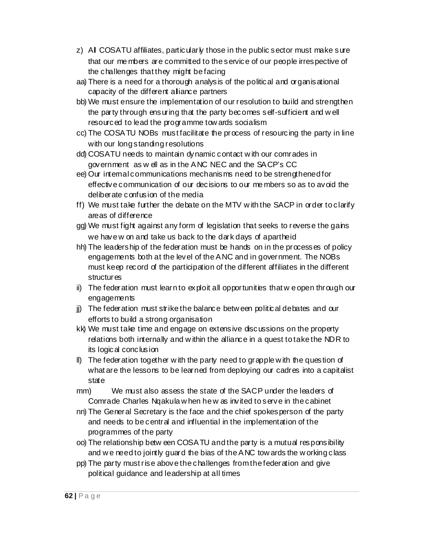- z) All COSATU affiliates, particularly those in the public sector must make sure that our me mbers are committed to the service of our people irrespective of the challenges that they might be facing
- aa) There is a need for a thorough analysis of the political and organisational capacity of the different alliance partners
- bb) We must ensure the implementation of our resolution to build and strengthen the party through ensuring that the party becomes self-sufficient and w ell resourced to lead the programme tow ards socialism
- cc) The COSATU NOBs must facilitate the process of resourcing the party in line with our long standing resolutions
- dd) COSATU needs to maintain dynamic contact w ith our comrades in government as w ell as in the ANC NEC and the SACP's CC
- ee) Our internal communications mechanisms need to be strengthened for effective communication of our decisions to our me mbers so as to avoid the deliberate confusion of the media
- ff) We must take further the debate on the MTV w ith the SACP in order to clarify areas of difference
- gg) We must fight against any form of legislation that seeks to reverse the gains we have w on and take us back to the dark days of apartheid
- hh) The leadership of the federation must be hands on in the processes of policy engagements both at the level of the ANC and in government. The NOBs must keep record of the participation of the different affiliates in the different structures
- ii) The federation must learn to exploit all opportunities that w e open through our engagements
- jj) The federation must strike the balance betw een political debates and our efforts to build a strong organisation
- kk) We must take time and engage on extensive discussions on the property relations both internally and w ithin the alliance in a quest to take the NDR to its logical conclusion
- ll) The federation together w ith the party need to grapple w ith the question of what are the lessons to be learned from deploying our cadres into a capitalist state
- mm) We must also assess the state of the SACP under the leaders of Comrade Charles Nqakula w hen he w as invited to serve in the cabinet
- nn) The General Secretary is the face and the chief spokesperson of the party and needs to be central and influential in the implementation of the programmes of the party
- oo) The relationship betw een COSATU and the party is a mutual responsibility and w e need to jointly guard the bias of the ANC tow ards the w orking class
- pp) The party must rise above the challenges from the federation and give political guidance and leadership at all times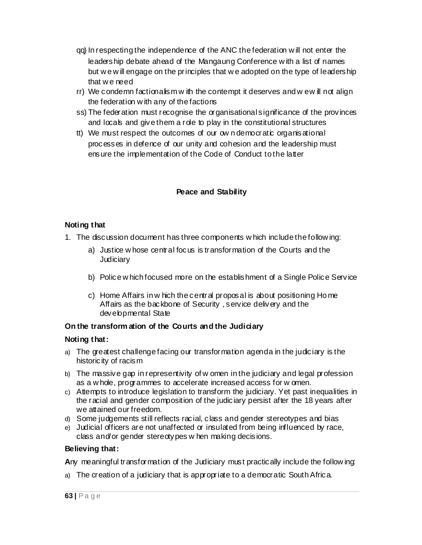- qq) In respecting the independence of the ANC the federation w ill not enter the leadership debate ahead of the Mangaung Conference w ith a list of names but w e w ill engage on the principles that w e adopted on the type of leadership that w e need
- $rr)$  We condemn factionalism w ith the contempt it deserves and w ew ill not align the federation w ith any of the factions
- ss) The federation must recognise the organisational significance of the provinces and locals and give them a role to play in the constitutional structures
- tt) We must respect the outcomes of our ow n democratic organisational processes in defence of our unity and cohesion and the leadership must ensure the implementation of the Code of Conduct to the latter

### **Peace and Stability**

### **Noting that**

- 1. The discussion document has three components w hich include the follow ing:
	- a) Justice w hose central focus is transformation of the Courts and the **Judiciary**
	- b) Police w hich focused more on the establishment of a Single Police Service
	- c) Home Affairs in w hich the central proposal is about positioning Ho me Affairs as the backbone of Security , service delivery and the developmental State

### **On the transform ation of the Courts and the Judiciary**

### **Noting that:**

- a) The greatest challenge facing our transformation agenda in the judiciary is the historicity of racism
- b) The massive gap in representivity of w omen in the judiciary and legal profession as a w hole, programmes to accelerate increased access for w omen.
- c) Attempts to introduce legislation to transform the judiciary. Yet past inequalities in the racial and gender composition of the judiciary persist after the 18 years after we attained our freedom.
- d) Some judgements still reflects racial, class and gender stereotypes and bias
- e) Judicial officers are not unaffected or insulated from being influenced by race, class and/or gender stereotypes w hen making decisions.

### **Believing that:**

**A**ny meaningful transformation of the Judiciary must practically include the follow ing:

a) The creation of a judiciary that is appropriate to a democratic South Africa.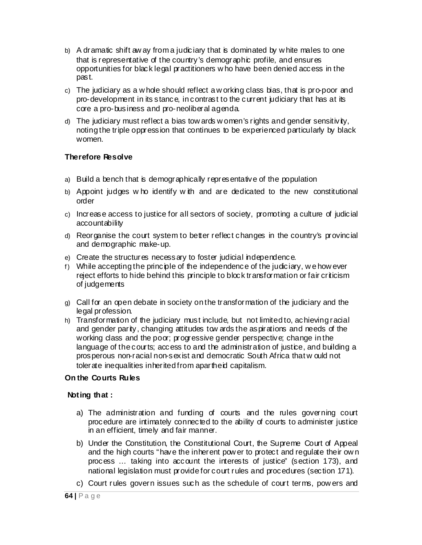- b) A dramatic shift aw ay from a judiciary that is dominated by w hite males to one that is representative of the country's demographic profile, and ensures opportunities for black legal practitioners w ho have been denied access in the past.
- c) The judiciary as a w hole should reflect a w orking class bias, that is pro-poor and pro-development in its stance, in contrast to the current judiciary that has at its core a pro-business and pro-neoliberal agenda.
- d) The judiciary must reflect a bias tow ards w omen's rights and gender sensitivity, noting the triple oppression that continues to be experienced particularly by black women.

### **Therefore Resolve**

- a) Build a bench that is demographically representative of the population
- b) Appoint judges w ho identify w ith and are dedicated to the new constitutional order
- c) Increase access to justice for all sectors of society, promoting a culture of judicial accountability
- d) Reorganise the court system to better reflect changes in the country's provincial and demographic make-up.
- e) Create the structures necessary to foster judicial independence.
- f) While accepting the principle of the independence of the judiciary, we how ever reject efforts to hide behind this principle to block transformation or fair criticism of judgements
- g) Call for an open debate in society on the transformation of the judiciary and the legal profession.
- h) Transformation of the judiciary must include, but not limited to, achieving racial and gender parity, changing attitudes tow ards the aspirations and needs of the working class and the poor; progressive gender perspective; change in the language of the courts; access to and the administration of justice, and building a prosperous non-racial non-sexist and democratic South Africa that w ould not tolerate inequalities inherited from apartheid capitalism.

### **On the Courts Rules**

#### **Noting that :**

- a) The administration and funding of courts and the rules governing court procedure are intimately connected to the ability of courts to administer justice in an efficient, timely and fair manner.
- b) Under the Constitution, the Constitutional Court, the Supreme Court of Appeal and the high courts "have the inherent pow er to protect and regulate their ow n process … taking into account the interests of justice" (section 173), and national legislation must provide for court rules and procedures (section 171).
- c) Court rules govern issues such as the schedule of court terms, pow ers and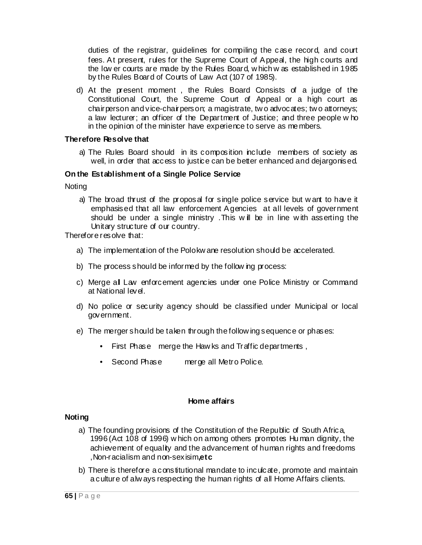duties of the registrar, guidelines for compiling the case record, and court fees. At present, rules for the Supreme Court of Appeal, the high courts and the low er courts are made by the Rules Board, w hich w as established in 1985 by the Rules Board of Courts of Law Act (107 of 1985).

d) At the present moment , the Rules Board Consists of a judge of the Constitutional Court, the Supreme Court of Appeal or a high court as chairperson and vice-chairperson; a magistrate, tw o advocates; tw o attorneys; a law lecturer; an officer of the Department of Justice; and three people w ho in the opinion of the minister have experience to serve as me mbers.

#### **Therefore Resolve that**

a) The Rules Board should in its composition include members of society as well, in order that access to justice can be better enhanced and dejargonised.

#### **On the Establishment of a Single Police Service**

Noting

a) The broad thrust of the proposal for single police service but w ant to have it emphasised that all law enforcement Agencies at all levels of government should be under a single ministry. This will be in line with asserting the Unitary structure of our country.

Therefore resolve that:

- a) The implementation of the Polokw ane resolution should be accelerated.
- b) The process should be informed by the follow ing process:
- c) Merge all Law enforcement agencies under one Police Ministry or Command at National level.
- d) No police or security agency should be classified under Municipal or local government.
- e) The merger should be taken through the follow ing sequence or phases:
	- First Phase merge the Haw ks and Traffic departments ,
	- Second Phase merge all Metro Police.

#### **Home affairs**

#### **Noting**

- a) The founding provisions of the Constitution of the Republic of South Africa, 1996 (Act 108 of 1996) w hich on among others promotes Hu man dignity, the achievement of equality and the advancement of human rights and freedoms ,Non-racialism and non-sexisim**,etc**
- b) There is therefore a constitutional mandate to inculcate, promote and maintain a culture of alw ays respecting the human rights of all Home Affairs clients.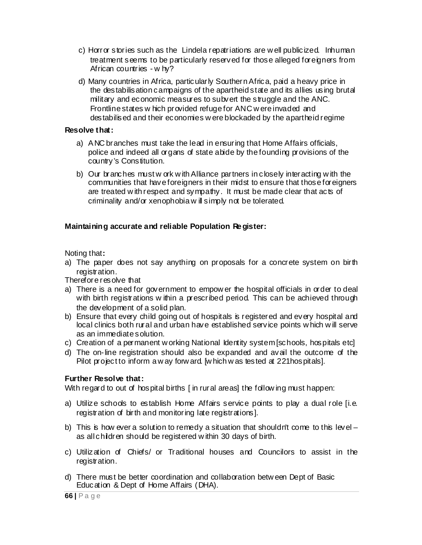- c) Horror stories such as the Lindela repatriations are w ell publicized. Inhuman treatment seems to be particularly reserved for those alleged foreigners from African countries - w hy?
- d) Many countries in Africa, particularly Southern Africa, paid a heavy price in the destabilisation campaigns of the apartheid state and its allies using brutal military and economic measures to subvert the struggle and the ANC. Frontline states w hich provided refuge for ANC w ere invaded and destabilised and their economies w ere blockaded by the apartheid regime

#### **Resolve that:**

- a) ANC branches must take the lead in ensuring that Home Affairs officials, police and indeed all organs of state abide by the founding provisions of the country's Constitution.
- b) Our branches must w ork w ith Alliance partners in closely interacting w ith the communities that have foreigners in their midst to ensure that those foreigners are treated w ith respect and sympathy. It must be made clear that acts of criminality and/or xenophobia w ill simply not be tolerated.

### **Maintaining accurate and reliable Population Re gister:**

Noting that**:** 

a) The paper does not say anything on proposals for a concrete system on birth registration.

Therefore resolve that

- a) There is a need for government to empow er the hospital officials in order to deal with birth registrations w ithin a prescribed period. This can be achieved through the development of a solid plan.
- b) Ensure that every child going out of hospitals is registered and every hospital and local clinics both rural and urban have established service points w hich w ill serve as an immediate solution.
- c) Creation of a permanent w orking National Identity system [schools, hospitals etc]
- d) The on-line registration should also be expanded and avail the outcome of the Pilot project to inform a w ay forw ard. [which w as tested at 221 hospitals].

### **Further Resolve that:**

With regard to out of hospital births [in rural areas] the follow ing must happen:

- a) Utilize schools to establish Home Affairs service points to play a dual role [i.e. registration of birth and monitoring late registrations].
- b) This is how ever a solution to remedy a situation that shouldn't come to this level  $$ as all children should be registered w ithin 30 days of birth.
- c) Utilization of Chiefs/ or Traditional houses and Councilors to assist in the registration.
- d) There must be better coordination and collaboration betw een Dept of Basic Education & Dept of Home Affairs (DHA).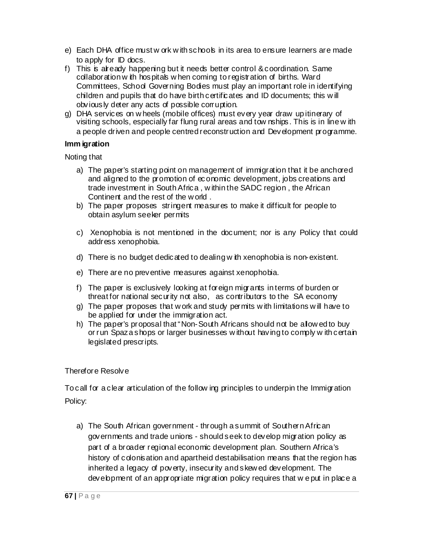- e) Each DHA office must w ork w ith schools in its area to ensure learners are made to apply for ID docs.
- f) This is already happening but it needs better control & coordination. Same collaboration w ith hospitals w hen coming to registration of births. Ward Committees, School Governing Bodies must play an important role in identifying children and pupils that do have birth certificates and ID documents; this w ill obviously deter any acts of possible corruption.
- g) DHA services on w heels (mobile offices) must every year draw up itinerary of visiting schools, especially far flung rural areas and tow nships. This is in line w ith a people driven and people centred reconstruction and Development programme.

### **Imm igration**

Noting that

- a) The paper's starting point on management of immigration that it be anchored and aligned to the promotion of economic development, jobs creations and trade investment in South Africa , w ithin the SADC region , the African Continent and the rest of the w orld .
- b) The paper proposes stringent measures to make it difficult for people to obtain asylum seeker permits
- c) Xenophobia is not mentioned in the document; nor is any Policy that could address xenophobia.
- d) There is no budget dedicated to dealing w ith xenophobia is non-existent.
- e) There are no preventive measures against xenophobia.
- f) The paper is exclusively looking at foreign migrants in terms of burden or threat for national security not also, as contributors to the SA economy
- g) The paper proposes that w ork and study permits w ith limitations w ill have to be applied for under the immigration act.
- h) The paper's proposal that "Non-South Africans should not be allow ed to buy or run Spaza shops or larger businesses w ithout having to comply w ith certain legislated prescripts.

### Therefore Resolve

To call for a clear articulation of the follow ing principles to underpin the Immigration Policy:

a) The South African government - through a summit of Southern African governments and trade unions - should seek to develop migration policy as part of a broader regional economic development plan. Southern Africa's history of colonisation and apartheid destabilisation means that the region has inherited a legacy of poverty, insecurity and skew ed development. The development of an appropriate migration policy requires that w e put in place a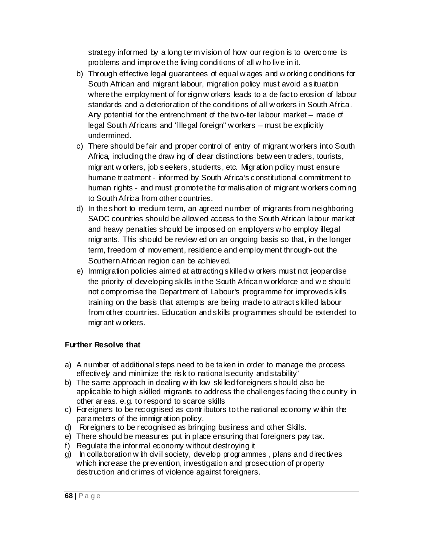strategy informed by a long term vision of how our region is to overcome its problems and improve the living conditions of all w ho live in it.

- b) Through effective legal guarantees of equal w ages and w orking conditions for South African and migrant labour, migration policy must avoid a situation where the employment of foreign w orkers leads to a de facto erosion of labour standards and a deterioration of the conditions of all w orkers in South Africa. Any potential for the entrenchment of the tw o-tier labour market – made of legal South Africans and "illegal foreign" w orkers – must be explicitly undermined.
- c) There should be fair and proper control of entry of migrant w orkers into South Africa, including the draw ing of clear distinctions betw een traders, tourists, migrant w orkers, job seekers, students, etc. Migration policy must ensure humane treatment - informed by South Africa's constitutional commitment to human rights - and must promote the formalisation of migrant w orkers coming to South Africa from other countries.
- d) In the short to medium term, an agreed number of migrants from neighboring SADC countries should be allow ed access to the South African labour market and heavy penalties should be imposed on employers w ho employ illegal migrants. This should be review ed on an ongoing basis so that, in the longer term, freedom of movement, residence and employment through-out the Southern African region can be achieved.
- e) Immigration policies aimed at attracting skilled w orkers must not jeopardise the priority of developing skills in the South African w orkforce and w e should not compromise the Department of Labour's programme for improved skills training on the basis that attempts are being made to attract skilled labour from other countries. Education and skills programmes should be extended to migrant w orkers.

### **Further Resolve that**

- a) A number of additional steps need to be taken in order to manage the process effectively and minimize the risk to national security and stability"
- b) The same approach in dealing w ith low skilled foreigners should also be applicable to high skilled migrants to address the challenges facing the country in other areas. e.g. to respond to scarce skills
- c) Foreigners to be recognised as contributors to the national economy w ithin the parameters of the immigration policy.
- d) Foreigners to be recognised as bringing business and other Skills.
- e) There should be measures put in place ensuring that foreigners pay tax.
- f) Regulate the informal economy w ithout destroying it
- $g$ ) In collaboration w ith civil society, develop programmes, plans and directives which increase the prevention, investigation and prosecution of property destruction and crimes of violence against foreigners.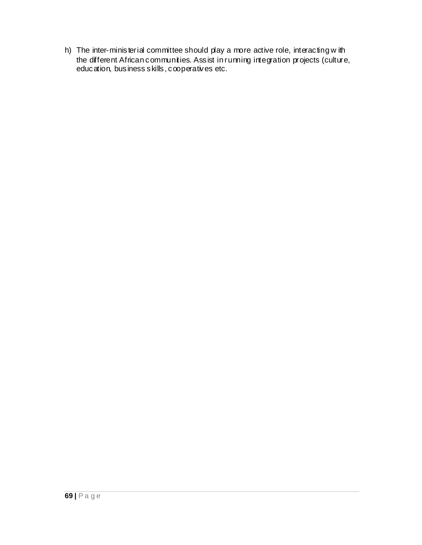h) The inter-ministerial committee should play a more active role, interacting with the different African communities. Assist in running integration projects (culture, education, business skills, cooperatives etc.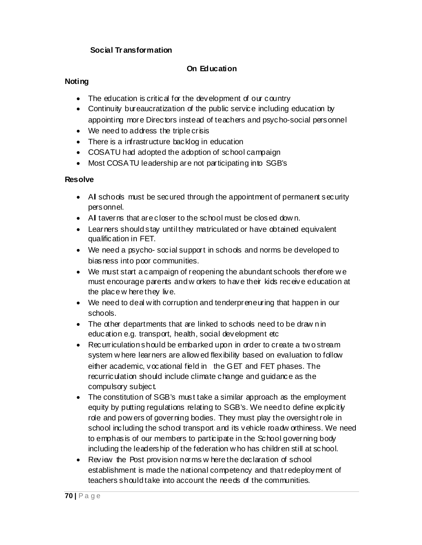## **Social Tr ansformation**

# **On Education**

## **Noting**

- The education is critical for the development of our country
- Continuity bureaucratization of the public service including education by appointing more Directors instead of teachers and psycho-social personnel
- We need to address the triple crisis
- There is a infrastructure backlog in education
- COSATU had adopted the adoption of school campaign
- Most COSATU leadership are not participating into SGB's

### **Resolve**

- All schools must be secured through the appointment of permanent security personnel.
- All taverns that are closer to the school must be closed dow n.
- Learners should stay until they matriculated or have obtained equivalent qualification in FET.
- We need a psycho-social support in schools and norms be developed to biasness into poor communities.
- We must start a campaign of reopening the abundant schools therefore w e must encourage parents and w orkers to have their kids receive education at the place w here they live.
- We need to deal with corruption and tenderpreneuring that happen in our schools.
- The other departments that are linked to schools need to be draw n in education e.g. transport, health, social development etc
- Recurriculation should be embarked upon in order to create a tw o stream system w here learners are allow ed flexibility based on evaluation to follow either academic, vocational field in the GET and FET phases. The recurriculation should include climate change and guidance as the compulsory subject.
- The constitution of SGB's must take a similar approach as the employment equity by putting regulations relating to SGB's. We need to define explicitly role and pow ers of governing bodies. They must play the oversight role in school including the school transport and its vehicle roadw orthiness. We need to emphasis of our members to participate in the School governing body including the leadership of the federation w ho has children still at school.
- Review the Post provision norms w here the declaration of school establishment is made the national competency and that redeployment of teachers should take into account the needs of the communities.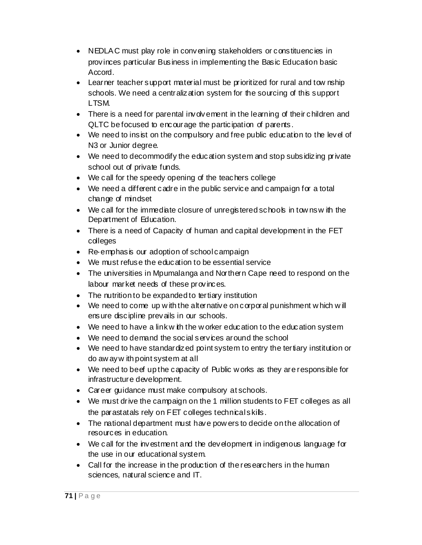- NEDLAC must play role in convening stakeholders or constituencies in provinces particular Business in implementing the Basic Education basic Accord.
- Learner teacher support material must be prioritized for rural and tow nship schools. We need a centralization system for the sourcing of this support LTSM.
- There is a need for parental involvement in the learning of their children and QLTC be focused to encourage the participation of parents.
- We need to insist on the compulsory and free public education to the level of N3 or Junior degree.
- We need to decommodify the education system and stop subsidizing private school out of private funds.
- We call for the speedy opening of the teachers college
- We need a different cadre in the public service and campaign for a total change of mindset
- We call for the immediate closure of unregistered schools in towns w ith the Department of Education.
- There is a need of Capacity of human and capital development in the FET colleges
- Re-emphasis our adoption of school campaign
- We must refuse the education to be essential service
- The universities in Mpumalanga and Northern Cape need to respond on the labour market needs of these provinces.
- The nutrition to be expanded to tertiary institution
- We need to come up w ith the alternative on corporal punishment w hich w ill ensure discipline prevails in our schools.
- We need to have a link w ith the w orker education to the education system
- We need to demand the social services around the school
- We need to have standardized point system to entry the tertiary institution or do aw ay w ith point system at all
- We need to beef up the capacity of Public w orks as they are responsible for infrastructure development.
- Career guidance must make compulsory at schools.
- We must drive the campaign on the 1 million students to FET colleges as all the parastatals rely on FET colleges technical skills.
- The national department must have pow ers to decide on the allocation of resources in education.
- We call for the investment and the development in indigenous language for the use in our educational system.
- Call for the increase in the production of the researchers in the human sciences, natural science and IT.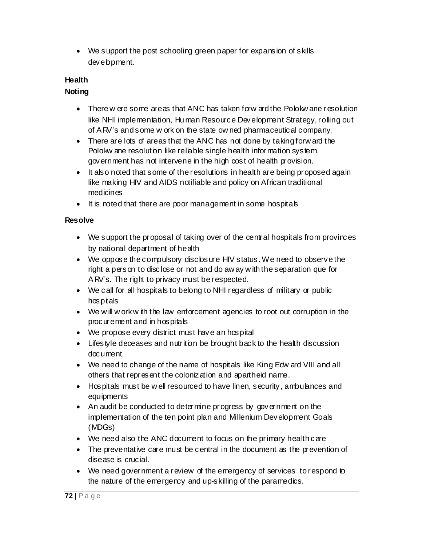• We support the post schooling green paper for expansion of skills development.

# **Health**

# **Noting**

- There w ere some areas that ANC has taken forw ard the Polokw ane resolution like NHI implementation, Hu man Resource Development Strategy, rolling out of ARV's and some w ork on the state ow ned pharmaceutical company,
- There are lots of areas that the ANC has not done by taking forw ard the Polokw ane resolution like reliable single health information system, government has not intervene in the high cost of health provision.
- It also noted that some of the resolutions in health are being proposed again like making HIV and AIDS notifiable and policy on African traditional medicines
- It is noted that there are poor management in some hospitals

# **Resolve**

- We support the proposal of taking over of the central hospitals from provinces by national department of health
- We oppose the compulsory disclosure HIV status. We need to observe the right a person to disclose or not and do aw ay w ith the separation que for ARV's. The right to privacy must be respected.
- We call for all hospitals to belong to NHI regardless of military or public hospitals
- We will w ork w ith the law enforcement agencies to root out corruption in the procurement and in hospitals
- We propose every district must have an hospital
- Lifestyle deceases and nutrition be brought back to the health discussion document.
- We need to change of the name of hospitals like King Edw ard VIII and all others that represent the colonization and apartheid name.
- Hospitals must be w ell resourced to have linen, security, ambulances and equipments
- An audit be conducted to determine progress by government on the implementation of the ten point plan and Millenium Development Goals (MDGs)
- We need also the ANC document to focus on the primary health care
- The preventative care must be central in the document as the prevention of disease is crucial.
- We need government a review of the emergency of services to respond to the nature of the emergency and up-skilling of the paramedics.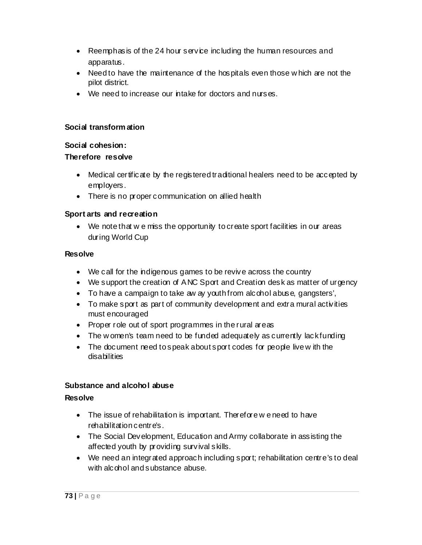- Reemphasis of the 24 hour service including the human resources and apparatus.
- Need to have the maintenance of the hospitals even those w hich are not the pilot district.
- We need to increase our intake for doctors and nurses.

### **Social transform ation**

### **Social cohesion:**

## **Therefore resolve**

- Medical certificate by the registered traditional healers need to be accepted by employers.
- There is no proper communication on allied health

# **Sport arts and recreation**

• We note that we miss the opportunity to create sport facilities in our areas during World Cup

## **Resolve**

- We call for the indigenous games to be revive across the country
- We support the creation of ANC Sport and Creation desk as matter of urgency
- To have a campaign to take aw ay youth from alcohol abuse, gangsters',
- To make sport as part of community development and extra mural activities must encouraged
- Proper role out of sport programmes in the rural areas
- The w omen's team need to be funded adequately as currently lack funding
- The document need to speak about sport codes for people live w ith the disabilities

# **Substance and alcohol abuse**

### **Resolve**

- The issue of rehabilitation is important. Therefore we need to have rehabilitation centre's.
- The Social Development, Education and Army collaborate in assisting the affected youth by providing survival skills.
- We need an integrated approach including sport; rehabilitation centre's to deal with alcohol and substance abuse.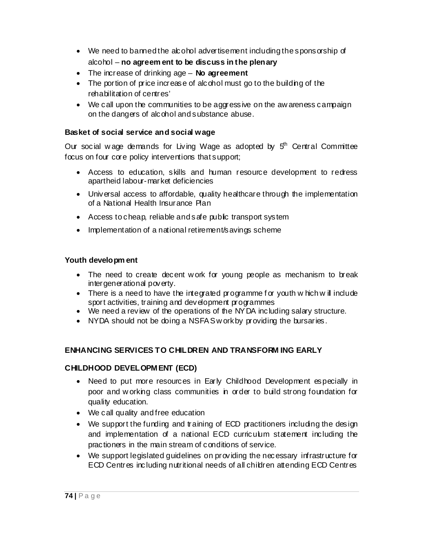- We need to banned the abohol advertisement including the sponsorship of alcohol – **no agreem ent to be discuss in the plenary**
- The increase of drinking age **No agreement**
- The portion of price increase of alcohol must go to the building of the rehabilitation of centres'
- We call upon the communities to be aggressive on the aw areness campaign on the dangers of alcohol and substance abuse.

#### **Basket of social service and social wage**

Our social w age demands for Living Wage as adopted by  $5<sup>th</sup>$  Central Committee focus on four core policy interventions that support;

- Access to education, skills and human resource development to redress apartheid labour-market deficiencies
- Universal access to affordable, quality healthcare through the implementation of a National Health Insurance Plan
- Access to cheap, reliable and safe public transport system
- Implementation of a national retirement/savings scheme

#### **Youth developm ent**

- The need to create decent w ork for young people as mechanism to break intergenerational poverty.
- There is a need to have the integrated programme for youth w hich w ill include sport activities, training and development programmes
- We need a review of the operations of the NYDA including salary structure.
- NYDA should not be doing a NSFAS w ork by providing the bursaries.

### **ENHANCING SERVICES TO CHILDREN AND TRANSFORM ING EARLY**

### **CHILDHOOD DEVELOPMENT (ECD)**

- Need to put more resources in Early Childhood Development especially in poor and w orking class communities in order to build strong foundation for quality education.
- We call quality and free education
- We support the funding and training of ECD practitioners including the design and implementation of a national ECD curriculum statement including the practioners in the main stream of conditions of service.
- We support legislated guidelines on providing the necessary infrastructure for ECD Centres including nutritional needs of all children attending ECD Centres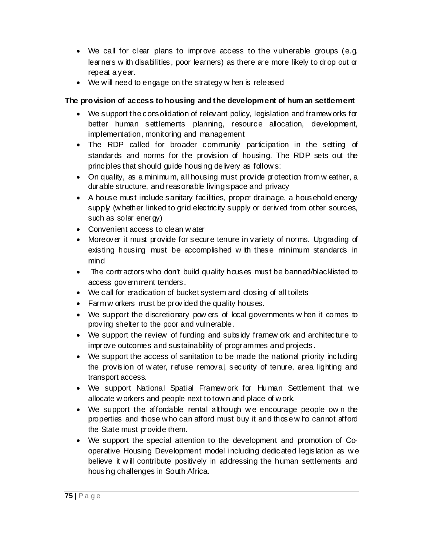- We call for clear plans to improve access to the vulnerable groups (e.g. learners w ith disabilities, poor learners) as there are more likely to drop out or repeat a year.
- We will need to engage on the strategy w hen is released

# **The provision of access to housing and the development of hum an settlement**

- We support the consolidation of relevant policy, legislation and framew orks for better human settlements planning, resource allocation, development, implementation, monitoring and management
- The RDP called for broader community participation in the setting of standards and norms for the provision of housing. The RDP sets out the principles that should guide housing delivery as follow s:
- On quality, as a minimum, all housing must provide protection from w eather, a durable structure, and reasonable living space and privacy
- A house must include sanitary facilities, proper drainage, a household energy supply (w hether linked to grid electricity supply or derived from other sources, such as solar energy)
- Convenient access to clean w ater
- Moreover it must provide for secure tenure in variety of norms. Upgrading of existing housing must be accomplished w ith these minimum standards in mind
- The contractors w ho don't build quality houses must be banned/blacklisted to access government tenders.
- We call for eradication of bucket system and closing of all toilets
- Farm w orkers must be provided the quality houses.
- We support the discretionary pow ers of local governments w hen it comes to proving shelter to the poor and vulnerable.
- We support the review of funding and subsidy framew ork and architecture to improve outcomes and sustainability of programmes and projects.
- We support the access of sanitation to be made the national priority including the provision of w ater, refuse removal, security of tenure, area lighting and transport access.
- We support National Spatial Framew ork for Human Settlement that we allocate w orkers and people next to tow n and place of w ork.
- We support the affordable rental although we encourage people own the properties and those w ho can afford must buy it and those w ho cannot afford the State must provide them.
- We support the special attention to the development and promotion of Cooperative Housing Development model including dedicated legislation as w e believe it w ill contribute positively in addressing the human settlements and housing challenges in South Africa.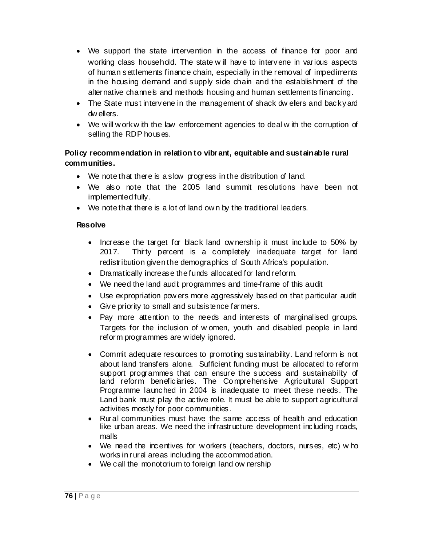- We support the state intervention in the access of finance for poor and working class household. The state w ill have to intervene in various aspects of human settlements finance chain, especially in the removal of impediments in the housing demand and supply side chain and the establishment of the alternative channels and methods housing and human settlements financing.
- The State must intervene in the management of shack dw ellers and back yard dw ellers.
- We will w ork with the law enforcement agencies to deal with the corruption of selling the RDP houses.

# **Policy recommendation in relation to vibr ant, equitable and sustainable rural communities.**

- We note that there is a slow progress in the distribution of land.
- We also note that the 2005 land summit resolutions have been not implemented fully.
- We note that there is a lot of land own by the traditional leaders.

#### **Resolve**

- Increase the target for black land ow nership it must include to 50% by 2017. Thirty percent is a completely inadequate target for land redistribution given the demographics of South Africa's population.
- Dramatically increase the funds allocated for land reform.
- We need the land audit programmes and time-frame of this audit
- Use expropriation pow ers more aggressively based on that particular audit
- Give priority to small and subsistence farmers.
- Pay more attention to the needs and interests of marginalised groups. Targets for the inclusion of w omen, youth and disabled people in land reform programmes are w idely ignored.
- Commit adequate resources to promoting sustainability. Land reform is not about land transfers alone. Sufficient funding must be allocated to reform support programmes that can ensure the success and sustainability of land reform beneficiaries. The Comprehensive Agricultural Support Programme launched in 2004 is inadequate to meet these needs. The Land bank must play the active role. It must be able to support agricultural activities mostly for poor communities.
- Rural communities must have the same access of health and education like urban areas. We need the infrastructure development including roads, malls
- We need the incentives for w orkers (teachers, doctors, nurses, etc) w ho works in rural areas including the accommodation.
- We call the monotorium to foreign land ow nership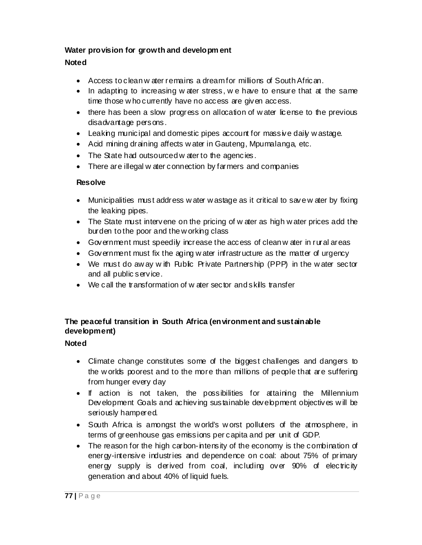### **Water provision for growth and developm ent**

# **Noted**

- Access to clean w ater remains a dream for millions of South African.
- In adapting to increasing w ater stress, we have to ensure that at the same time those w ho currently have no access are given access.
- there has been a slow progress on allocation of water license to the previous disadvantage persons.
- Leaking municipal and domestic pipes account for massive daily w astage.
- Acid mining draining affects w ater in Gauteng, Mpumalanga, etc.
- The State had outsourced w ater to the agencies.
- There are illegal w ater connection by farmers and companies

### **Resolve**

- Municipalities must address w ater w astage as it critical to save w ater by fixing the leaking pipes.
- The State must intervene on the pricing of w ater as high w ater prices add the burden to the poor and the w orking class
- Government must speedily increase the access of clean w ater in rural areas
- Government must fix the aging w ater infrastructure as the matter of urgency
- We must do aw ay w ith Public Private Partnership (PPP) in the water sector and all public service.
- We call the transformation of w ater sector and skills transfer

# **The peaceful transition in South Africa (environment and sustainable development)**

### **Noted**

- Climate change constitutes some of the biggest challenges and dangers to the w orlds poorest and to the more than millions of people that are suffering from hunger every day
- If action is not taken, the possibilities for attaining the Millennium Development Goals and achieving sustainable development objectives will be seriously hampered.
- South Africa is amongst the w orld's w orst polluters of the atmosphere, in terms of greenhouse gas emissions per capita and per unit of GDP.
- The reason for the high carbon-intensity of the economy is the combination of energy-intensive industries and dependence on coal: about 75% of primary energy supply is derived from coal, including over 90% of electricity generation and about 40% of liquid fuels.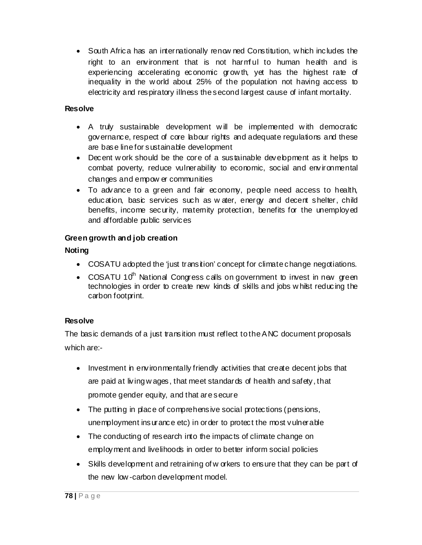• South Africa has an internationally renow ned Constitution, w hich includes the right to an environment that is not harmful to human health and is experiencing accelerating economic grow th, yet has the highest rate of inequality in the w orld about 25% of the population not having access to electricity and respiratory illness the second largest cause of infant mortality.

### **Resolve**

- A truly sustainable development w ill be implemented w ith democratic governance, respect of core labour rights and adequate regulations and these are base line for sustainable development
- Decent w ork should be the core of a sustainable development as it helps to combat poverty, reduce vulnerability to economic, social and environmental changes and empow er communities
- To advance to a green and fair economy, people need access to health, education, basic services such as w ater, energy and decent shelter, child benefits, income security, maternity protection, benefits for the unemployed and affordable public services

# **Green growth and job creation**

## **Noting**

- COSATU adopted the 'just transition' concept for climate change negotiations.
- COSATU 10<sup>th</sup> National Congress calls on government to invest in new green technologies in order to create new kinds of skills and jobs w hilst reducing the carbon footprint.

# **Resolve**

The basic demands of a just transition must reflect to the ANC document proposals which are:-

- Investment in environmentally friendly activities that create decent jobs that are paid at living w ages, that meet standards of health and safety, that promote gender equity, and that are secure
- The putting in place of comprehensive social protections (pensions, unemployment insurance etc) in order to protect the most vulnerable
- The conducting of research into the impacts of climate change on employment and livelihoods in order to better inform social policies
- Skills development and retraining of w orkers to ensure that they can be part of the new low -carbon development model.